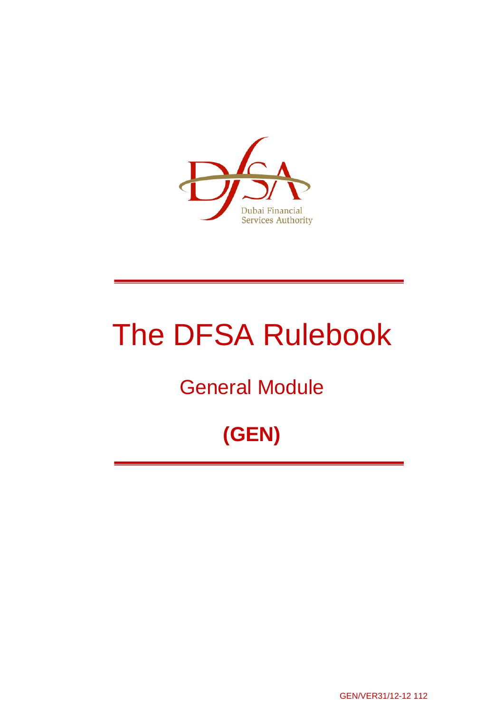

# The DFSA Rulebook

## General Module

## **(GEN)**

GEN/VER31/12-12 112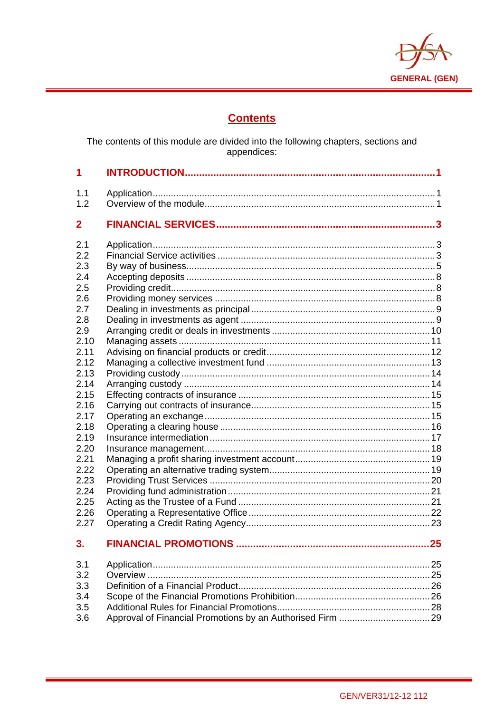

## **Contents**

The contents of this module are divided into the following chapters, sections and<br>appendices:

| 1                                                                                                                                   |                             |    |
|-------------------------------------------------------------------------------------------------------------------------------------|-----------------------------|----|
| 1.1<br>1.2                                                                                                                          |                             |    |
| $\mathbf{2}$                                                                                                                        |                             |    |
| 2.1<br>2.2<br>2.3<br>2.4<br>2.5<br>2.6<br>2.7<br>2.8<br>2.9<br>2.10<br>2.11<br>2.12<br>2.13<br>2.14<br>2.15<br>2.16<br>2.17<br>2.18 |                             |    |
| 2.19<br>2.20                                                                                                                        |                             |    |
| 2.21<br>2.22<br>2.23<br>2.24<br>2.25<br>2.26<br>2.27                                                                                |                             |    |
| 3.                                                                                                                                  | <b>FINANCIAL PROMOTIONS</b> | 25 |
| 3.1<br>3.2<br>3.3<br>3.4<br>3.5<br>3.6                                                                                              |                             |    |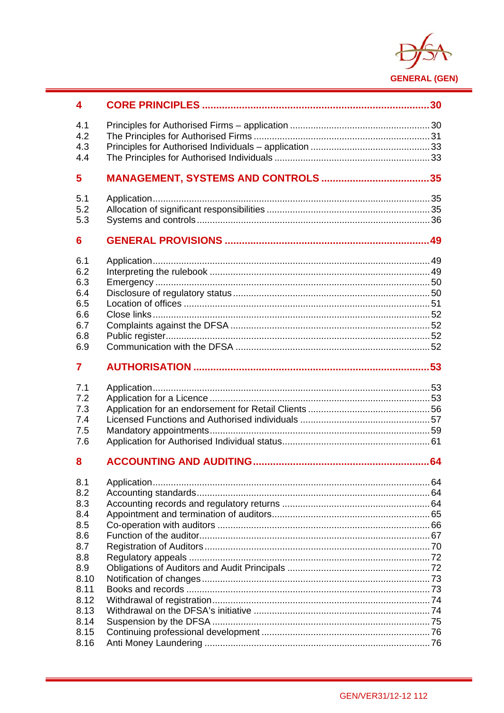

| 4            |  |
|--------------|--|
| 4.1          |  |
| 4.2          |  |
| 4.3          |  |
| 4.4          |  |
| 5            |  |
| 5.1          |  |
| 5.2          |  |
| 5.3          |  |
| 6            |  |
| 6.1          |  |
| 6.2          |  |
| 6.3          |  |
| 6.4          |  |
| 6.5          |  |
| 6.6          |  |
| 6.7          |  |
| 6.8          |  |
| 6.9          |  |
| 7            |  |
|              |  |
| 7.1          |  |
| 7.2          |  |
| 7.3          |  |
| 7.4          |  |
| 7.5          |  |
| 7.6          |  |
| 8            |  |
| 8.1          |  |
| 8.2          |  |
| 8.3          |  |
| 8.4          |  |
| 8.5          |  |
| 8.6          |  |
| 8.7          |  |
| 8.8          |  |
| 8.9          |  |
| 8.10         |  |
| 8.11         |  |
| 8.12         |  |
| 8.13         |  |
| 8.14<br>8.15 |  |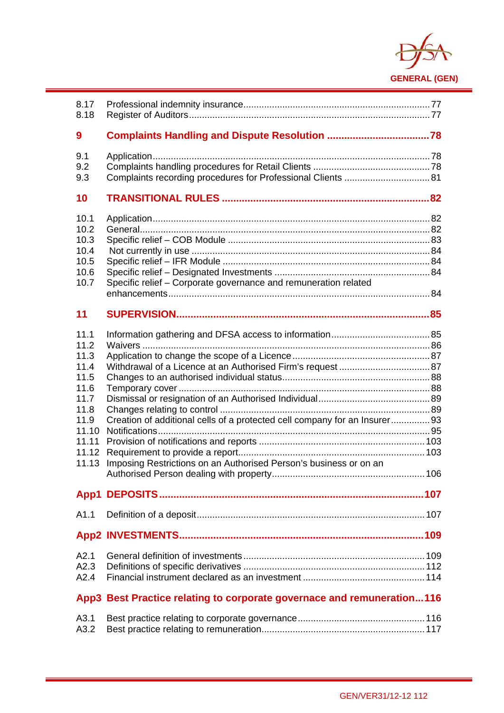

| 8.17<br>8.18                                                                                             |                                                                                                                                                |  |
|----------------------------------------------------------------------------------------------------------|------------------------------------------------------------------------------------------------------------------------------------------------|--|
| 9                                                                                                        |                                                                                                                                                |  |
| 9.1<br>9.2<br>9.3                                                                                        |                                                                                                                                                |  |
| 10                                                                                                       |                                                                                                                                                |  |
| 10.1<br>10.2<br>10.3<br>10.4<br>10.5<br>10.6<br>10.7                                                     | Specific relief - Corporate governance and remuneration related                                                                                |  |
| 11                                                                                                       |                                                                                                                                                |  |
| 11.1<br>11.2<br>11.3<br>11.4<br>11.5<br>11.6<br>11.7<br>11.8<br>11.9<br>11.10<br>11.11<br>11.12<br>11.13 | Creation of additional cells of a protected cell company for an Insurer93<br>Imposing Restrictions on an Authorised Person's business or on an |  |
|                                                                                                          |                                                                                                                                                |  |
| A1.1                                                                                                     |                                                                                                                                                |  |
|                                                                                                          |                                                                                                                                                |  |
| A2.1<br>A2.3<br>A2.4                                                                                     |                                                                                                                                                |  |
|                                                                                                          | App3 Best Practice relating to corporate governace and remuneration116                                                                         |  |
| A3.1<br>A3.2                                                                                             |                                                                                                                                                |  |

i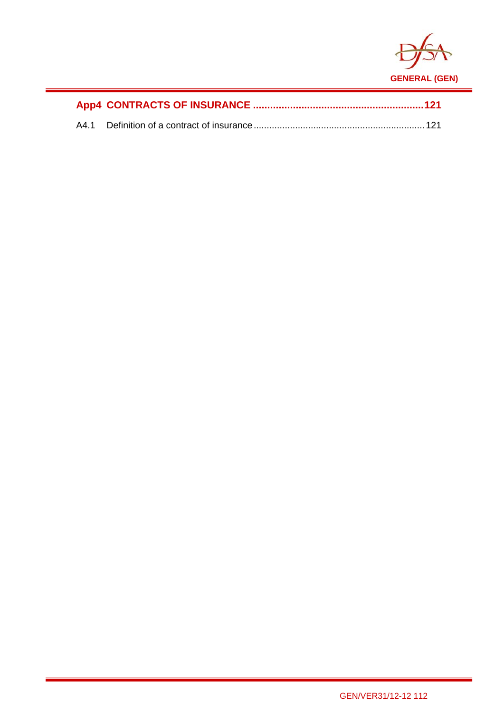

i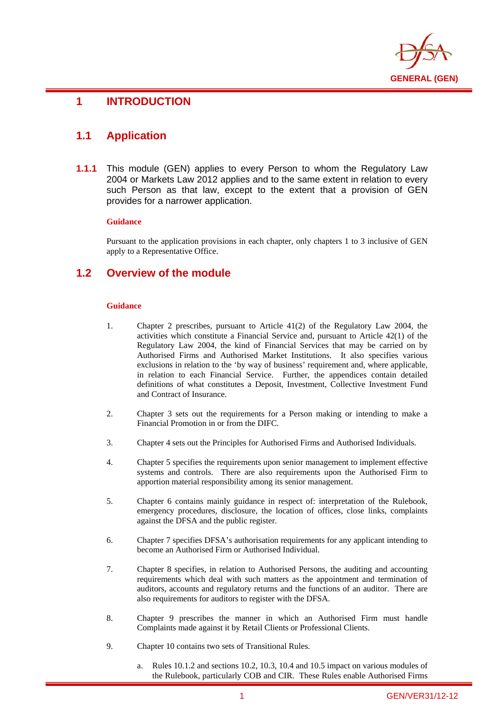

## **1 INTRODUCTION**

## **1.1 Application**

i

**1.1.1** This module (GEN) applies to every Person to whom the Regulatory Law 2004 or Markets Law 2012 applies and to the same extent in relation to every such Person as that law, except to the extent that a provision of GEN provides for a narrower application.

#### **Guidance**

Pursuant to the application provisions in each chapter, only chapters 1 to 3 inclusive of GEN apply to a Representative Office.

## **1.2 Overview of the module**

#### **Guidance**

- 1. Chapter 2 prescribes, pursuant to Article 41(2) of the Regulatory Law 2004, the activities which constitute a Financial Service and, pursuant to Article 42(1) of the Regulatory Law 2004, the kind of Financial Services that may be carried on by Authorised Firms and Authorised Market Institutions. It also specifies various exclusions in relation to the 'by way of business' requirement and, where applicable, in relation to each Financial Service. Further, the appendices contain detailed definitions of what constitutes a Deposit, Investment, Collective Investment Fund and Contract of Insurance.
- 2. Chapter 3 sets out the requirements for a Person making or intending to make a Financial Promotion in or from the DIFC.
- 3. Chapter 4 sets out the Principles for Authorised Firms and Authorised Individuals.
- 4. Chapter 5 specifies the requirements upon senior management to implement effective systems and controls. There are also requirements upon the Authorised Firm to apportion material responsibility among its senior management.
- 5. Chapter 6 contains mainly guidance in respect of: interpretation of the Rulebook, emergency procedures, disclosure, the location of offices, close links, complaints against the DFSA and the public register.
- 6. Chapter 7 specifies DFSA's authorisation requirements for any applicant intending to become an Authorised Firm or Authorised Individual.
- 7. Chapter 8 specifies, in relation to Authorised Persons, the auditing and accounting requirements which deal with such matters as the appointment and termination of auditors, accounts and regulatory returns and the functions of an auditor. There are also requirements for auditors to register with the DFSA.
- 8. Chapter 9 prescribes the manner in which an Authorised Firm must handle Complaints made against it by Retail Clients or Professional Clients.
- 9. Chapter 10 contains two sets of Transitional Rules.
	- a. Rules 10.1.2 and sections 10.2, 10.3, 10.4 and 10.5 impact on various modules of the Rulebook, particularly COB and CIR. These Rules enable Authorised Firms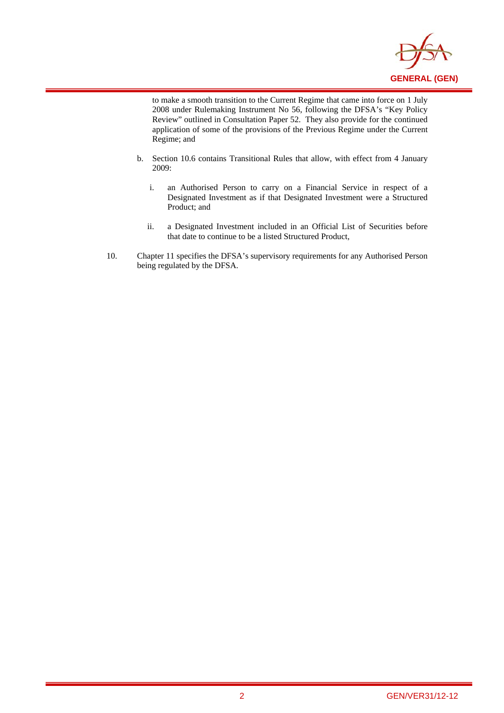

to make a smooth transition to the Current Regime that came into force on 1 July 2008 under Rulemaking Instrument No 56, following the DFSA's "Key Policy Review" outlined in Consultation Paper 52. They also provide for the continued application of some of the provisions of the Previous Regime under the Current Regime; and

i

- b. Section 10.6 contains Transitional Rules that allow, with effect from 4 January 2009:
	- i. an Authorised Person to carry on a Financial Service in respect of a Designated Investment as if that Designated Investment were a Structured Product; and
	- ii. a Designated Investment included in an Official List of Securities before that date to continue to be a listed Structured Product,
- 10. Chapter 11 specifies the DFSA's supervisory requirements for any Authorised Person being regulated by the DFSA.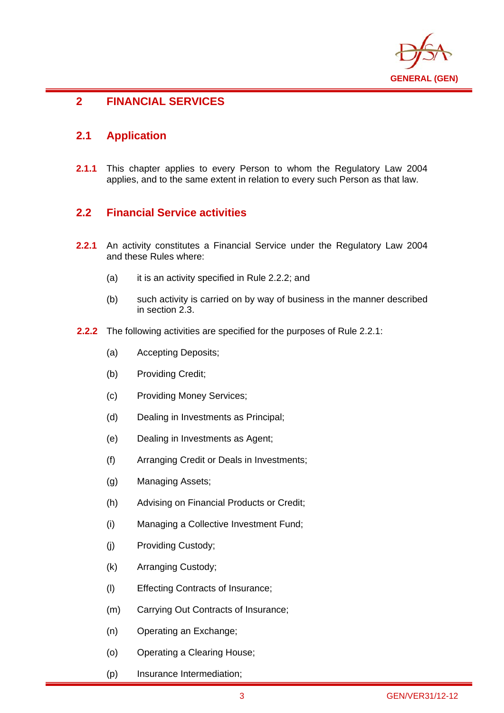

### i **2 FINANCIAL SERVICES**

## **2.1 Application**

**2.1.1** This chapter applies to every Person to whom the Regulatory Law 2004 applies, and to the same extent in relation to every such Person as that law.

## **2.2 Financial Service activities**

- **2.2.1** An activity constitutes a Financial Service under the Regulatory Law 2004 and these Rules where:
	- (a) it is an activity specified in Rule 2.2.2; and
	- (b) such activity is carried on by way of business in the manner described in section 2.3.
- **2.2.2** The following activities are specified for the purposes of Rule 2.2.1:
	- (a) Accepting Deposits;
	- (b) Providing Credit;
	- (c) Providing Money Services;
	- (d) Dealing in Investments as Principal;
	- (e) Dealing in Investments as Agent;
	- (f) Arranging Credit or Deals in Investments;
	- (g) Managing Assets;
	- (h) Advising on Financial Products or Credit;
	- (i) Managing a Collective Investment Fund;
	- (j) Providing Custody;
	- (k) Arranging Custody;
	- (l) Effecting Contracts of Insurance;
	- (m) Carrying Out Contracts of Insurance;
	- (n) Operating an Exchange;
	- (o) Operating a Clearing House;
	- (p) Insurance Intermediation;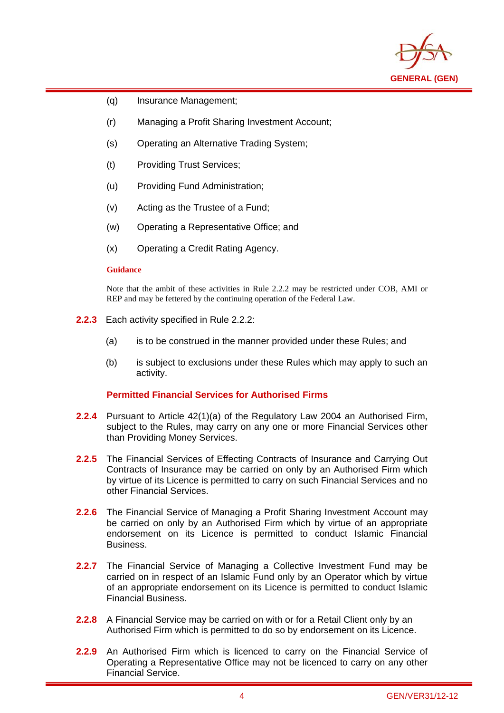

- (q) Insurance Management;
- (r) Managing a Profit Sharing Investment Account;
- (s) Operating an Alternative Trading System;
- (t) Providing Trust Services;
- (u) Providing Fund Administration;
- (v) Acting as the Trustee of a Fund;
- (w) Operating a Representative Office; and
- (x) Operating a Credit Rating Agency.

#### **Guidance**

i

Note that the ambit of these activities in Rule 2.2.2 may be restricted under COB, AMI or REP and may be fettered by the continuing operation of the Federal Law.

- **2.2.3** Each activity specified in Rule 2.2.2:
	- (a) is to be construed in the manner provided under these Rules; and
	- (b) is subject to exclusions under these Rules which may apply to such an activity.

#### **Permitted Financial Services for Authorised Firms**

- **2.2.4** Pursuant to Article 42(1)(a) of the Regulatory Law 2004 an Authorised Firm, subject to the Rules, may carry on any one or more Financial Services other than Providing Money Services.
- **2.2.5** The Financial Services of Effecting Contracts of Insurance and Carrying Out Contracts of Insurance may be carried on only by an Authorised Firm which by virtue of its Licence is permitted to carry on such Financial Services and no other Financial Services.
- **2.2.6** The Financial Service of Managing a Profit Sharing Investment Account may be carried on only by an Authorised Firm which by virtue of an appropriate endorsement on its Licence is permitted to conduct Islamic Financial Business.
- **2.2.7** The Financial Service of Managing a Collective Investment Fund may be carried on in respect of an Islamic Fund only by an Operator which by virtue of an appropriate endorsement on its Licence is permitted to conduct Islamic Financial Business.
- **2.2.8** A Financial Service may be carried on with or for a Retail Client only by an Authorised Firm which is permitted to do so by endorsement on its Licence.
- **2.2.9** An Authorised Firm which is licenced to carry on the Financial Service of Operating a Representative Office may not be licenced to carry on any other Financial Service.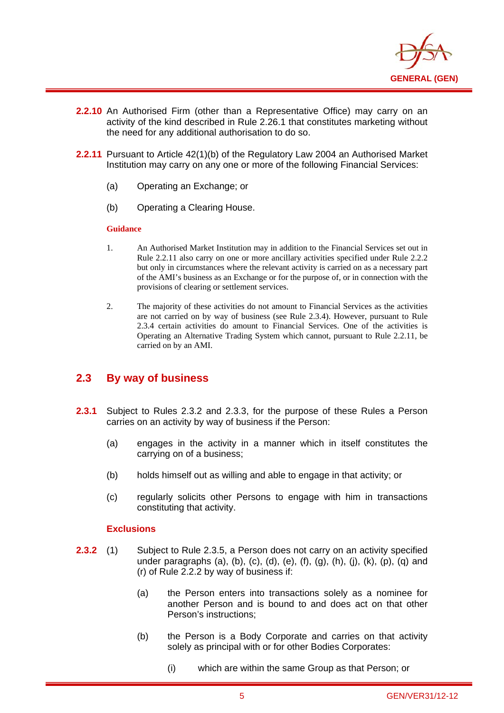

- **2.2.10** An Authorised Firm (other than a Representative Office) may carry on an activity of the kind described in Rule 2.26.1 that constitutes marketing without the need for any additional authorisation to do so.
- **2.2.11** Pursuant to Article 42(1)(b) of the Regulatory Law 2004 an Authorised Market Institution may carry on any one or more of the following Financial Services:
	- (a) Operating an Exchange; or
	- (b) Operating a Clearing House.

#### **Guidance**

i

- 1. An Authorised Market Institution may in addition to the Financial Services set out in Rule 2.2.11 also carry on one or more ancillary activities specified under Rule 2.2.2 but only in circumstances where the relevant activity is carried on as a necessary part of the AMI's business as an Exchange or for the purpose of, or in connection with the provisions of clearing or settlement services.
- 2. The majority of these activities do not amount to Financial Services as the activities are not carried on by way of business (see Rule 2.3.4). However, pursuant to Rule 2.3.4 certain activities do amount to Financial Services. One of the activities is Operating an Alternative Trading System which cannot, pursuant to Rule 2.2.11, be carried on by an AMI.

## **2.3 By way of business**

- **2.3.1** Subject to Rules 2.3.2 and 2.3.3, for the purpose of these Rules a Person carries on an activity by way of business if the Person:
	- (a) engages in the activity in a manner which in itself constitutes the carrying on of a business;
	- (b) holds himself out as willing and able to engage in that activity; or
	- (c) regularly solicits other Persons to engage with him in transactions constituting that activity.

- **2.3.2** (1) Subject to Rule 2.3.5, a Person does not carry on an activity specified under paragraphs (a), (b), (c), (d), (e), (f), (g), (h), (j), (k), (p), (q) and (r) of Rule 2.2.2 by way of business if:
	- (a) the Person enters into transactions solely as a nominee for another Person and is bound to and does act on that other Person's instructions;
	- (b) the Person is a Body Corporate and carries on that activity solely as principal with or for other Bodies Corporates:
		- (i) which are within the same Group as that Person; or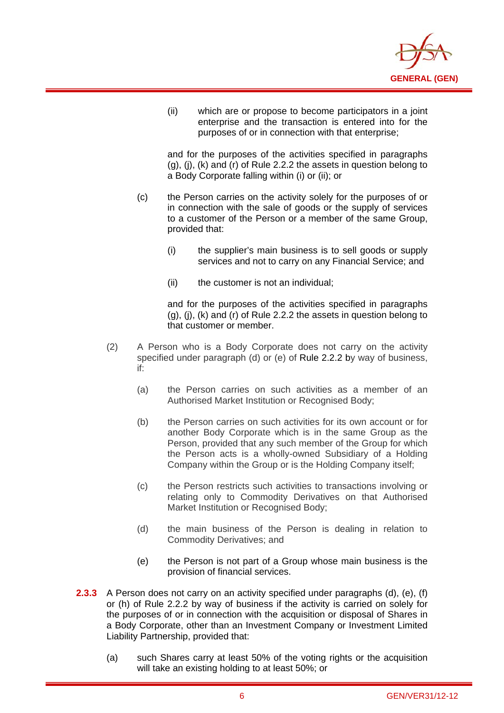

(ii) which are or propose to become participators in a joint enterprise and the transaction is entered into for the purposes of or in connection with that enterprise;

and for the purposes of the activities specified in paragraphs (g), (j), (k) and (r) of Rule 2.2.2 the assets in question belong to a Body Corporate falling within (i) or (ii); or

- (c) the Person carries on the activity solely for the purposes of or in connection with the sale of goods or the supply of services to a customer of the Person or a member of the same Group, provided that:
	- (i) the supplier's main business is to sell goods or supply services and not to carry on any Financial Service; and
	- (ii) the customer is not an individual;

i

and for the purposes of the activities specified in paragraphs (g), (j), (k) and (r) of Rule 2.2.2 the assets in question belong to that customer or member.

- (2) A Person who is a Body Corporate does not carry on the activity specified under paragraph (d) or (e) of Rule 2.2.2 by way of business, if:
	- (a) the Person carries on such activities as a member of an Authorised Market Institution or Recognised Body;
	- (b) the Person carries on such activities for its own account or for another Body Corporate which is in the same Group as the Person, provided that any such member of the Group for which the Person acts is a wholly-owned Subsidiary of a Holding Company within the Group or is the Holding Company itself;
	- (c) the Person restricts such activities to transactions involving or relating only to Commodity Derivatives on that Authorised Market Institution or Recognised Body;
	- (d) the main business of the Person is dealing in relation to Commodity Derivatives; and
	- (e) the Person is not part of a Group whose main business is the provision of financial services.
- **2.3.3** A Person does not carry on an activity specified under paragraphs (d), (e), (f) or (h) of Rule 2.2.2 by way of business if the activity is carried on solely for the purposes of or in connection with the acquisition or disposal of Shares in a Body Corporate, other than an Investment Company or Investment Limited Liability Partnership, provided that:
	- (a) such Shares carry at least 50% of the voting rights or the acquisition will take an existing holding to at least 50%; or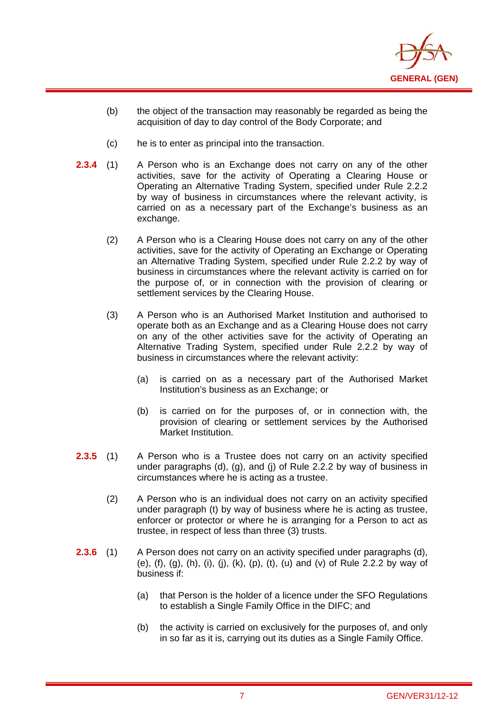

- (b) the object of the transaction may reasonably be regarded as being the acquisition of day to day control of the Body Corporate; and
- (c) he is to enter as principal into the transaction.

i

- **2.3.4** (1) A Person who is an Exchange does not carry on any of the other activities, save for the activity of Operating a Clearing House or Operating an Alternative Trading System, specified under Rule 2.2.2 by way of business in circumstances where the relevant activity, is carried on as a necessary part of the Exchange's business as an exchange.
	- (2) A Person who is a Clearing House does not carry on any of the other activities, save for the activity of Operating an Exchange or Operating an Alternative Trading System, specified under Rule 2.2.2 by way of business in circumstances where the relevant activity is carried on for the purpose of, or in connection with the provision of clearing or settlement services by the Clearing House.
	- (3) A Person who is an Authorised Market Institution and authorised to operate both as an Exchange and as a Clearing House does not carry on any of the other activities save for the activity of Operating an Alternative Trading System, specified under Rule 2.2.2 by way of business in circumstances where the relevant activity:
		- (a) is carried on as a necessary part of the Authorised Market Institution's business as an Exchange; or
		- (b) is carried on for the purposes of, or in connection with, the provision of clearing or settlement services by the Authorised Market Institution.
- **2.3.5** (1) A Person who is a Trustee does not carry on an activity specified under paragraphs (d), (g), and (j) of Rule 2.2.2 by way of business in circumstances where he is acting as a trustee.
	- (2) A Person who is an individual does not carry on an activity specified under paragraph (t) by way of business where he is acting as trustee, enforcer or protector or where he is arranging for a Person to act as trustee, in respect of less than three (3) trusts.
- **2.3.6** (1) A Person does not carry on an activity specified under paragraphs (d), (e),  $(f)$ ,  $(g)$ ,  $(h)$ ,  $(i)$ ,  $(j)$ ,  $(k)$ ,  $(p)$ ,  $(t)$ ,  $(u)$  and  $(v)$  of Rule 2.2.2 by way of business if:
	- (a) that Person is the holder of a licence under the SFO Regulations to establish a Single Family Office in the DIFC; and
	- (b) the activity is carried on exclusively for the purposes of, and only in so far as it is, carrying out its duties as a Single Family Office.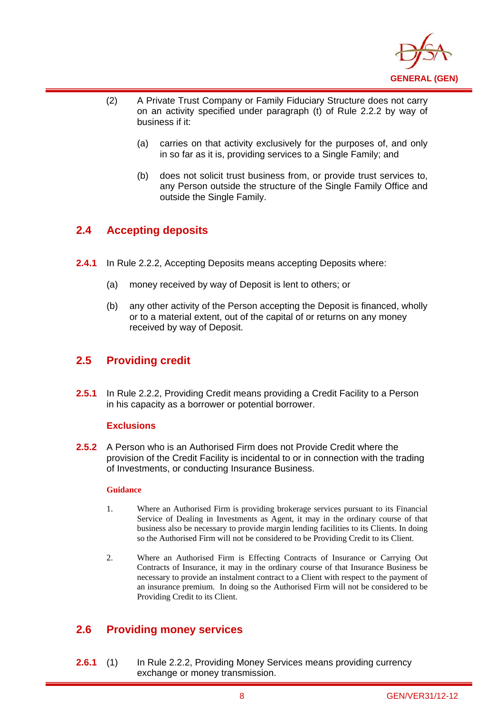

- (2) A Private Trust Company or Family Fiduciary Structure does not carry on an activity specified under paragraph (t) of Rule 2.2.2 by way of business if it:
	- (a) carries on that activity exclusively for the purposes of, and only in so far as it is, providing services to a Single Family; and
	- (b) does not solicit trust business from, or provide trust services to, any Person outside the structure of the Single Family Office and outside the Single Family.

## **2.4 Accepting deposits**

i

- **2.4.1** In Rule 2.2.2, Accepting Deposits means accepting Deposits where:
	- (a) money received by way of Deposit is lent to others; or
	- (b) any other activity of the Person accepting the Deposit is financed, wholly or to a material extent, out of the capital of or returns on any money received by way of Deposit.

## **2.5 Providing credit**

**2.5.1** In Rule 2.2.2, Providing Credit means providing a Credit Facility to a Person in his capacity as a borrower or potential borrower.

#### **Exclusions**

**2.5.2** A Person who is an Authorised Firm does not Provide Credit where the provision of the Credit Facility is incidental to or in connection with the trading of Investments, or conducting Insurance Business.

#### **Guidance**

- 1. Where an Authorised Firm is providing brokerage services pursuant to its Financial Service of Dealing in Investments as Agent, it may in the ordinary course of that business also be necessary to provide margin lending facilities to its Clients. In doing so the Authorised Firm will not be considered to be Providing Credit to its Client.
- 2. Where an Authorised Firm is Effecting Contracts of Insurance or Carrying Out Contracts of Insurance, it may in the ordinary course of that Insurance Business be necessary to provide an instalment contract to a Client with respect to the payment of an insurance premium. In doing so the Authorised Firm will not be considered to be Providing Credit to its Client.

## **2.6 Providing money services**

**2.6.1** (1) In Rule 2.2.2, Providing Money Services means providing currency exchange or money transmission.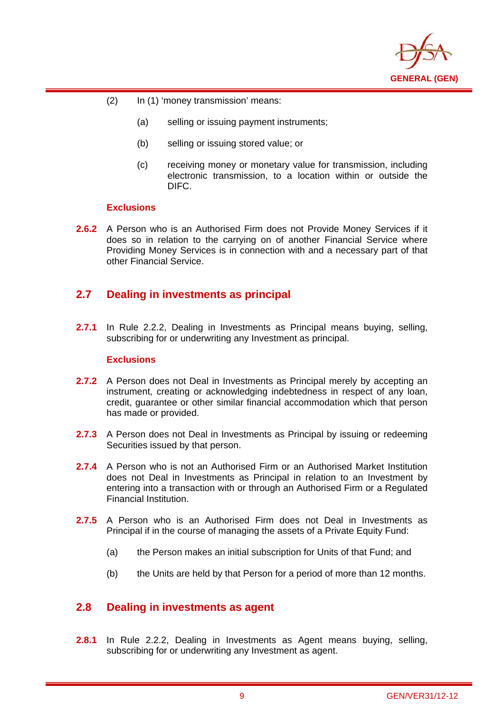

- (2) In (1) 'money transmission' means:
	- (a) selling or issuing payment instruments;
	- (b) selling or issuing stored value; or
	- (c) receiving money or monetary value for transmission, including electronic transmission, to a location within or outside the DIFC.

#### **Exclusions**

i

**2.6.2** A Person who is an Authorised Firm does not Provide Money Services if it does so in relation to the carrying on of another Financial Service where Providing Money Services is in connection with and a necessary part of that other Financial Service.

## **2.7 Dealing in investments as principal**

**2.7.1** In Rule 2.2.2, Dealing in Investments as Principal means buying, selling, subscribing for or underwriting any Investment as principal.

#### **Exclusions**

- **2.7.2** A Person does not Deal in Investments as Principal merely by accepting an instrument, creating or acknowledging indebtedness in respect of any loan, credit, guarantee or other similar financial accommodation which that person has made or provided.
- **2.7.3** A Person does not Deal in Investments as Principal by issuing or redeeming Securities issued by that person.
- **2.7.4** A Person who is not an Authorised Firm or an Authorised Market Institution does not Deal in Investments as Principal in relation to an Investment by entering into a transaction with or through an Authorised Firm or a Regulated Financial Institution.
- **2.7.5** A Person who is an Authorised Firm does not Deal in Investments as Principal if in the course of managing the assets of a Private Equity Fund:
	- (a) the Person makes an initial subscription for Units of that Fund; and
	- (b) the Units are held by that Person for a period of more than 12 months.

## **2.8 Dealing in investments as agent**

**2.8.1** In Rule 2.2.2, Dealing in Investments as Agent means buying, selling, subscribing for or underwriting any Investment as agent.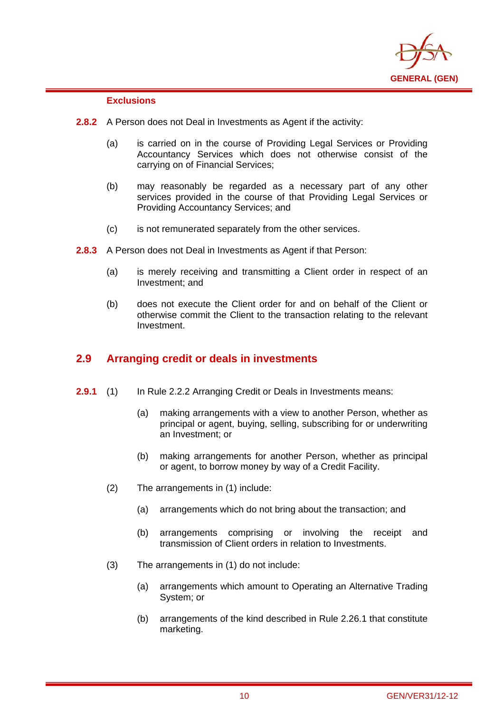

#### **Exclusions**

i

- **2.8.2** A Person does not Deal in Investments as Agent if the activity:
	- (a) is carried on in the course of Providing Legal Services or Providing Accountancy Services which does not otherwise consist of the carrying on of Financial Services;
	- (b) may reasonably be regarded as a necessary part of any other services provided in the course of that Providing Legal Services or Providing Accountancy Services; and
	- (c) is not remunerated separately from the other services.
- **2.8.3** A Person does not Deal in Investments as Agent if that Person:
	- (a) is merely receiving and transmitting a Client order in respect of an Investment; and
	- (b) does not execute the Client order for and on behalf of the Client or otherwise commit the Client to the transaction relating to the relevant Investment.

## **2.9 Arranging credit or deals in investments**

- **2.9.1** (1) In Rule 2.2.2 Arranging Credit or Deals in Investments means:
	- (a) making arrangements with a view to another Person, whether as principal or agent, buying, selling, subscribing for or underwriting an Investment; or
	- (b) making arrangements for another Person, whether as principal or agent, to borrow money by way of a Credit Facility.
	- (2) The arrangements in (1) include:
		- (a) arrangements which do not bring about the transaction; and
		- (b) arrangements comprising or involving the receipt and transmission of Client orders in relation to Investments.
	- (3) The arrangements in (1) do not include:
		- (a) arrangements which amount to Operating an Alternative Trading System; or
		- (b) arrangements of the kind described in Rule 2.26.1 that constitute marketing.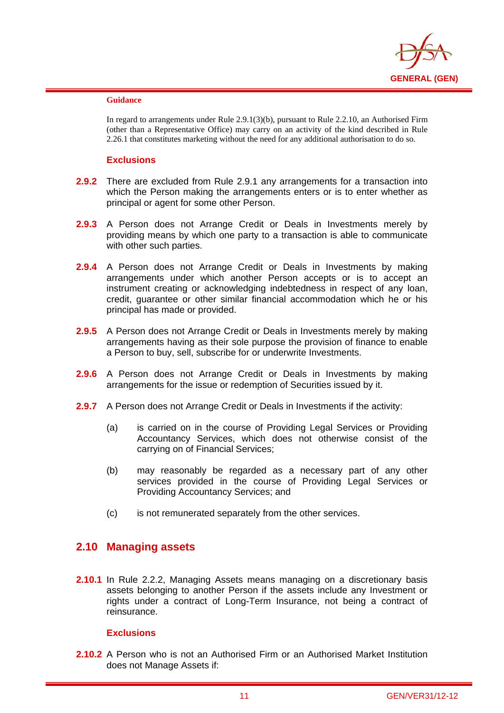

#### **Guidance**

i

In regard to arrangements under Rule 2.9.1(3)(b), pursuant to Rule 2.2.10, an Authorised Firm (other than a Representative Office) may carry on an activity of the kind described in Rule 2.26.1 that constitutes marketing without the need for any additional authorisation to do so.

#### **Exclusions**

- **2.9.2** There are excluded from Rule 2.9.1 any arrangements for a transaction into which the Person making the arrangements enters or is to enter whether as principal or agent for some other Person.
- **2.9.3** A Person does not Arrange Credit or Deals in Investments merely by providing means by which one party to a transaction is able to communicate with other such parties.
- **2.9.4** A Person does not Arrange Credit or Deals in Investments by making arrangements under which another Person accepts or is to accept an instrument creating or acknowledging indebtedness in respect of any loan, credit, guarantee or other similar financial accommodation which he or his principal has made or provided.
- **2.9.5** A Person does not Arrange Credit or Deals in Investments merely by making arrangements having as their sole purpose the provision of finance to enable a Person to buy, sell, subscribe for or underwrite Investments.
- **2.9.6** A Person does not Arrange Credit or Deals in Investments by making arrangements for the issue or redemption of Securities issued by it.
- **2.9.7** A Person does not Arrange Credit or Deals in Investments if the activity:
	- (a) is carried on in the course of Providing Legal Services or Providing Accountancy Services, which does not otherwise consist of the carrying on of Financial Services;
	- (b) may reasonably be regarded as a necessary part of any other services provided in the course of Providing Legal Services or Providing Accountancy Services; and
	- (c) is not remunerated separately from the other services.

## **2.10 Managing assets**

**2.10.1** In Rule 2.2.2, Managing Assets means managing on a discretionary basis assets belonging to another Person if the assets include any Investment or rights under a contract of Long-Term Insurance, not being a contract of reinsurance.

#### **Exclusions**

**2.10.2** A Person who is not an Authorised Firm or an Authorised Market Institution does not Manage Assets if: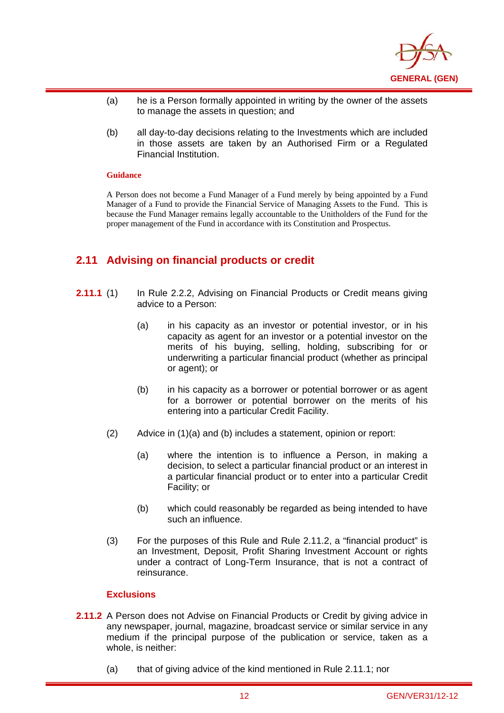

- (a) he is a Person formally appointed in writing by the owner of the assets to manage the assets in question; and
- (b) all day-to-day decisions relating to the Investments which are included in those assets are taken by an Authorised Firm or a Regulated Financial Institution.

#### **Guidance**

i

A Person does not become a Fund Manager of a Fund merely by being appointed by a Fund Manager of a Fund to provide the Financial Service of Managing Assets to the Fund. This is because the Fund Manager remains legally accountable to the Unitholders of the Fund for the proper management of the Fund in accordance with its Constitution and Prospectus.

## **2.11 Advising on financial products or credit**

- **2.11.1** (1) In Rule 2.2.2, Advising on Financial Products or Credit means giving advice to a Person:
	- (a) in his capacity as an investor or potential investor, or in his capacity as agent for an investor or a potential investor on the merits of his buying, selling, holding, subscribing for or underwriting a particular financial product (whether as principal or agent); or
	- (b) in his capacity as a borrower or potential borrower or as agent for a borrower or potential borrower on the merits of his entering into a particular Credit Facility.
	- (2) Advice in (1)(a) and (b) includes a statement, opinion or report:
		- (a) where the intention is to influence a Person, in making a decision, to select a particular financial product or an interest in a particular financial product or to enter into a particular Credit Facility; or
		- (b) which could reasonably be regarded as being intended to have such an influence.
	- (3) For the purposes of this Rule and Rule 2.11.2, a "financial product" is an Investment, Deposit, Profit Sharing Investment Account or rights under a contract of Long-Term Insurance, that is not a contract of reinsurance.

- **2.11.2** A Person does not Advise on Financial Products or Credit by giving advice in any newspaper, journal, magazine, broadcast service or similar service in any medium if the principal purpose of the publication or service, taken as a whole, is neither:
	- (a) that of giving advice of the kind mentioned in Rule 2.11.1; nor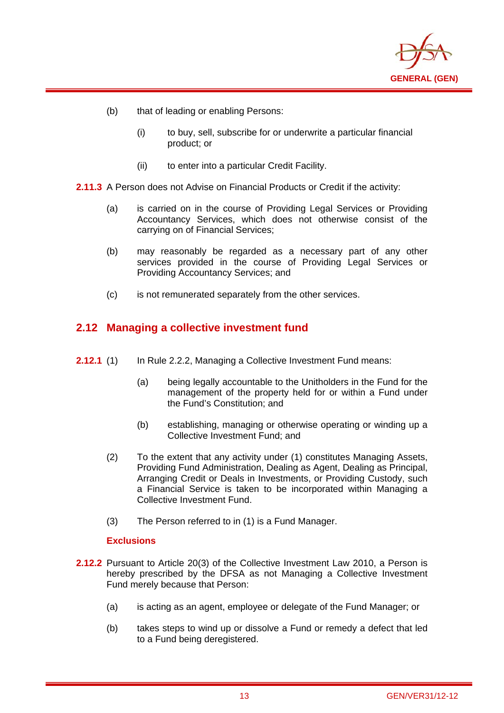

(b) that of leading or enabling Persons:

i

- (i) to buy, sell, subscribe for or underwrite a particular financial product; or
- (ii) to enter into a particular Credit Facility.
- **2.11.3** A Person does not Advise on Financial Products or Credit if the activity:
	- (a) is carried on in the course of Providing Legal Services or Providing Accountancy Services, which does not otherwise consist of the carrying on of Financial Services;
	- (b) may reasonably be regarded as a necessary part of any other services provided in the course of Providing Legal Services or Providing Accountancy Services; and
	- (c) is not remunerated separately from the other services.

## **2.12 Managing a collective investment fund**

- **2.12.1** (1) In Rule 2.2.2, Managing a Collective Investment Fund means:
	- (a) being legally accountable to the Unitholders in the Fund for the management of the property held for or within a Fund under the Fund's Constitution; and
	- (b) establishing, managing or otherwise operating or winding up a Collective Investment Fund; and
	- (2) To the extent that any activity under (1) constitutes Managing Assets, Providing Fund Administration, Dealing as Agent, Dealing as Principal, Arranging Credit or Deals in Investments, or Providing Custody, such a Financial Service is taken to be incorporated within Managing a Collective Investment Fund.
	- (3) The Person referred to in (1) is a Fund Manager.

- **2.12.2** Pursuant to Article 20(3) of the Collective Investment Law 2010, a Person is hereby prescribed by the DFSA as not Managing a Collective Investment Fund merely because that Person:
	- (a) is acting as an agent, employee or delegate of the Fund Manager; or
	- (b) takes steps to wind up or dissolve a Fund or remedy a defect that led to a Fund being deregistered.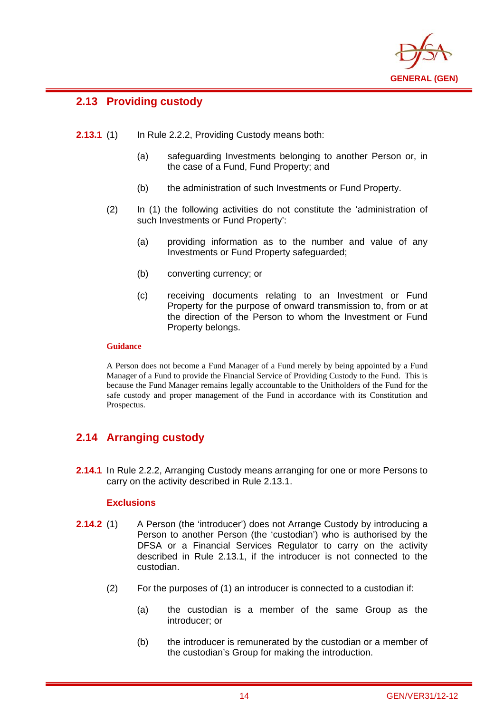

## **2.13 Providing custody**

i

- **2.13.1** (1) In Rule 2.2.2, Providing Custody means both:
	- (a) safeguarding Investments belonging to another Person or, in the case of a Fund, Fund Property; and
	- (b) the administration of such Investments or Fund Property.
	- (2) In (1) the following activities do not constitute the 'administration of such Investments or Fund Property':
		- (a) providing information as to the number and value of any Investments or Fund Property safeguarded;
		- (b) converting currency; or
		- (c) receiving documents relating to an Investment or Fund Property for the purpose of onward transmission to, from or at the direction of the Person to whom the Investment or Fund Property belongs.

#### **Guidance**

A Person does not become a Fund Manager of a Fund merely by being appointed by a Fund Manager of a Fund to provide the Financial Service of Providing Custody to the Fund. This is because the Fund Manager remains legally accountable to the Unitholders of the Fund for the safe custody and proper management of the Fund in accordance with its Constitution and Prospectus.

## **2.14 Arranging custody**

**2.14.1** In Rule 2.2.2, Arranging Custody means arranging for one or more Persons to carry on the activity described in Rule 2.13.1.

- **2.14.2** (1) A Person (the 'introducer') does not Arrange Custody by introducing a Person to another Person (the 'custodian') who is authorised by the DFSA or a Financial Services Regulator to carry on the activity described in Rule 2.13.1, if the introducer is not connected to the custodian.
	- (2) For the purposes of (1) an introducer is connected to a custodian if:
		- (a) the custodian is a member of the same Group as the introducer; or
		- (b) the introducer is remunerated by the custodian or a member of the custodian's Group for making the introduction.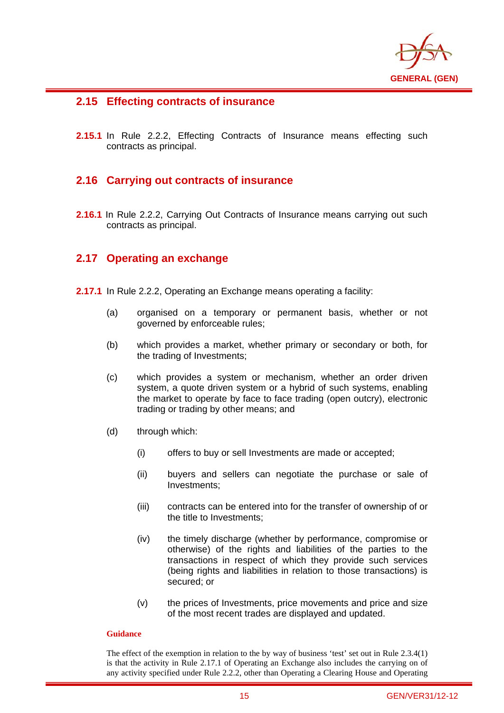

## **2.15 Effecting contracts of insurance**

i

**2.15.1** In Rule 2.2.2, Effecting Contracts of Insurance means effecting such contracts as principal.

## **2.16 Carrying out contracts of insurance**

**2.16.1** In Rule 2.2.2, Carrying Out Contracts of Insurance means carrying out such contracts as principal.

## **2.17 Operating an exchange**

- **2.17.1** In Rule 2.2.2, Operating an Exchange means operating a facility:
	- (a) organised on a temporary or permanent basis, whether or not governed by enforceable rules;
	- (b) which provides a market, whether primary or secondary or both, for the trading of Investments;
	- (c) which provides a system or mechanism, whether an order driven system, a quote driven system or a hybrid of such systems, enabling the market to operate by face to face trading (open outcry), electronic trading or trading by other means; and
	- (d) through which:
		- (i) offers to buy or sell Investments are made or accepted;
		- (ii) buyers and sellers can negotiate the purchase or sale of Investments;
		- (iii) contracts can be entered into for the transfer of ownership of or the title to Investments;
		- (iv) the timely discharge (whether by performance, compromise or otherwise) of the rights and liabilities of the parties to the transactions in respect of which they provide such services (being rights and liabilities in relation to those transactions) is secured; or
		- (v) the prices of Investments, price movements and price and size of the most recent trades are displayed and updated.

#### **Guidance**

The effect of the exemption in relation to the by way of business 'test' set out in Rule 2.3.4(1) is that the activity in Rule 2.17.1 of Operating an Exchange also includes the carrying on of any activity specified under Rule 2.2.2, other than Operating a Clearing House and Operating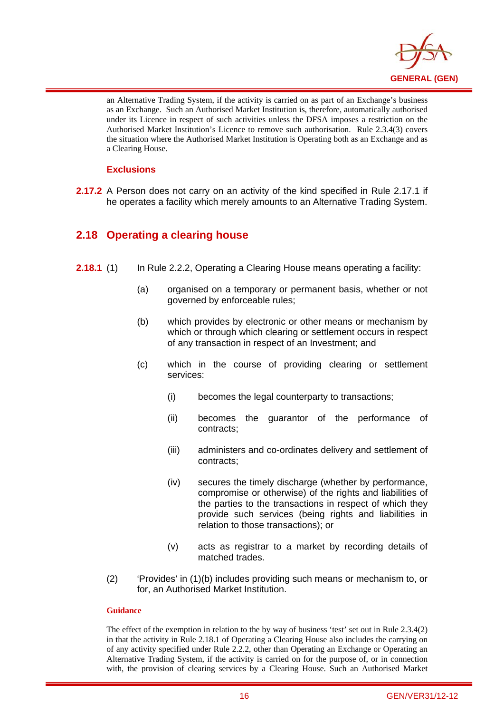

an Alternative Trading System, if the activity is carried on as part of an Exchange's business as an Exchange. Such an Authorised Market Institution is, therefore, automatically authorised under its Licence in respect of such activities unless the DFSA imposes a restriction on the Authorised Market Institution's Licence to remove such authorisation. Rule 2.3.4(3) covers the situation where the Authorised Market Institution is Operating both as an Exchange and as a Clearing House.

#### **Exclusions**

i

**2.17.2** A Person does not carry on an activity of the kind specified in Rule 2.17.1 if he operates a facility which merely amounts to an Alternative Trading System.

## **2.18 Operating a clearing house**

- **2.18.1** (1) In Rule 2.2.2, Operating a Clearing House means operating a facility:
	- (a) organised on a temporary or permanent basis, whether or not governed by enforceable rules;
	- (b) which provides by electronic or other means or mechanism by which or through which clearing or settlement occurs in respect of any transaction in respect of an Investment; and
	- (c) which in the course of providing clearing or settlement services:
		- (i) becomes the legal counterparty to transactions;
		- (ii) becomes the guarantor of the performance of contracts;
		- (iii) administers and co-ordinates delivery and settlement of contracts;
		- (iv) secures the timely discharge (whether by performance, compromise or otherwise) of the rights and liabilities of the parties to the transactions in respect of which they provide such services (being rights and liabilities in relation to those transactions); or
		- (v) acts as registrar to a market by recording details of matched trades.
	- (2) 'Provides' in (1)(b) includes providing such means or mechanism to, or for, an Authorised Market Institution.

#### **Guidance**

The effect of the exemption in relation to the by way of business 'test' set out in Rule 2.3.4(2) in that the activity in Rule 2.18.1 of Operating a Clearing House also includes the carrying on of any activity specified under Rule 2.2.2, other than Operating an Exchange or Operating an Alternative Trading System, if the activity is carried on for the purpose of, or in connection with, the provision of clearing services by a Clearing House. Such an Authorised Market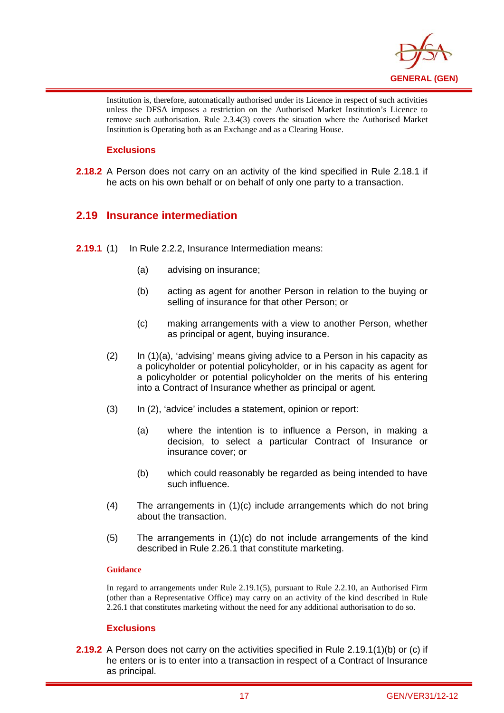

Institution is, therefore, automatically authorised under its Licence in respect of such activities unless the DFSA imposes a restriction on the Authorised Market Institution's Licence to remove such authorisation. Rule 2.3.4(3) covers the situation where the Authorised Market Institution is Operating both as an Exchange and as a Clearing House.

#### **Exclusions**

i

**2.18.2** A Person does not carry on an activity of the kind specified in Rule 2.18.1 if he acts on his own behalf or on behalf of only one party to a transaction.

## **2.19 Insurance intermediation**

- **2.19.1** (1) In Rule 2.2.2, Insurance Intermediation means:
	- (a) advising on insurance;
	- (b) acting as agent for another Person in relation to the buying or selling of insurance for that other Person; or
	- (c) making arrangements with a view to another Person, whether as principal or agent, buying insurance.
	- (2) In (1)(a), 'advising' means giving advice to a Person in his capacity as a policyholder or potential policyholder, or in his capacity as agent for a policyholder or potential policyholder on the merits of his entering into a Contract of Insurance whether as principal or agent.
	- (3) In (2), 'advice' includes a statement, opinion or report:
		- (a) where the intention is to influence a Person, in making a decision, to select a particular Contract of Insurance or insurance cover; or
		- (b) which could reasonably be regarded as being intended to have such influence.
	- (4) The arrangements in (1)(c) include arrangements which do not bring about the transaction.
	- (5) The arrangements in (1)(c) do not include arrangements of the kind described in Rule 2.26.1 that constitute marketing.

#### **Guidance**

In regard to arrangements under Rule 2.19.1(5), pursuant to Rule 2.2.10, an Authorised Firm (other than a Representative Office) may carry on an activity of the kind described in Rule 2.26.1 that constitutes marketing without the need for any additional authorisation to do so.

#### **Exclusions**

**2.19.2** A Person does not carry on the activities specified in Rule 2.19.1(1)(b) or (c) if he enters or is to enter into a transaction in respect of a Contract of Insurance as principal.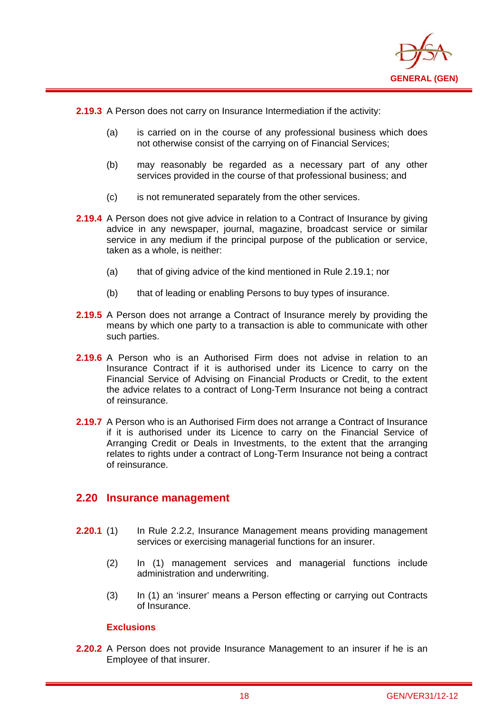

**2.19.3** A Person does not carry on Insurance Intermediation if the activity:

i

- (a) is carried on in the course of any professional business which does not otherwise consist of the carrying on of Financial Services;
- (b) may reasonably be regarded as a necessary part of any other services provided in the course of that professional business; and
- (c) is not remunerated separately from the other services.
- **2.19.4** A Person does not give advice in relation to a Contract of Insurance by giving advice in any newspaper, journal, magazine, broadcast service or similar service in any medium if the principal purpose of the publication or service, taken as a whole, is neither:
	- (a) that of giving advice of the kind mentioned in Rule 2.19.1; nor
	- (b) that of leading or enabling Persons to buy types of insurance.
- **2.19.5** A Person does not arrange a Contract of Insurance merely by providing the means by which one party to a transaction is able to communicate with other such parties.
- **2.19.6** A Person who is an Authorised Firm does not advise in relation to an Insurance Contract if it is authorised under its Licence to carry on the Financial Service of Advising on Financial Products or Credit, to the extent the advice relates to a contract of Long-Term Insurance not being a contract of reinsurance.
- **2.19.7** A Person who is an Authorised Firm does not arrange a Contract of Insurance if it is authorised under its Licence to carry on the Financial Service of Arranging Credit or Deals in Investments, to the extent that the arranging relates to rights under a contract of Long-Term Insurance not being a contract of reinsurance.

#### **2.20 Insurance management**

- **2.20.1** (1) In Rule 2.2.2, Insurance Management means providing management services or exercising managerial functions for an insurer.
	- (2) In (1) management services and managerial functions include administration and underwriting.
	- (3) In (1) an 'insurer' means a Person effecting or carrying out Contracts of Insurance.

#### **Exclusions**

**2.20.2** A Person does not provide Insurance Management to an insurer if he is an Employee of that insurer.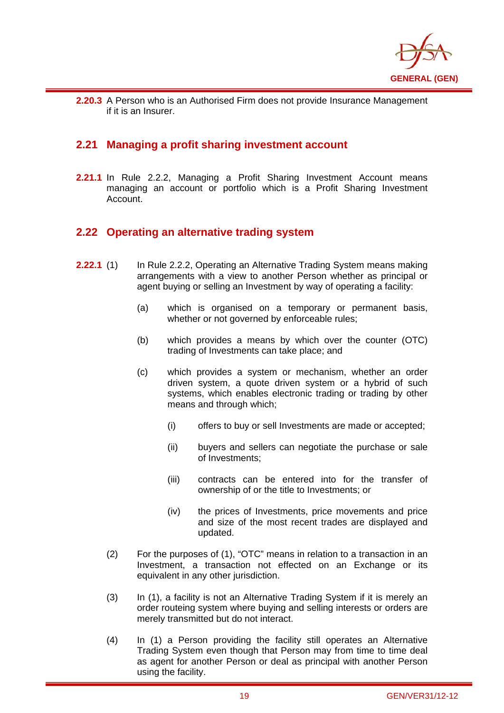

i **2.20.3** A Person who is an Authorised Firm does not provide Insurance Management if it is an Insurer.

## **2.21 Managing a profit sharing investment account**

**2.21.1** In Rule 2.2.2, Managing a Profit Sharing Investment Account means managing an account or portfolio which is a Profit Sharing Investment Account.

## **2.22 Operating an alternative trading system**

- **2.22.1** (1) In Rule 2.2.2, Operating an Alternative Trading System means making arrangements with a view to another Person whether as principal or agent buying or selling an Investment by way of operating a facility:
	- (a) which is organised on a temporary or permanent basis, whether or not governed by enforceable rules;
	- (b) which provides a means by which over the counter (OTC) trading of Investments can take place; and
	- (c) which provides a system or mechanism, whether an order driven system, a quote driven system or a hybrid of such systems, which enables electronic trading or trading by other means and through which;
		- (i) offers to buy or sell Investments are made or accepted;
		- (ii) buyers and sellers can negotiate the purchase or sale of Investments;
		- (iii) contracts can be entered into for the transfer of ownership of or the title to Investments; or
		- (iv) the prices of Investments, price movements and price and size of the most recent trades are displayed and updated.
	- (2) For the purposes of (1), "OTC" means in relation to a transaction in an Investment, a transaction not effected on an Exchange or its equivalent in any other jurisdiction.
	- (3) In (1), a facility is not an Alternative Trading System if it is merely an order routeing system where buying and selling interests or orders are merely transmitted but do not interact.
	- (4) In (1) a Person providing the facility still operates an Alternative Trading System even though that Person may from time to time deal as agent for another Person or deal as principal with another Person using the facility.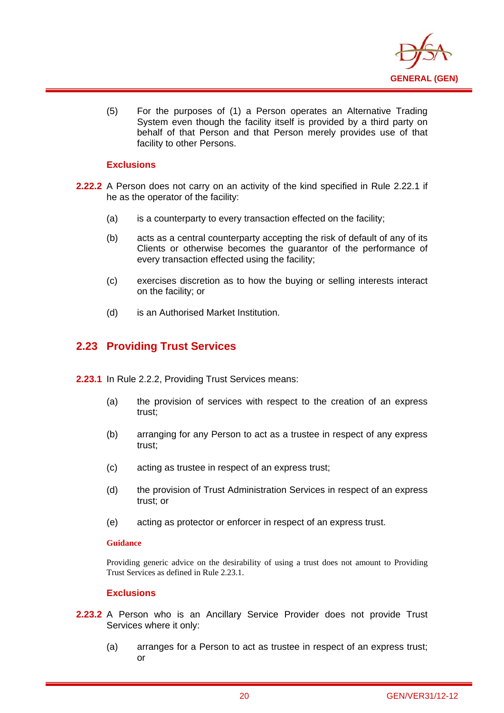

(5) For the purposes of (1) a Person operates an Alternative Trading System even though the facility itself is provided by a third party on behalf of that Person and that Person merely provides use of that facility to other Persons.

#### **Exclusions**

i

- **2.22.2** A Person does not carry on an activity of the kind specified in Rule 2.22.1 if he as the operator of the facility:
	- (a) is a counterparty to every transaction effected on the facility;
	- (b) acts as a central counterparty accepting the risk of default of any of its Clients or otherwise becomes the guarantor of the performance of every transaction effected using the facility;
	- (c) exercises discretion as to how the buying or selling interests interact on the facility; or
	- (d) is an Authorised Market Institution.

## **2.23 Providing Trust Services**

- **2.23.1** In Rule 2.2.2, Providing Trust Services means:
	- (a) the provision of services with respect to the creation of an express trust;
	- (b) arranging for any Person to act as a trustee in respect of any express trust;
	- (c) acting as trustee in respect of an express trust;
	- (d) the provision of Trust Administration Services in respect of an express trust; or
	- (e) acting as protector or enforcer in respect of an express trust.

#### **Guidance**

Providing generic advice on the desirability of using a trust does not amount to Providing Trust Services as defined in Rule 2.23.1.

- **2.23.2** A Person who is an Ancillary Service Provider does not provide Trust Services where it only:
	- (a) arranges for a Person to act as trustee in respect of an express trust; or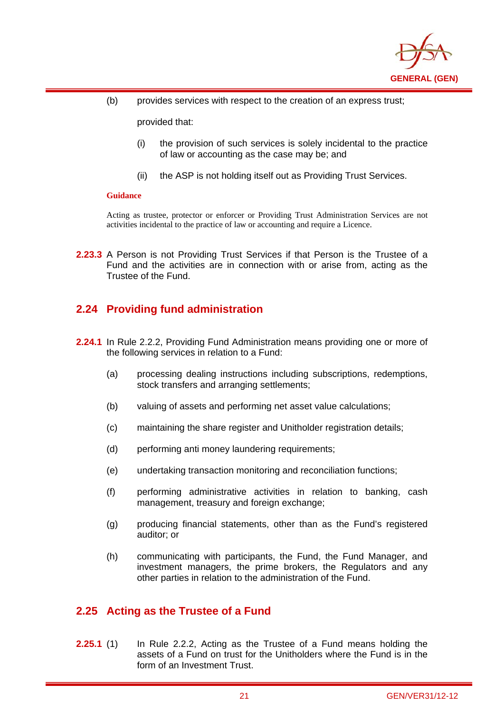

(b) provides services with respect to the creation of an express trust;

provided that:

- (i) the provision of such services is solely incidental to the practice of law or accounting as the case may be; and
- (ii) the ASP is not holding itself out as Providing Trust Services.

#### **Guidance**

i

Acting as trustee, protector or enforcer or Providing Trust Administration Services are not activities incidental to the practice of law or accounting and require a Licence.

**2.23.3** A Person is not Providing Trust Services if that Person is the Trustee of a Fund and the activities are in connection with or arise from, acting as the Trustee of the Fund.

## **2.24 Providing fund administration**

- **2.24.1** In Rule 2.2.2, Providing Fund Administration means providing one or more of the following services in relation to a Fund:
	- (a) processing dealing instructions including subscriptions, redemptions, stock transfers and arranging settlements:
	- (b) valuing of assets and performing net asset value calculations;
	- (c) maintaining the share register and Unitholder registration details;
	- (d) performing anti money laundering requirements;
	- (e) undertaking transaction monitoring and reconciliation functions;
	- (f) performing administrative activities in relation to banking, cash management, treasury and foreign exchange;
	- (g) producing financial statements, other than as the Fund's registered auditor; or
	- (h) communicating with participants, the Fund, the Fund Manager, and investment managers, the prime brokers, the Regulators and any other parties in relation to the administration of the Fund.

## **2.25 Acting as the Trustee of a Fund**

**2.25.1** (1) In Rule 2.2.2, Acting as the Trustee of a Fund means holding the assets of a Fund on trust for the Unitholders where the Fund is in the form of an Investment Trust.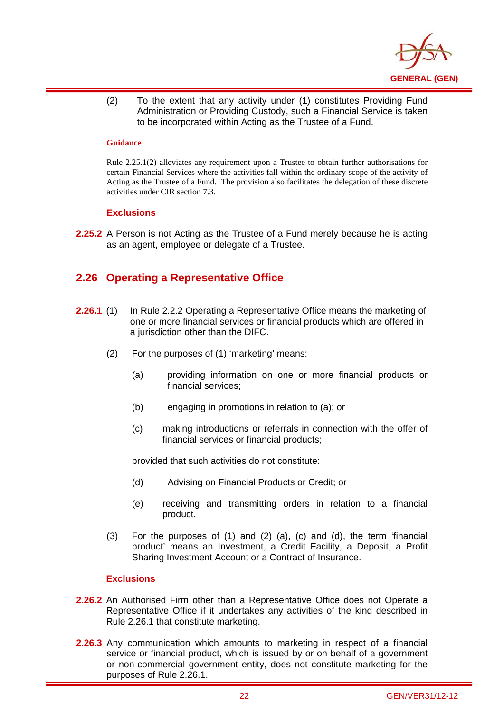

(2) To the extent that any activity under (1) constitutes Providing Fund Administration or Providing Custody, such a Financial Service is taken to be incorporated within Acting as the Trustee of a Fund.

#### **Guidance**

i

Rule 2.25.1(2) alleviates any requirement upon a Trustee to obtain further authorisations for certain Financial Services where the activities fall within the ordinary scope of the activity of Acting as the Trustee of a Fund. The provision also facilitates the delegation of these discrete activities under CIR section 7.3.

#### **Exclusions**

**2.25.2** A Person is not Acting as the Trustee of a Fund merely because he is acting as an agent, employee or delegate of a Trustee.

## **2.26 Operating a Representative Office**

- **2.26.1** (1) In Rule 2.2.2 Operating a Representative Office means the marketing of one or more financial services or financial products which are offered in a jurisdiction other than the DIFC.
	- (2) For the purposes of (1) 'marketing' means:
		- (a) providing information on one or more financial products or financial services;
		- (b) engaging in promotions in relation to (a); or
		- (c) making introductions or referrals in connection with the offer of financial services or financial products;

provided that such activities do not constitute:

- (d) Advising on Financial Products or Credit; or
- (e) receiving and transmitting orders in relation to a financial product.
- (3) For the purposes of (1) and (2) (a), (c) and (d), the term 'financial product' means an Investment, a Credit Facility, a Deposit, a Profit Sharing Investment Account or a Contract of Insurance.

- **2.26.2** An Authorised Firm other than a Representative Office does not Operate a Representative Office if it undertakes any activities of the kind described in Rule 2.26.1 that constitute marketing.
- **2.26.3** Any communication which amounts to marketing in respect of a financial service or financial product, which is issued by or on behalf of a government or non-commercial government entity, does not constitute marketing for the purposes of Rule 2.26.1.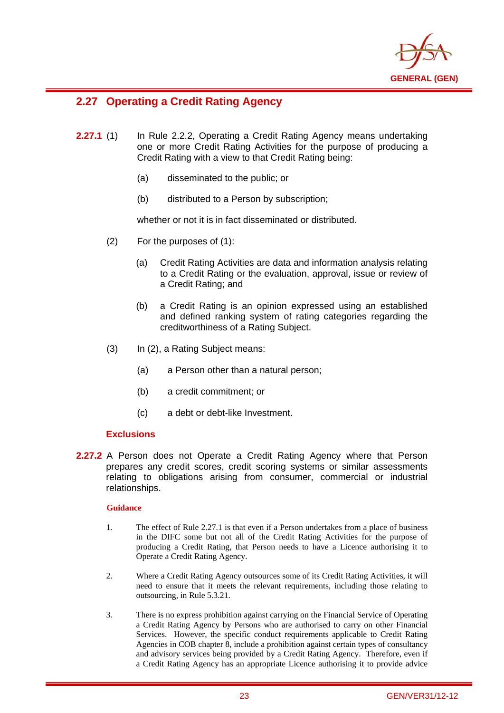

## **2.27 Operating a Credit Rating Agency**

i

- **2.27.1** (1) In Rule 2.2.2, Operating a Credit Rating Agency means undertaking one or more Credit Rating Activities for the purpose of producing a Credit Rating with a view to that Credit Rating being:
	- (a) disseminated to the public; or
	- (b) distributed to a Person by subscription;

whether or not it is in fact disseminated or distributed.

- (2) For the purposes of (1):
	- (a) Credit Rating Activities are data and information analysis relating to a Credit Rating or the evaluation, approval, issue or review of a Credit Rating; and
	- (b) a Credit Rating is an opinion expressed using an established and defined ranking system of rating categories regarding the creditworthiness of a Rating Subject.
- (3) In (2), a Rating Subject means:
	- (a) a Person other than a natural person;
	- (b) a credit commitment; or
	- (c) a debt or debt-like Investment.

#### **Exclusions**

**2.27.2** A Person does not Operate a Credit Rating Agency where that Person prepares any credit scores, credit scoring systems or similar assessments relating to obligations arising from consumer, commercial or industrial relationships.

#### **Guidance**

- 1. The effect of Rule 2.27.1 is that even if a Person undertakes from a place of business in the DIFC some but not all of the Credit Rating Activities for the purpose of producing a Credit Rating, that Person needs to have a Licence authorising it to Operate a Credit Rating Agency.
- 2. Where a Credit Rating Agency outsources some of its Credit Rating Activities, it will need to ensure that it meets the relevant requirements, including those relating to outsourcing, in Rule 5.3.21.
- 3. There is no express prohibition against carrying on the Financial Service of Operating a Credit Rating Agency by Persons who are authorised to carry on other Financial Services. However, the specific conduct requirements applicable to Credit Rating Agencies in COB chapter 8, include a prohibition against certain types of consultancy and advisory services being provided by a Credit Rating Agency. Therefore, even if a Credit Rating Agency has an appropriate Licence authorising it to provide advice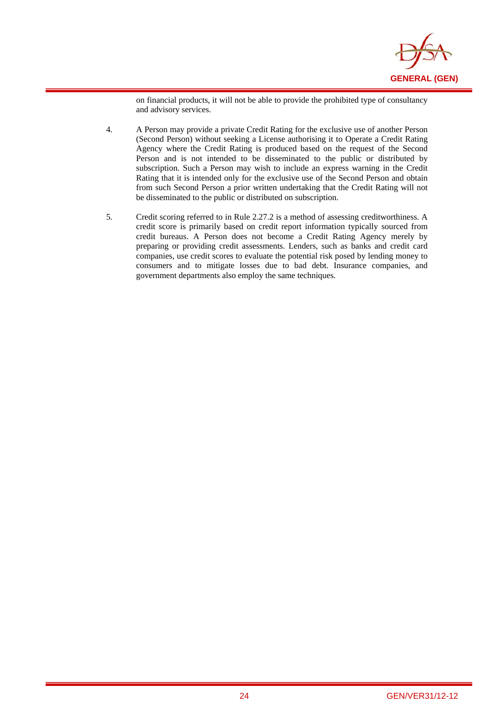

on financial products, it will not be able to provide the prohibited type of consultancy and advisory services.

4. A Person may provide a private Credit Rating for the exclusive use of another Person (Second Person) without seeking a License authorising it to Operate a Credit Rating Agency where the Credit Rating is produced based on the request of the Second Person and is not intended to be disseminated to the public or distributed by subscription. Such a Person may wish to include an express warning in the Credit Rating that it is intended only for the exclusive use of the Second Person and obtain from such Second Person a prior written undertaking that the Credit Rating will not be disseminated to the public or distributed on subscription.

i

5. Credit scoring referred to in Rule 2.27.2 is a method of assessing creditworthiness. A credit score is primarily based on credit report information typically sourced from credit bureaus. A Person does not become a Credit Rating Agency merely by preparing or providing credit assessments. Lenders, such as banks and credit card companies, use credit scores to evaluate the potential risk posed by lending money to consumers and to mitigate losses due to bad debt. Insurance companies, and government departments also employ the same techniques.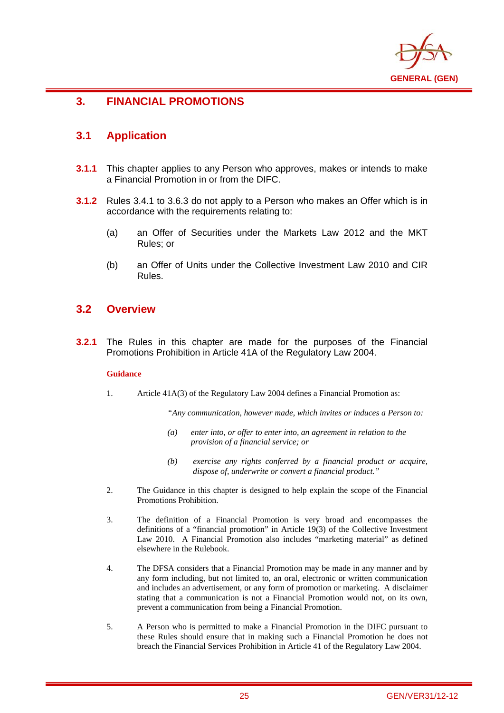

## **3. FINANCIAL PROMOTIONS**

## **3.1 Application**

i

- **3.1.1** This chapter applies to any Person who approves, makes or intends to make a Financial Promotion in or from the DIFC.
- **3.1.2** Rules 3.4.1 to 3.6.3 do not apply to a Person who makes an Offer which is in accordance with the requirements relating to:
	- (a) an Offer of Securities under the Markets Law 2012 and the MKT Rules; or
	- (b) an Offer of Units under the Collective Investment Law 2010 and CIR Rules.

#### **3.2 Overview**

**3.2.1** The Rules in this chapter are made for the purposes of the Financial Promotions Prohibition in Article 41A of the Regulatory Law 2004.

#### **Guidance**

1. Article 41A(3) of the Regulatory Law 2004 defines a Financial Promotion as:

*"Any communication, however made, which invites or induces a Person to:* 

- *(a) enter into, or offer to enter into, an agreement in relation to the provision of a financial service; or*
- *(b) exercise any rights conferred by a financial product or acquire, dispose of, underwrite or convert a financial product."*
- 2. The Guidance in this chapter is designed to help explain the scope of the Financial Promotions Prohibition.
- 3. The definition of a Financial Promotion is very broad and encompasses the definitions of a "financial promotion" in Article 19(3) of the Collective Investment Law 2010. A Financial Promotion also includes "marketing material" as defined elsewhere in the Rulebook.
- 4. The DFSA considers that a Financial Promotion may be made in any manner and by any form including, but not limited to, an oral, electronic or written communication and includes an advertisement, or any form of promotion or marketing. A disclaimer stating that a communication is not a Financial Promotion would not, on its own, prevent a communication from being a Financial Promotion.
- 5. A Person who is permitted to make a Financial Promotion in the DIFC pursuant to these Rules should ensure that in making such a Financial Promotion he does not breach the Financial Services Prohibition in Article 41 of the Regulatory Law 2004.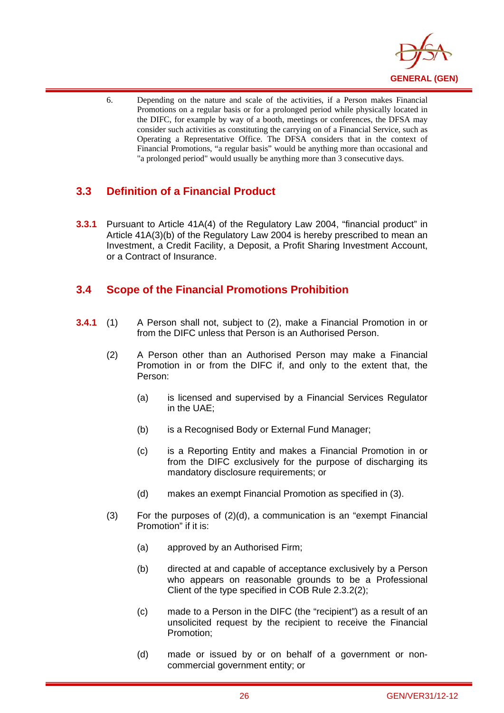

6. Depending on the nature and scale of the activities, if a Person makes Financial Promotions on a regular basis or for a prolonged period while physically located in the DIFC, for example by way of a booth, meetings or conferences, the DFSA may consider such activities as constituting the carrying on of a Financial Service, such as Operating a Representative Office. The DFSA considers that in the context of Financial Promotions, "a regular basis" would be anything more than occasional and "a prolonged period" would usually be anything more than 3 consecutive days.

## **3.3 Definition of a Financial Product**

i

**3.3.1** Pursuant to Article 41A(4) of the Regulatory Law 2004, "financial product" in Article 41A(3)(b) of the Regulatory Law 2004 is hereby prescribed to mean an Investment, a Credit Facility, a Deposit, a Profit Sharing Investment Account, or a Contract of Insurance.

## **3.4 Scope of the Financial Promotions Prohibition**

- **3.4.1** (1) A Person shall not, subject to (2), make a Financial Promotion in or from the DIFC unless that Person is an Authorised Person.
	- (2) A Person other than an Authorised Person may make a Financial Promotion in or from the DIFC if, and only to the extent that, the Person:
		- (a) is licensed and supervised by a Financial Services Regulator in the UAE;
		- (b) is a Recognised Body or External Fund Manager;
		- (c) is a Reporting Entity and makes a Financial Promotion in or from the DIFC exclusively for the purpose of discharging its mandatory disclosure requirements; or
		- (d) makes an exempt Financial Promotion as specified in (3).
	- $(3)$  For the purposes of  $(2)(d)$ , a communication is an "exempt Financial Promotion" if it is:
		- (a) approved by an Authorised Firm;
		- (b) directed at and capable of acceptance exclusively by a Person who appears on reasonable grounds to be a Professional Client of the type specified in COB Rule 2.3.2(2);
		- (c) made to a Person in the DIFC (the "recipient") as a result of an unsolicited request by the recipient to receive the Financial Promotion;
		- (d) made or issued by or on behalf of a government or noncommercial government entity; or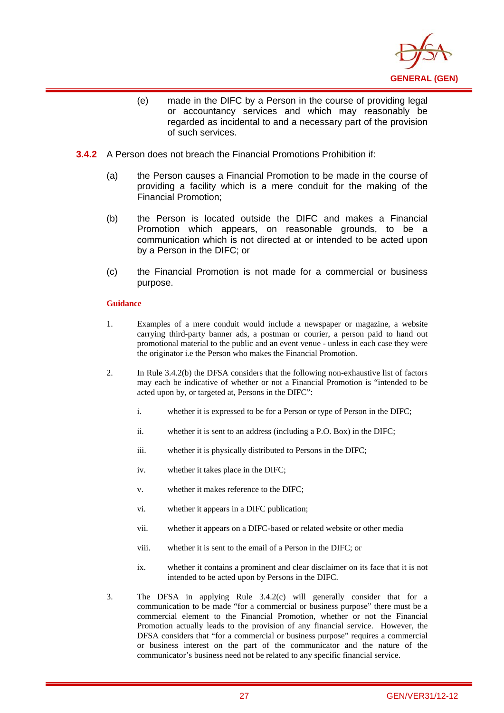

- (e) made in the DIFC by a Person in the course of providing legal or accountancy services and which may reasonably be regarded as incidental to and a necessary part of the provision of such services.
- **3.4.2** A Person does not breach the Financial Promotions Prohibition if:
	- (a) the Person causes a Financial Promotion to be made in the course of providing a facility which is a mere conduit for the making of the Financial Promotion;
	- (b) the Person is located outside the DIFC and makes a Financial Promotion which appears, on reasonable grounds, to be a communication which is not directed at or intended to be acted upon by a Person in the DIFC; or
	- (c) the Financial Promotion is not made for a commercial or business purpose.

#### **Guidance**

i

- 1. Examples of a mere conduit would include a newspaper or magazine, a website carrying third-party banner ads, a postman or courier, a person paid to hand out promotional material to the public and an event venue - unless in each case they were the originator i.e the Person who makes the Financial Promotion.
- 2. In Rule 3.4.2(b) the DFSA considers that the following non-exhaustive list of factors may each be indicative of whether or not a Financial Promotion is "intended to be acted upon by, or targeted at, Persons in the DIFC":
	- i. whether it is expressed to be for a Person or type of Person in the DIFC;
	- ii. whether it is sent to an address (including a P.O. Box) in the DIFC;
	- iii. whether it is physically distributed to Persons in the DIFC;
	- iv. whether it takes place in the DIFC;
	- v. whether it makes reference to the DIFC;
	- vi. whether it appears in a DIFC publication;
	- vii. whether it appears on a DIFC-based or related website or other media
	- viii. whether it is sent to the email of a Person in the DIFC; or
	- ix. whether it contains a prominent and clear disclaimer on its face that it is not intended to be acted upon by Persons in the DIFC.
- 3. The DFSA in applying Rule 3.4.2(c) will generally consider that for a communication to be made "for a commercial or business purpose" there must be a commercial element to the Financial Promotion, whether or not the Financial Promotion actually leads to the provision of any financial service. However, the DFSA considers that "for a commercial or business purpose" requires a commercial or business interest on the part of the communicator and the nature of the communicator's business need not be related to any specific financial service.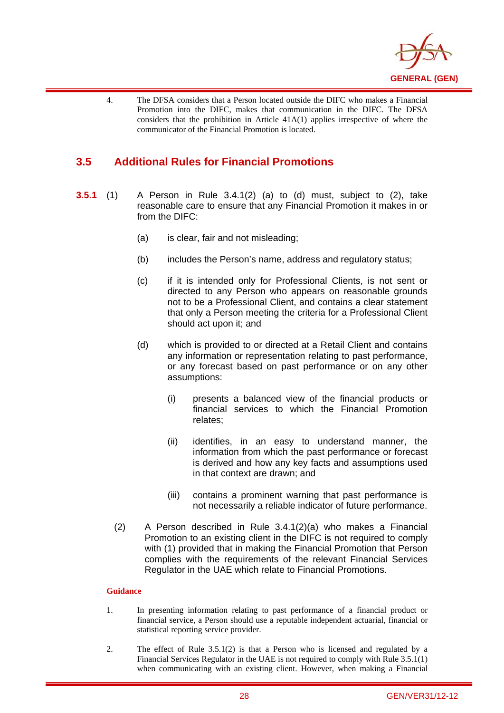

4. The DFSA considers that a Person located outside the DIFC who makes a Financial Promotion into the DIFC, makes that communication in the DIFC. The DFSA considers that the prohibition in Article 41A(1) applies irrespective of where the communicator of the Financial Promotion is located.

## **3.5 Additional Rules for Financial Promotions**

i

- **3.5.1** (1) A Person in Rule 3.4.1(2) (a) to (d) must, subject to (2), take reasonable care to ensure that any Financial Promotion it makes in or from the DIFC:
	- (a) is clear, fair and not misleading;
	- (b) includes the Person's name, address and regulatory status;
	- (c) if it is intended only for Professional Clients, is not sent or directed to any Person who appears on reasonable grounds not to be a Professional Client, and contains a clear statement that only a Person meeting the criteria for a Professional Client should act upon it; and
	- (d) which is provided to or directed at a Retail Client and contains any information or representation relating to past performance, or any forecast based on past performance or on any other assumptions:
		- (i) presents a balanced view of the financial products or financial services to which the Financial Promotion relates;
		- (ii) identifies, in an easy to understand manner, the information from which the past performance or forecast is derived and how any key facts and assumptions used in that context are drawn; and
		- (iii) contains a prominent warning that past performance is not necessarily a reliable indicator of future performance.
	- (2) A Person described in Rule 3.4.1(2)(a) who makes a Financial Promotion to an existing client in the DIFC is not required to comply with (1) provided that in making the Financial Promotion that Person complies with the requirements of the relevant Financial Services Regulator in the UAE which relate to Financial Promotions.

#### **Guidance**

- 1. In presenting information relating to past performance of a financial product or financial service, a Person should use a reputable independent actuarial, financial or statistical reporting service provider.
- 2. The effect of Rule 3.5.1(2) is that a Person who is licensed and regulated by a Financial Services Regulator in the UAE is not required to comply with Rule 3.5.1(1) when communicating with an existing client. However, when making a Financial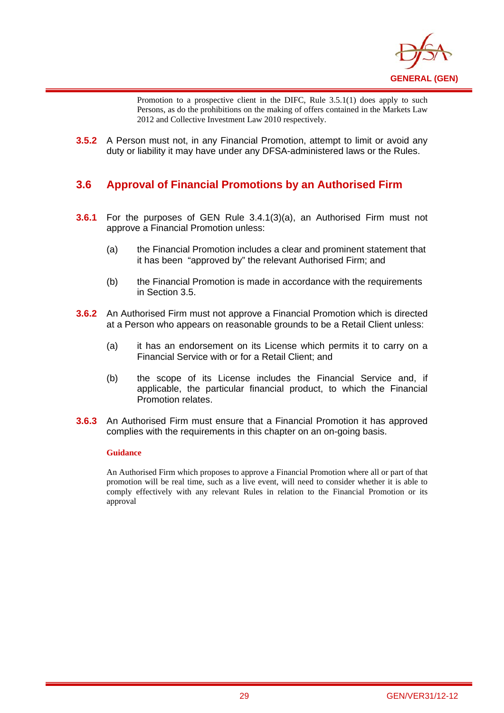

Promotion to a prospective client in the DIFC, Rule 3.5.1(1) does apply to such Persons, as do the prohibitions on the making of offers contained in the Markets Law 2012 and Collective Investment Law 2010 respectively.

**3.5.2** A Person must not, in any Financial Promotion, attempt to limit or avoid any duty or liability it may have under any DFSA-administered laws or the Rules.

## **3.6 Approval of Financial Promotions by an Authorised Firm**

- **3.6.1** For the purposes of GEN Rule 3.4.1(3)(a), an Authorised Firm must not approve a Financial Promotion unless:
	- (a) the Financial Promotion includes a clear and prominent statement that it has been "approved by" the relevant Authorised Firm; and
	- (b) the Financial Promotion is made in accordance with the requirements in Section 3.5.
- **3.6.2** An Authorised Firm must not approve a Financial Promotion which is directed at a Person who appears on reasonable grounds to be a Retail Client unless:
	- (a) it has an endorsement on its License which permits it to carry on a Financial Service with or for a Retail Client; and
	- (b) the scope of its License includes the Financial Service and, if applicable, the particular financial product, to which the Financial Promotion relates.
- **3.6.3** An Authorised Firm must ensure that a Financial Promotion it has approved complies with the requirements in this chapter on an on-going basis.

#### **Guidance**

i

An Authorised Firm which proposes to approve a Financial Promotion where all or part of that promotion will be real time, such as a live event, will need to consider whether it is able to comply effectively with any relevant Rules in relation to the Financial Promotion or its approval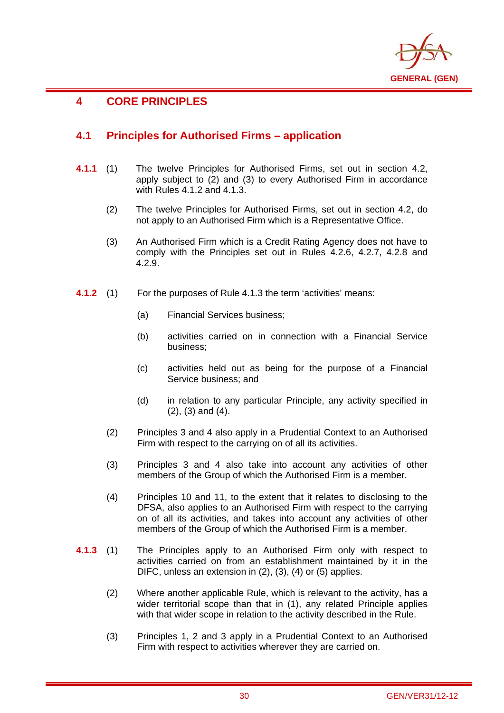

## **4 CORE PRINCIPLES**

i

## **4.1 Principles for Authorised Firms – application**

- **4.1.1** (1) The twelve Principles for Authorised Firms, set out in section 4.2, apply subject to (2) and (3) to every Authorised Firm in accordance with Rules 4.1.2 and 4.1.3.
	- (2) The twelve Principles for Authorised Firms, set out in section 4.2, do not apply to an Authorised Firm which is a Representative Office.
	- (3) An Authorised Firm which is a Credit Rating Agency does not have to comply with the Principles set out in Rules 4.2.6, 4.2.7, 4.2.8 and 4.2.9.
- **4.1.2** (1) For the purposes of Rule 4.1.3 the term 'activities' means:
	- (a) Financial Services business;
	- (b) activities carried on in connection with a Financial Service business;
	- (c) activities held out as being for the purpose of a Financial Service business; and
	- (d) in relation to any particular Principle, any activity specified in (2), (3) and (4).
	- (2) Principles 3 and 4 also apply in a Prudential Context to an Authorised Firm with respect to the carrying on of all its activities.
	- (3) Principles 3 and 4 also take into account any activities of other members of the Group of which the Authorised Firm is a member.
	- (4) Principles 10 and 11, to the extent that it relates to disclosing to the DFSA, also applies to an Authorised Firm with respect to the carrying on of all its activities, and takes into account any activities of other members of the Group of which the Authorised Firm is a member.
- **4.1.3** (1) The Principles apply to an Authorised Firm only with respect to activities carried on from an establishment maintained by it in the DIFC, unless an extension in (2), (3), (4) or (5) applies.
	- (2) Where another applicable Rule, which is relevant to the activity, has a wider territorial scope than that in (1), any related Principle applies with that wider scope in relation to the activity described in the Rule.
	- (3) Principles 1, 2 and 3 apply in a Prudential Context to an Authorised Firm with respect to activities wherever they are carried on.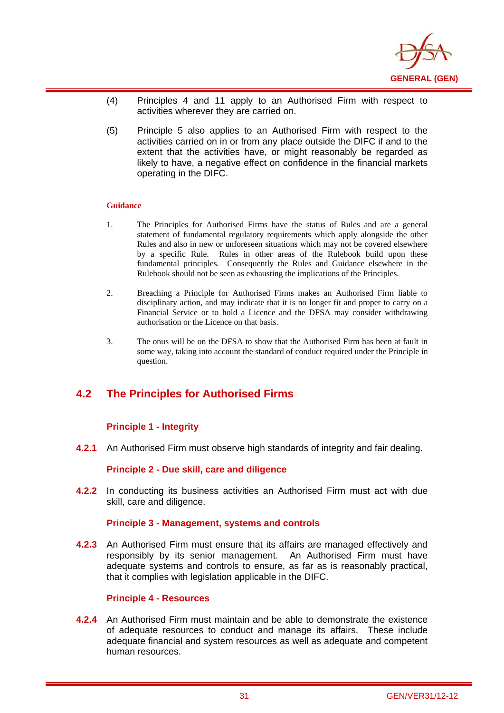

- (4) Principles 4 and 11 apply to an Authorised Firm with respect to activities wherever they are carried on.
- (5) Principle 5 also applies to an Authorised Firm with respect to the activities carried on in or from any place outside the DIFC if and to the extent that the activities have, or might reasonably be regarded as likely to have, a negative effect on confidence in the financial markets operating in the DIFC.

#### **Guidance**

i

- 1. The Principles for Authorised Firms have the status of Rules and are a general statement of fundamental regulatory requirements which apply alongside the other Rules and also in new or unforeseen situations which may not be covered elsewhere by a specific Rule. Rules in other areas of the Rulebook build upon these fundamental principles. Consequently the Rules and Guidance elsewhere in the Rulebook should not be seen as exhausting the implications of the Principles.
- 2. Breaching a Principle for Authorised Firms makes an Authorised Firm liable to disciplinary action, and may indicate that it is no longer fit and proper to carry on a Financial Service or to hold a Licence and the DFSA may consider withdrawing authorisation or the Licence on that basis.
- 3. The onus will be on the DFSA to show that the Authorised Firm has been at fault in some way, taking into account the standard of conduct required under the Principle in question.

## **4.2 The Principles for Authorised Firms**

#### **Principle 1 - Integrity**

**4.2.1** An Authorised Firm must observe high standards of integrity and fair dealing.

#### **Principle 2 - Due skill, care and diligence**

**4.2.2** In conducting its business activities an Authorised Firm must act with due skill, care and diligence.

#### **Principle 3 - Management, systems and controls**

**4.2.3** An Authorised Firm must ensure that its affairs are managed effectively and responsibly by its senior management. An Authorised Firm must have adequate systems and controls to ensure, as far as is reasonably practical, that it complies with legislation applicable in the DIFC.

#### **Principle 4 - Resources**

**4.2.4** An Authorised Firm must maintain and be able to demonstrate the existence of adequate resources to conduct and manage its affairs. These include adequate financial and system resources as well as adequate and competent human resources.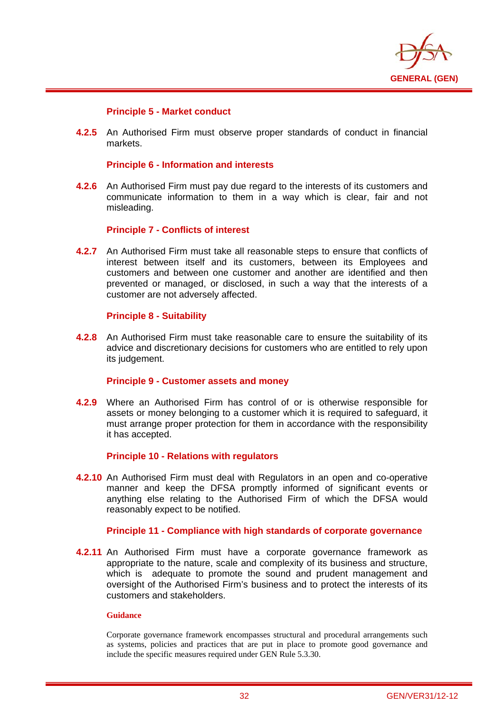

## **Principle 5 - Market conduct**

i

**4.2.5** An Authorised Firm must observe proper standards of conduct in financial markets.

## **Principle 6 - Information and interests**

**4.2.6** An Authorised Firm must pay due regard to the interests of its customers and communicate information to them in a way which is clear, fair and not misleading.

#### **Principle 7 - Conflicts of interest**

**4.2.7** An Authorised Firm must take all reasonable steps to ensure that conflicts of interest between itself and its customers, between its Employees and customers and between one customer and another are identified and then prevented or managed, or disclosed, in such a way that the interests of a customer are not adversely affected.

#### **Principle 8 - Suitability**

**4.2.8** An Authorised Firm must take reasonable care to ensure the suitability of its advice and discretionary decisions for customers who are entitled to rely upon its judgement.

## **Principle 9 - Customer assets and money**

**4.2.9** Where an Authorised Firm has control of or is otherwise responsible for assets or money belonging to a customer which it is required to safeguard, it must arrange proper protection for them in accordance with the responsibility it has accepted.

#### **Principle 10 - Relations with regulators**

**4.2.10** An Authorised Firm must deal with Regulators in an open and co-operative manner and keep the DFSA promptly informed of significant events or anything else relating to the Authorised Firm of which the DFSA would reasonably expect to be notified.

#### **Principle 11 - Compliance with high standards of corporate governance**

**4.2.11** An Authorised Firm must have a corporate governance framework as appropriate to the nature, scale and complexity of its business and structure, which is adequate to promote the sound and prudent management and oversight of the Authorised Firm's business and to protect the interests of its customers and stakeholders.

#### **Guidance**

Corporate governance framework encompasses structural and procedural arrangements such as systems, policies and practices that are put in place to promote good governance and include the specific measures required under GEN Rule 5.3.30.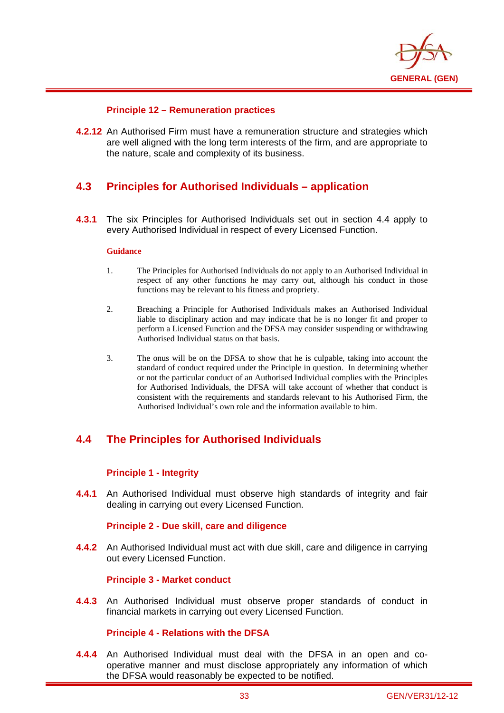

## **Principle 12 – Remuneration practices**

**4.2.12** An Authorised Firm must have a remuneration structure and strategies which are well aligned with the long term interests of the firm, and are appropriate to the nature, scale and complexity of its business.

# **4.3 Principles for Authorised Individuals – application**

**4.3.1** The six Principles for Authorised Individuals set out in section 4.4 apply to every Authorised Individual in respect of every Licensed Function.

#### **Guidance**

i

- 1. The Principles for Authorised Individuals do not apply to an Authorised Individual in respect of any other functions he may carry out, although his conduct in those functions may be relevant to his fitness and propriety.
- 2. Breaching a Principle for Authorised Individuals makes an Authorised Individual liable to disciplinary action and may indicate that he is no longer fit and proper to perform a Licensed Function and the DFSA may consider suspending or withdrawing Authorised Individual status on that basis.
- 3. The onus will be on the DFSA to show that he is culpable, taking into account the standard of conduct required under the Principle in question. In determining whether or not the particular conduct of an Authorised Individual complies with the Principles for Authorised Individuals, the DFSA will take account of whether that conduct is consistent with the requirements and standards relevant to his Authorised Firm, the Authorised Individual's own role and the information available to him.

# **4.4 The Principles for Authorised Individuals**

## **Principle 1 - Integrity**

**4.4.1** An Authorised Individual must observe high standards of integrity and fair dealing in carrying out every Licensed Function.

## **Principle 2 - Due skill, care and diligence**

**4.4.2** An Authorised Individual must act with due skill, care and diligence in carrying out every Licensed Function.

## **Principle 3 - Market conduct**

**4.4.3** An Authorised Individual must observe proper standards of conduct in financial markets in carrying out every Licensed Function.

## **Principle 4 - Relations with the DFSA**

**4.4.4** An Authorised Individual must deal with the DFSA in an open and cooperative manner and must disclose appropriately any information of which the DFSA would reasonably be expected to be notified.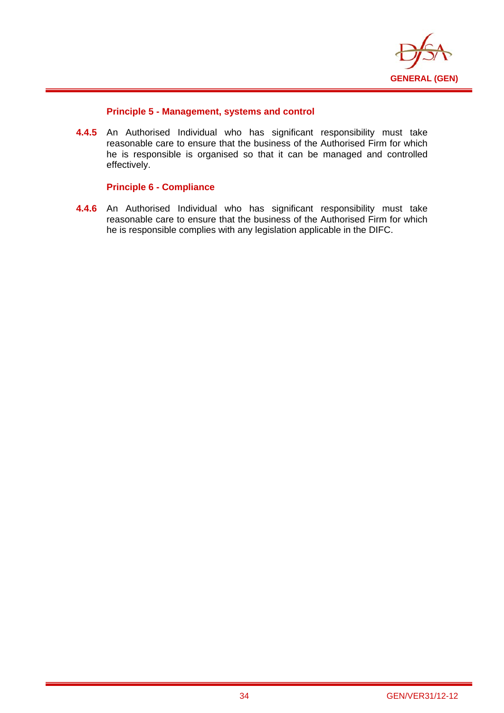

## **Principle 5 - Management, systems and control**

**4.4.5** An Authorised Individual who has significant responsibility must take reasonable care to ensure that the business of the Authorised Firm for which he is responsible is organised so that it can be managed and controlled effectively.

## **Principle 6 - Compliance**

i

**4.4.6** An Authorised Individual who has significant responsibility must take reasonable care to ensure that the business of the Authorised Firm for which he is responsible complies with any legislation applicable in the DIFC.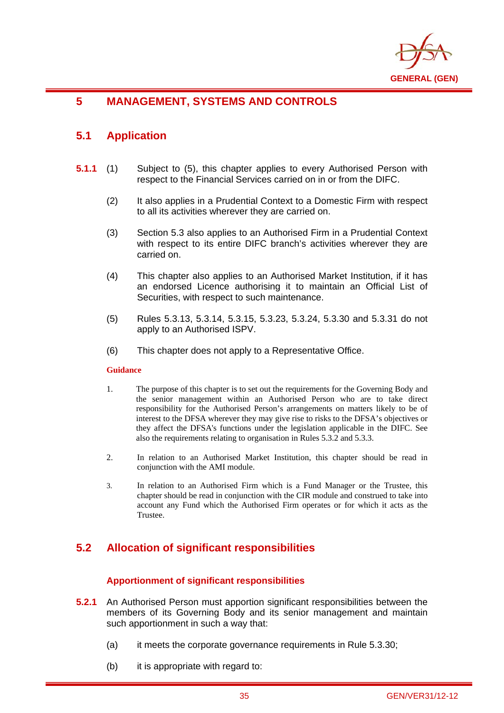

# **5 MANAGEMENT, SYSTEMS AND CONTROLS**

# **5.1 Application**

i

- **5.1.1** (1) Subject to (5), this chapter applies to every Authorised Person with respect to the Financial Services carried on in or from the DIFC.
	- (2) It also applies in a Prudential Context to a Domestic Firm with respect to all its activities wherever they are carried on.
	- (3) Section 5.3 also applies to an Authorised Firm in a Prudential Context with respect to its entire DIFC branch's activities wherever they are carried on.
	- (4) This chapter also applies to an Authorised Market Institution, if it has an endorsed Licence authorising it to maintain an Official List of Securities, with respect to such maintenance.
	- (5) Rules 5.3.13, 5.3.14, 5.3.15, 5.3.23, 5.3.24, 5.3.30 and 5.3.31 do not apply to an Authorised ISPV.
	- (6) This chapter does not apply to a Representative Office.

## **Guidance**

- 1. The purpose of this chapter is to set out the requirements for the Governing Body and the senior management within an Authorised Person who are to take direct responsibility for the Authorised Person's arrangements on matters likely to be of interest to the DFSA wherever they may give rise to risks to the DFSA's objectives or they affect the DFSA's functions under the legislation applicable in the DIFC. See also the requirements relating to organisation in Rules 5.3.2 and 5.3.3.
- 2. In relation to an Authorised Market Institution, this chapter should be read in conjunction with the AMI module.
- 3. In relation to an Authorised Firm which is a Fund Manager or the Trustee, this chapter should be read in conjunction with the CIR module and construed to take into account any Fund which the Authorised Firm operates or for which it acts as the Trustee.

# **5.2 Allocation of significant responsibilities**

## **Apportionment of significant responsibilities**

- **5.2.1** An Authorised Person must apportion significant responsibilities between the members of its Governing Body and its senior management and maintain such apportionment in such a way that:
	- (a) it meets the corporate governance requirements in Rule 5.3.30;
	- (b) it is appropriate with regard to: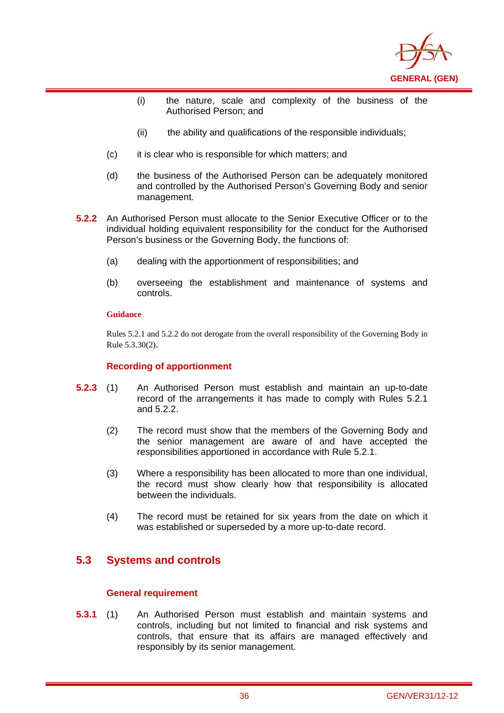

- (i) the nature, scale and complexity of the business of the Authorised Person; and
- (ii) the ability and qualifications of the responsible individuals;
- (c) it is clear who is responsible for which matters; and
- (d) the business of the Authorised Person can be adequately monitored and controlled by the Authorised Person's Governing Body and senior management.
- **5.2.2** An Authorised Person must allocate to the Senior Executive Officer or to the individual holding equivalent responsibility for the conduct for the Authorised Person's business or the Governing Body, the functions of:
	- (a) dealing with the apportionment of responsibilities; and
	- (b) overseeing the establishment and maintenance of systems and controls.

i

Rules 5.2.1 and 5.2.2 do not derogate from the overall responsibility of the Governing Body in Rule 5.3.30(2).

## **Recording of apportionment**

- **5.2.3** (1) An Authorised Person must establish and maintain an up-to-date record of the arrangements it has made to comply with Rules 5.2.1 and 5.2.2.
	- (2) The record must show that the members of the Governing Body and the senior management are aware of and have accepted the responsibilities apportioned in accordance with Rule 5.2.1.
	- (3) Where a responsibility has been allocated to more than one individual, the record must show clearly how that responsibility is allocated between the individuals.
	- (4) The record must be retained for six years from the date on which it was established or superseded by a more up-to-date record.

# **5.3 Systems and controls**

## **General requirement**

**5.3.1** (1) An Authorised Person must establish and maintain systems and controls, including but not limited to financial and risk systems and controls, that ensure that its affairs are managed effectively and responsibly by its senior management.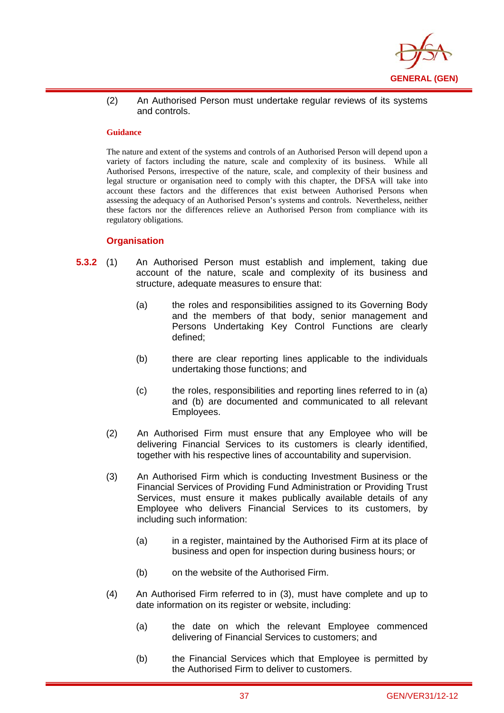

(2) An Authorised Person must undertake regular reviews of its systems and controls.

#### **Guidance**

i

The nature and extent of the systems and controls of an Authorised Person will depend upon a variety of factors including the nature, scale and complexity of its business. While all Authorised Persons, irrespective of the nature, scale, and complexity of their business and legal structure or organisation need to comply with this chapter, the DFSA will take into account these factors and the differences that exist between Authorised Persons when assessing the adequacy of an Authorised Person's systems and controls. Nevertheless, neither these factors nor the differences relieve an Authorised Person from compliance with its regulatory obligations.

### **Organisation**

- **5.3.2** (1) An Authorised Person must establish and implement, taking due account of the nature, scale and complexity of its business and structure, adequate measures to ensure that:
	- (a) the roles and responsibilities assigned to its Governing Body and the members of that body, senior management and Persons Undertaking Key Control Functions are clearly defined;
	- (b) there are clear reporting lines applicable to the individuals undertaking those functions; and
	- (c) the roles, responsibilities and reporting lines referred to in (a) and (b) are documented and communicated to all relevant Employees.
	- (2) An Authorised Firm must ensure that any Employee who will be delivering Financial Services to its customers is clearly identified, together with his respective lines of accountability and supervision.
	- (3) An Authorised Firm which is conducting Investment Business or the Financial Services of Providing Fund Administration or Providing Trust Services, must ensure it makes publically available details of any Employee who delivers Financial Services to its customers, by including such information:
		- (a) in a register, maintained by the Authorised Firm at its place of business and open for inspection during business hours; or
		- (b) on the website of the Authorised Firm.
	- (4) An Authorised Firm referred to in (3), must have complete and up to date information on its register or website, including:
		- (a) the date on which the relevant Employee commenced delivering of Financial Services to customers; and
		- (b) the Financial Services which that Employee is permitted by the Authorised Firm to deliver to customers.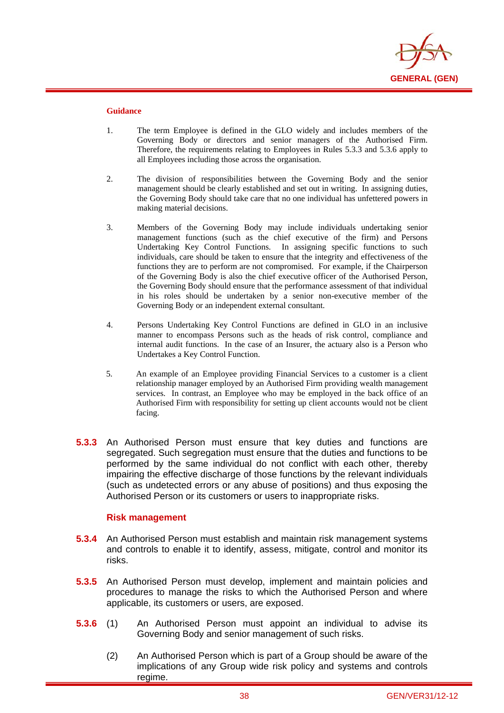

i

- 1. The term Employee is defined in the GLO widely and includes members of the Governing Body or directors and senior managers of the Authorised Firm. Therefore, the requirements relating to Employees in Rules 5.3.3 and 5.3.6 apply to all Employees including those across the organisation.
- 2. The division of responsibilities between the Governing Body and the senior management should be clearly established and set out in writing. In assigning duties, the Governing Body should take care that no one individual has unfettered powers in making material decisions.
- 3. Members of the Governing Body may include individuals undertaking senior management functions (such as the chief executive of the firm) and Persons Undertaking Key Control Functions. In assigning specific functions to such individuals, care should be taken to ensure that the integrity and effectiveness of the functions they are to perform are not compromised. For example, if the Chairperson of the Governing Body is also the chief executive officer of the Authorised Person, the Governing Body should ensure that the performance assessment of that individual in his roles should be undertaken by a senior non-executive member of the Governing Body or an independent external consultant.
- 4. Persons Undertaking Key Control Functions are defined in GLO in an inclusive manner to encompass Persons such as the heads of risk control, compliance and internal audit functions. In the case of an Insurer, the actuary also is a Person who Undertakes a Key Control Function.
- 5. An example of an Employee providing Financial Services to a customer is a client relationship manager employed by an Authorised Firm providing wealth management services. In contrast, an Employee who may be employed in the back office of an Authorised Firm with responsibility for setting up client accounts would not be client facing.
- **5.3.3** An Authorised Person must ensure that key duties and functions are segregated. Such segregation must ensure that the duties and functions to be performed by the same individual do not conflict with each other, thereby impairing the effective discharge of those functions by the relevant individuals (such as undetected errors or any abuse of positions) and thus exposing the Authorised Person or its customers or users to inappropriate risks.

## **Risk management**

- **5.3.4** An Authorised Person must establish and maintain risk management systems and controls to enable it to identify, assess, mitigate, control and monitor its risks.
- **5.3.5** An Authorised Person must develop, implement and maintain policies and procedures to manage the risks to which the Authorised Person and where applicable, its customers or users, are exposed.
- **5.3.6** (1) An Authorised Person must appoint an individual to advise its Governing Body and senior management of such risks.
	- (2) An Authorised Person which is part of a Group should be aware of the implications of any Group wide risk policy and systems and controls regime.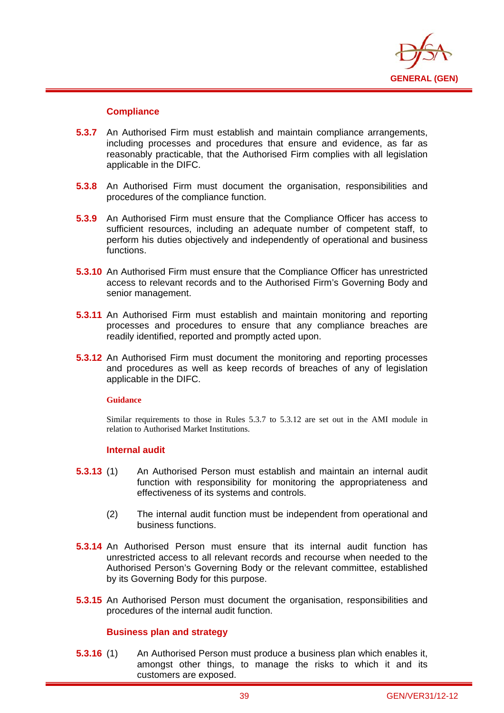

## **Compliance**

i

- **5.3.7** An Authorised Firm must establish and maintain compliance arrangements, including processes and procedures that ensure and evidence, as far as reasonably practicable, that the Authorised Firm complies with all legislation applicable in the DIFC.
- **5.3.8** An Authorised Firm must document the organisation, responsibilities and procedures of the compliance function.
- **5.3.9** An Authorised Firm must ensure that the Compliance Officer has access to sufficient resources, including an adequate number of competent staff, to perform his duties objectively and independently of operational and business functions.
- **5.3.10** An Authorised Firm must ensure that the Compliance Officer has unrestricted access to relevant records and to the Authorised Firm's Governing Body and senior management.
- **5.3.11** An Authorised Firm must establish and maintain monitoring and reporting processes and procedures to ensure that any compliance breaches are readily identified, reported and promptly acted upon.
- **5.3.12** An Authorised Firm must document the monitoring and reporting processes and procedures as well as keep records of breaches of any of legislation applicable in the DIFC.

## **Guidance**

Similar requirements to those in Rules 5.3.7 to 5.3.12 are set out in the AMI module in relation to Authorised Market Institutions.

## **Internal audit**

- **5.3.13** (1) An Authorised Person must establish and maintain an internal audit function with responsibility for monitoring the appropriateness and effectiveness of its systems and controls.
	- (2) The internal audit function must be independent from operational and business functions.
- **5.3.14** An Authorised Person must ensure that its internal audit function has unrestricted access to all relevant records and recourse when needed to the Authorised Person's Governing Body or the relevant committee, established by its Governing Body for this purpose.
- **5.3.15** An Authorised Person must document the organisation, responsibilities and procedures of the internal audit function.

## **Business plan and strategy**

**5.3.16** (1) An Authorised Person must produce a business plan which enables it, amongst other things, to manage the risks to which it and its customers are exposed.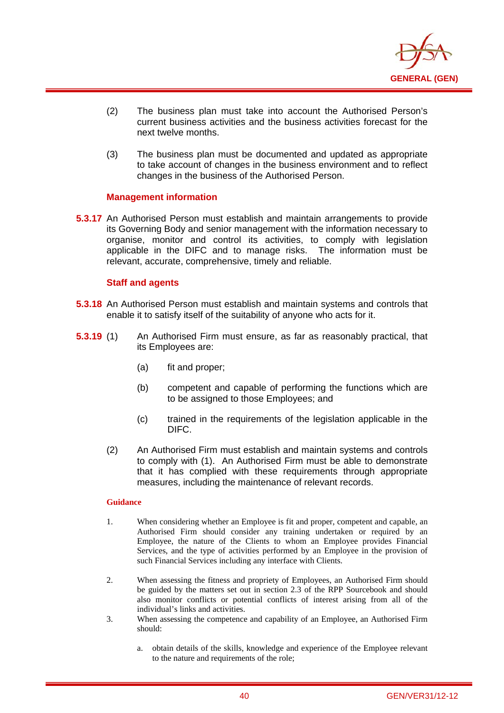

- (2) The business plan must take into account the Authorised Person's current business activities and the business activities forecast for the next twelve months.
- (3) The business plan must be documented and updated as appropriate to take account of changes in the business environment and to reflect changes in the business of the Authorised Person.

## **Management information**

**5.3.17** An Authorised Person must establish and maintain arrangements to provide its Governing Body and senior management with the information necessary to organise, monitor and control its activities, to comply with legislation applicable in the DIFC and to manage risks. The information must be relevant, accurate, comprehensive, timely and reliable.

## **Staff and agents**

i

- **5.3.18** An Authorised Person must establish and maintain systems and controls that enable it to satisfy itself of the suitability of anyone who acts for it.
- **5.3.19** (1) An Authorised Firm must ensure, as far as reasonably practical, that its Employees are:
	- (a) fit and proper;
	- (b) competent and capable of performing the functions which are to be assigned to those Employees; and
	- (c) trained in the requirements of the legislation applicable in the DIFC.
	- (2) An Authorised Firm must establish and maintain systems and controls to comply with (1). An Authorised Firm must be able to demonstrate that it has complied with these requirements through appropriate measures, including the maintenance of relevant records.

#### **Guidance**

- 1. When considering whether an Employee is fit and proper, competent and capable, an Authorised Firm should consider any training undertaken or required by an Employee, the nature of the Clients to whom an Employee provides Financial Services, and the type of activities performed by an Employee in the provision of such Financial Services including any interface with Clients.
- 2. When assessing the fitness and propriety of Employees, an Authorised Firm should be guided by the matters set out in section 2.3 of the RPP Sourcebook and should also monitor conflicts or potential conflicts of interest arising from all of the individual's links and activities.
- 3. When assessing the competence and capability of an Employee, an Authorised Firm should:
	- a. obtain details of the skills, knowledge and experience of the Employee relevant to the nature and requirements of the role;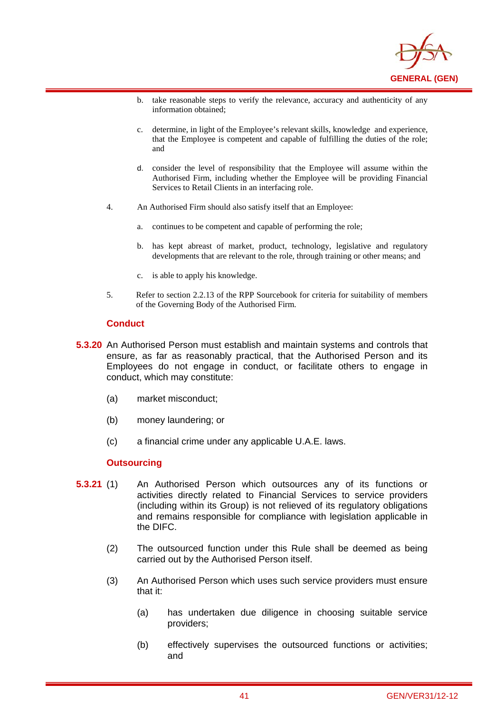

- b. take reasonable steps to verify the relevance, accuracy and authenticity of any information obtained;
- c. determine, in light of the Employee's relevant skills, knowledge and experience, that the Employee is competent and capable of fulfilling the duties of the role; and
- d. consider the level of responsibility that the Employee will assume within the Authorised Firm, including whether the Employee will be providing Financial Services to Retail Clients in an interfacing role.
- 4. An Authorised Firm should also satisfy itself that an Employee:
	- a. continues to be competent and capable of performing the role;
	- b. has kept abreast of market, product, technology, legislative and regulatory developments that are relevant to the role, through training or other means; and
	- c. is able to apply his knowledge.
- 5. Refer to section 2.2.13 of the RPP Sourcebook for criteria for suitability of members of the Governing Body of the Authorised Firm.

#### **Conduct**

i

- **5.3.20** An Authorised Person must establish and maintain systems and controls that ensure, as far as reasonably practical, that the Authorised Person and its Employees do not engage in conduct, or facilitate others to engage in conduct, which may constitute:
	- (a) market misconduct;
	- (b) money laundering; or
	- (c) a financial crime under any applicable U.A.E. laws.

## **Outsourcing**

- **5.3.21** (1) An Authorised Person which outsources any of its functions or activities directly related to Financial Services to service providers (including within its Group) is not relieved of its regulatory obligations and remains responsible for compliance with legislation applicable in the DIFC.
	- (2) The outsourced function under this Rule shall be deemed as being carried out by the Authorised Person itself.
	- (3) An Authorised Person which uses such service providers must ensure that it:
		- (a) has undertaken due diligence in choosing suitable service providers;
		- (b) effectively supervises the outsourced functions or activities; and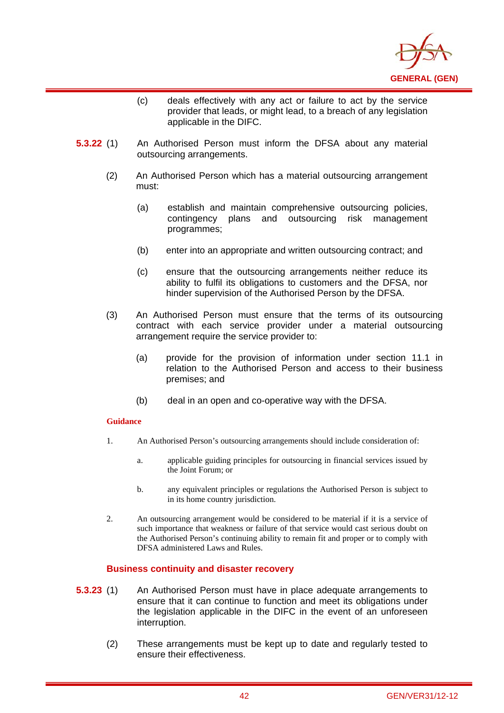

- (c) deals effectively with any act or failure to act by the service provider that leads, or might lead, to a breach of any legislation applicable in the DIFC.
- **5.3.22** (1) An Authorised Person must inform the DFSA about any material outsourcing arrangements.
	- (2) An Authorised Person which has a material outsourcing arrangement must:
		- (a) establish and maintain comprehensive outsourcing policies, contingency plans and outsourcing risk management programmes;
		- (b) enter into an appropriate and written outsourcing contract; and
		- (c) ensure that the outsourcing arrangements neither reduce its ability to fulfil its obligations to customers and the DFSA, nor hinder supervision of the Authorised Person by the DFSA.
	- (3) An Authorised Person must ensure that the terms of its outsourcing contract with each service provider under a material outsourcing arrangement require the service provider to:
		- (a) provide for the provision of information under section 11.1 in relation to the Authorised Person and access to their business premises; and
		- (b) deal in an open and co-operative way with the DFSA.

i

- 1. An Authorised Person's outsourcing arrangements should include consideration of:
	- a. applicable guiding principles for outsourcing in financial services issued by the Joint Forum; or
	- b. any equivalent principles or regulations the Authorised Person is subject to in its home country jurisdiction.
- 2. An outsourcing arrangement would be considered to be material if it is a service of such importance that weakness or failure of that service would cast serious doubt on the Authorised Person's continuing ability to remain fit and proper or to comply with DFSA administered Laws and Rules.

## **Business continuity and disaster recovery**

- **5.3.23** (1) An Authorised Person must have in place adequate arrangements to ensure that it can continue to function and meet its obligations under the legislation applicable in the DIFC in the event of an unforeseen interruption.
	- (2) These arrangements must be kept up to date and regularly tested to ensure their effectiveness.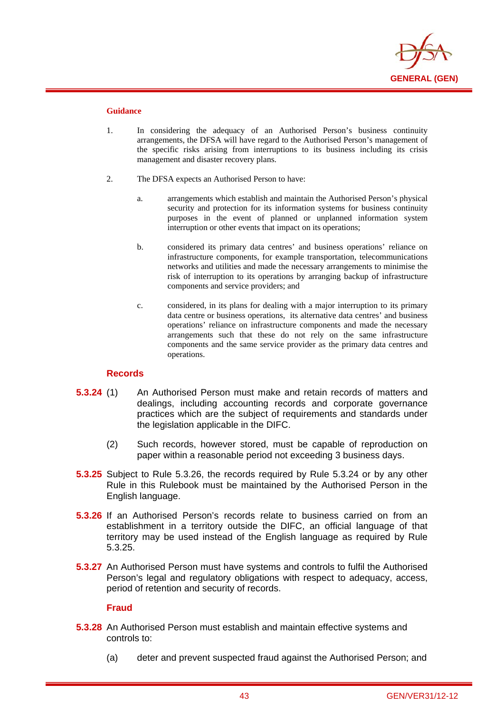

i

- 1. In considering the adequacy of an Authorised Person's business continuity arrangements, the DFSA will have regard to the Authorised Person's management of the specific risks arising from interruptions to its business including its crisis management and disaster recovery plans.
- 2. The DFSA expects an Authorised Person to have:
	- a. arrangements which establish and maintain the Authorised Person's physical security and protection for its information systems for business continuity purposes in the event of planned or unplanned information system interruption or other events that impact on its operations;
	- b. considered its primary data centres' and business operations' reliance on infrastructure components, for example transportation, telecommunications networks and utilities and made the necessary arrangements to minimise the risk of interruption to its operations by arranging backup of infrastructure components and service providers; and
	- c. considered, in its plans for dealing with a major interruption to its primary data centre or business operations, its alternative data centres' and business operations' reliance on infrastructure components and made the necessary arrangements such that these do not rely on the same infrastructure components and the same service provider as the primary data centres and operations.

## **Records**

- **5.3.24** (1) An Authorised Person must make and retain records of matters and dealings, including accounting records and corporate governance practices which are the subject of requirements and standards under the legislation applicable in the DIFC.
	- (2) Such records, however stored, must be capable of reproduction on paper within a reasonable period not exceeding 3 business days.
- **5.3.25** Subject to Rule 5.3.26, the records required by Rule 5.3.24 or by any other Rule in this Rulebook must be maintained by the Authorised Person in the English language.
- **5.3.26** If an Authorised Person's records relate to business carried on from an establishment in a territory outside the DIFC, an official language of that territory may be used instead of the English language as required by Rule 5.3.25.
- **5.3.27** An Authorised Person must have systems and controls to fulfil the Authorised Person's legal and regulatory obligations with respect to adequacy, access, period of retention and security of records.

## **Fraud**

- **5.3.28** An Authorised Person must establish and maintain effective systems and controls to:
	- (a) deter and prevent suspected fraud against the Authorised Person; and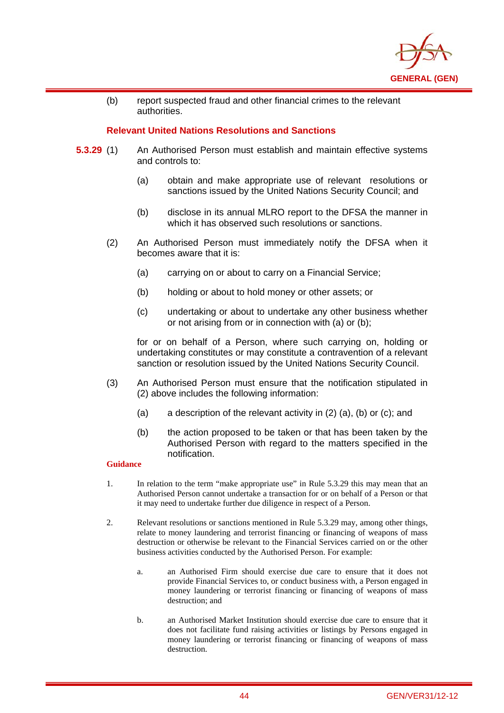

(b) report suspected fraud and other financial crimes to the relevant authorities.

## **Relevant United Nations Resolutions and Sanctions**

- **5.3.29** (1) An Authorised Person must establish and maintain effective systems and controls to:
	- (a) obtain and make appropriate use of relevant resolutions or sanctions issued by the United Nations Security Council; and
	- (b) disclose in its annual MLRO report to the DFSA the manner in which it has observed such resolutions or sanctions.
	- (2) An Authorised Person must immediately notify the DFSA when it becomes aware that it is:
		- (a) carrying on or about to carry on a Financial Service;
		- (b) holding or about to hold money or other assets; or
		- (c) undertaking or about to undertake any other business whether or not arising from or in connection with (a) or (b);

for or on behalf of a Person, where such carrying on, holding or undertaking constitutes or may constitute a contravention of a relevant sanction or resolution issued by the United Nations Security Council.

- (3) An Authorised Person must ensure that the notification stipulated in (2) above includes the following information:
	- (a) a description of the relevant activity in (2) (a), (b) or (c); and
	- (b) the action proposed to be taken or that has been taken by the Authorised Person with regard to the matters specified in the notification.

### **Guidance**

i

- 1. In relation to the term "make appropriate use" in Rule 5.3.29 this may mean that an Authorised Person cannot undertake a transaction for or on behalf of a Person or that it may need to undertake further due diligence in respect of a Person.
- 2. Relevant resolutions or sanctions mentioned in Rule 5.3.29 may, among other things, relate to money laundering and terrorist financing or financing of weapons of mass destruction or otherwise be relevant to the Financial Services carried on or the other business activities conducted by the Authorised Person. For example:
	- a. an Authorised Firm should exercise due care to ensure that it does not provide Financial Services to, or conduct business with, a Person engaged in money laundering or terrorist financing or financing of weapons of mass destruction; and
	- b. an Authorised Market Institution should exercise due care to ensure that it does not facilitate fund raising activities or listings by Persons engaged in money laundering or terrorist financing or financing of weapons of mass destruction.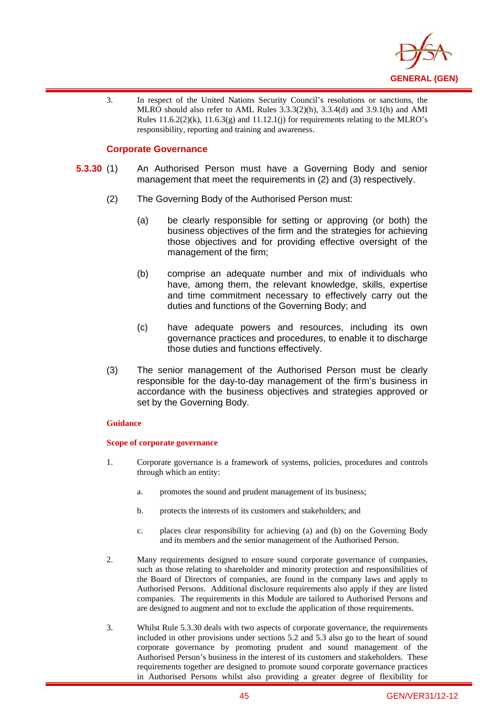

3. In respect of the United Nations Security Council's resolutions or sanctions, the MLRO should also refer to AML Rules 3.3.3(2)(h), 3.3.4(d) and 3.9.1(h) and AMI Rules  $11.6.2(2)(k)$ ,  $11.6.3(g)$  and  $11.12.1(j)$  for requirements relating to the MLRO's responsibility, reporting and training and awareness.

### **Corporate Governance**

i

- **5.3.30** (1) An Authorised Person must have a Governing Body and senior management that meet the requirements in (2) and (3) respectively.
	- (2) The Governing Body of the Authorised Person must:
		- (a) be clearly responsible for setting or approving (or both) the business objectives of the firm and the strategies for achieving those objectives and for providing effective oversight of the management of the firm;
		- (b) comprise an adequate number and mix of individuals who have, among them, the relevant knowledge, skills, expertise and time commitment necessary to effectively carry out the duties and functions of the Governing Body; and
		- (c) have adequate powers and resources, including its own governance practices and procedures, to enable it to discharge those duties and functions effectively.
	- (3) The senior management of the Authorised Person must be clearly responsible for the day-to-day management of the firm's business in accordance with the business objectives and strategies approved or set by the Governing Body.

#### **Guidance**

#### **Scope of corporate governance**

- 1. Corporate governance is a framework of systems, policies, procedures and controls through which an entity:
	- a. promotes the sound and prudent management of its business;
	- b. protects the interests of its customers and stakeholders; and
	- c. places clear responsibility for achieving (a) and (b) on the Governing Body and its members and the senior management of the Authorised Person.
- 2. Many requirements designed to ensure sound corporate governance of companies, such as those relating to shareholder and minority protection and responsibilities of the Board of Directors of companies, are found in the company laws and apply to Authorised Persons. Additional disclosure requirements also apply if they are listed companies. The requirements in this Module are tailored to Authorised Persons and are designed to augment and not to exclude the application of those requirements.
- 3. Whilst Rule 5.3.30 deals with two aspects of corporate governance, the requirements included in other provisions under sections 5.2 and 5.3 also go to the heart of sound corporate governance by promoting prudent and sound management of the Authorised Person's business in the interest of its customers and stakeholders. These requirements together are designed to promote sound corporate governance practices in Authorised Persons whilst also providing a greater degree of flexibility for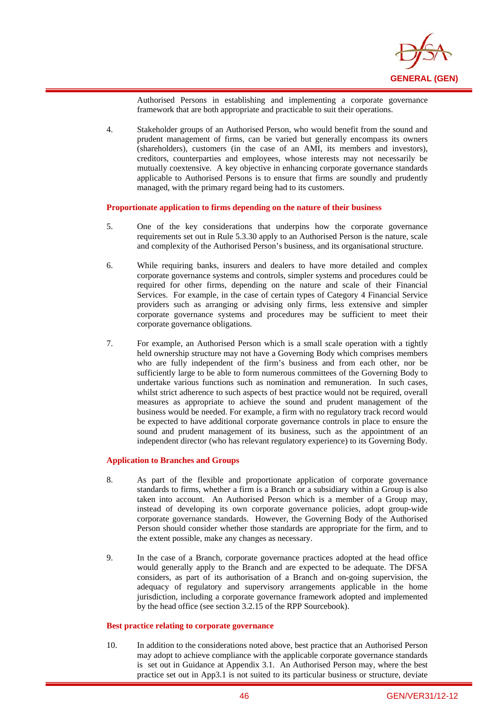

Authorised Persons in establishing and implementing a corporate governance framework that are both appropriate and practicable to suit their operations.

4. Stakeholder groups of an Authorised Person, who would benefit from the sound and prudent management of firms, can be varied but generally encompass its owners (shareholders), customers (in the case of an AMI, its members and investors), creditors, counterparties and employees, whose interests may not necessarily be mutually coextensive. A key objective in enhancing corporate governance standards applicable to Authorised Persons is to ensure that firms are soundly and prudently managed, with the primary regard being had to its customers.

#### **Proportionate application to firms depending on the nature of their business**

- 5. One of the key considerations that underpins how the corporate governance requirements set out in Rule 5.3.30 apply to an Authorised Person is the nature, scale and complexity of the Authorised Person's business, and its organisational structure.
- 6. While requiring banks, insurers and dealers to have more detailed and complex corporate governance systems and controls, simpler systems and procedures could be required for other firms, depending on the nature and scale of their Financial Services. For example, in the case of certain types of Category 4 Financial Service providers such as arranging or advising only firms, less extensive and simpler corporate governance systems and procedures may be sufficient to meet their corporate governance obligations.
- 7. For example, an Authorised Person which is a small scale operation with a tightly held ownership structure may not have a Governing Body which comprises members who are fully independent of the firm's business and from each other, nor be sufficiently large to be able to form numerous committees of the Governing Body to undertake various functions such as nomination and remuneration. In such cases, whilst strict adherence to such aspects of best practice would not be required, overall measures as appropriate to achieve the sound and prudent management of the business would be needed. For example, a firm with no regulatory track record would be expected to have additional corporate governance controls in place to ensure the sound and prudent management of its business, such as the appointment of an independent director (who has relevant regulatory experience) to its Governing Body.

#### **Application to Branches and Groups**

i

- 8. As part of the flexible and proportionate application of corporate governance standards to firms, whether a firm is a Branch or a subsidiary within a Group is also taken into account. An Authorised Person which is a member of a Group may, instead of developing its own corporate governance policies, adopt group-wide corporate governance standards. However, the Governing Body of the Authorised Person should consider whether those standards are appropriate for the firm, and to the extent possible, make any changes as necessary.
- 9. In the case of a Branch, corporate governance practices adopted at the head office would generally apply to the Branch and are expected to be adequate. The DFSA considers, as part of its authorisation of a Branch and on-going supervision, the adequacy of regulatory and supervisory arrangements applicable in the home jurisdiction, including a corporate governance framework adopted and implemented by the head office (see section 3.2.15 of the RPP Sourcebook).

#### **Best practice relating to corporate governance**

10. In addition to the considerations noted above, best practice that an Authorised Person may adopt to achieve compliance with the applicable corporate governance standards is set out in Guidance at Appendix 3.1. An Authorised Person may, where the best practice set out in App3.1 is not suited to its particular business or structure, deviate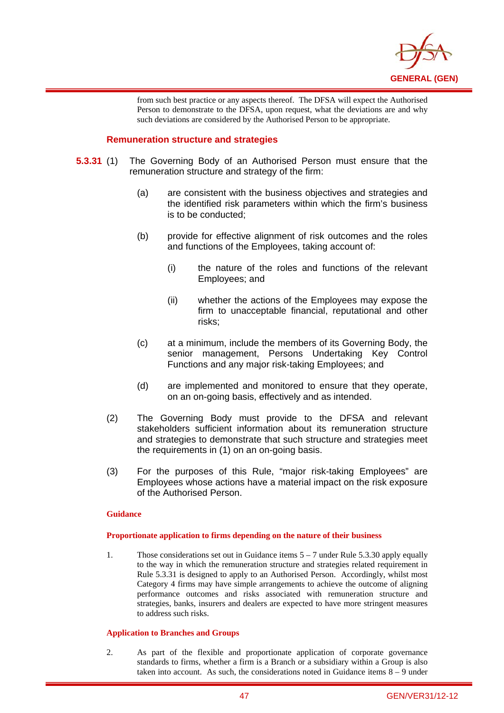

from such best practice or any aspects thereof. The DFSA will expect the Authorised Person to demonstrate to the DFSA, upon request, what the deviations are and why such deviations are considered by the Authorised Person to be appropriate.

## **Remuneration structure and strategies**

i

- **5.3.31** (1) The Governing Body of an Authorised Person must ensure that the remuneration structure and strategy of the firm:
	- (a) are consistent with the business objectives and strategies and the identified risk parameters within which the firm's business is to be conducted;
	- (b) provide for effective alignment of risk outcomes and the roles and functions of the Employees, taking account of:
		- (i) the nature of the roles and functions of the relevant Employees; and
		- (ii) whether the actions of the Employees may expose the firm to unacceptable financial, reputational and other risks;
	- (c) at a minimum, include the members of its Governing Body, the senior management, Persons Undertaking Key Control Functions and any major risk-taking Employees; and
	- (d) are implemented and monitored to ensure that they operate, on an on-going basis, effectively and as intended.
	- (2) The Governing Body must provide to the DFSA and relevant stakeholders sufficient information about its remuneration structure and strategies to demonstrate that such structure and strategies meet the requirements in (1) on an on-going basis.
	- (3) For the purposes of this Rule, "major risk-taking Employees" are Employees whose actions have a material impact on the risk exposure of the Authorised Person.

#### **Guidance**

#### **Proportionate application to firms depending on the nature of their business**

1. Those considerations set out in Guidance items 5 – 7 under Rule 5.3.30 apply equally to the way in which the remuneration structure and strategies related requirement in Rule 5.3.31 is designed to apply to an Authorised Person. Accordingly, whilst most Category 4 firms may have simple arrangements to achieve the outcome of aligning performance outcomes and risks associated with remuneration structure and strategies, banks, insurers and dealers are expected to have more stringent measures to address such risks.

#### **Application to Branches and Groups**

2. As part of the flexible and proportionate application of corporate governance standards to firms, whether a firm is a Branch or a subsidiary within a Group is also taken into account. As such, the considerations noted in Guidance items  $8 - 9$  under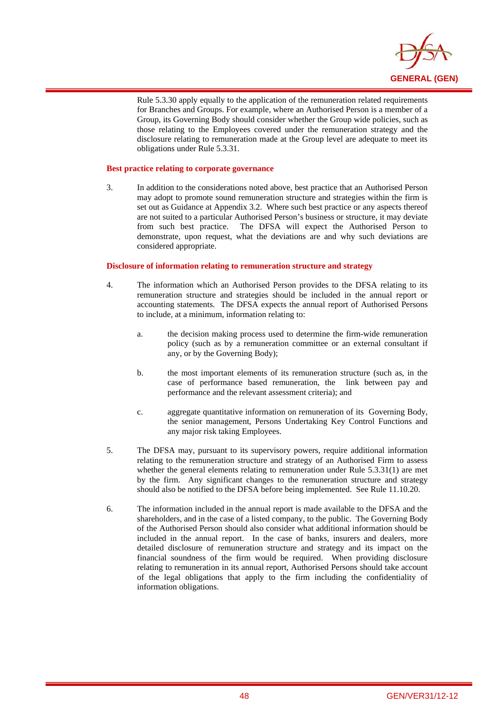

Rule 5.3.30 apply equally to the application of the remuneration related requirements for Branches and Groups. For example, where an Authorised Person is a member of a Group, its Governing Body should consider whether the Group wide policies, such as those relating to the Employees covered under the remuneration strategy and the disclosure relating to remuneration made at the Group level are adequate to meet its obligations under Rule 5.3.31.

#### **Best practice relating to corporate governance**

i

3. In addition to the considerations noted above, best practice that an Authorised Person may adopt to promote sound remuneration structure and strategies within the firm is set out as Guidance at Appendix 3.2. Where such best practice or any aspects thereof are not suited to a particular Authorised Person's business or structure, it may deviate from such best practice. The DFSA will expect the Authorised Person to demonstrate, upon request, what the deviations are and why such deviations are considered appropriate.

#### **Disclosure of information relating to remuneration structure and strategy**

- 4. The information which an Authorised Person provides to the DFSA relating to its remuneration structure and strategies should be included in the annual report or accounting statements. The DFSA expects the annual report of Authorised Persons to include, at a minimum, information relating to:
	- a. the decision making process used to determine the firm-wide remuneration policy (such as by a remuneration committee or an external consultant if any, or by the Governing Body);
	- b. the most important elements of its remuneration structure (such as, in the case of performance based remuneration, the link between pay and performance and the relevant assessment criteria); and
	- c. aggregate quantitative information on remuneration of its Governing Body, the senior management, Persons Undertaking Key Control Functions and any major risk taking Employees.
- 5. The DFSA may, pursuant to its supervisory powers, require additional information relating to the remuneration structure and strategy of an Authorised Firm to assess whether the general elements relating to remuneration under Rule 5.3.31(1) are met by the firm. Any significant changes to the remuneration structure and strategy should also be notified to the DFSA before being implemented. See Rule 11.10.20.
- 6. The information included in the annual report is made available to the DFSA and the shareholders, and in the case of a listed company, to the public. The Governing Body of the Authorised Person should also consider what additional information should be included in the annual report. In the case of banks, insurers and dealers, more detailed disclosure of remuneration structure and strategy and its impact on the financial soundness of the firm would be required. When providing disclosure relating to remuneration in its annual report, Authorised Persons should take account of the legal obligations that apply to the firm including the confidentiality of information obligations.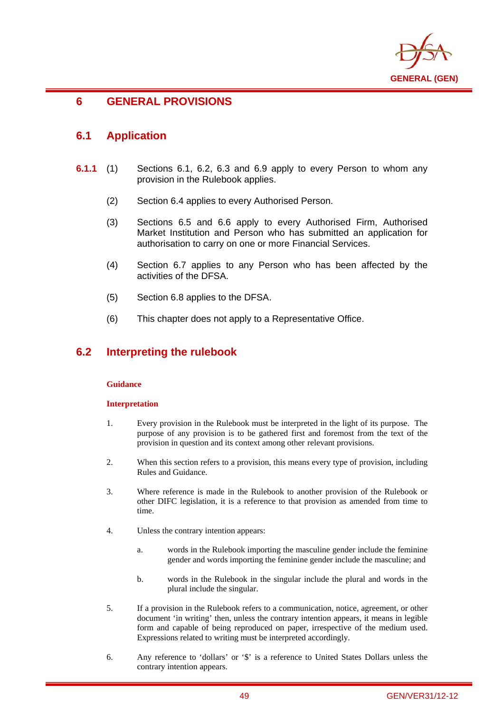

# **6 GENERAL PROVISIONS**

## **6.1 Application**

i

- **6.1.1** (1) Sections 6.1, 6.2, 6.3 and 6.9 apply to every Person to whom any provision in the Rulebook applies.
	- (2) Section 6.4 applies to every Authorised Person.
	- (3) Sections 6.5 and 6.6 apply to every Authorised Firm, Authorised Market Institution and Person who has submitted an application for authorisation to carry on one or more Financial Services.
	- (4) Section 6.7 applies to any Person who has been affected by the activities of the DFSA.
	- (5) Section 6.8 applies to the DFSA.
	- (6) This chapter does not apply to a Representative Office.

## **6.2 Interpreting the rulebook**

### **Guidance**

#### **Interpretation**

- 1. Every provision in the Rulebook must be interpreted in the light of its purpose. The purpose of any provision is to be gathered first and foremost from the text of the provision in question and its context among other relevant provisions.
- 2. When this section refers to a provision, this means every type of provision, including Rules and Guidance.
- 3. Where reference is made in the Rulebook to another provision of the Rulebook or other DIFC legislation, it is a reference to that provision as amended from time to time.
- 4. Unless the contrary intention appears:
	- a. words in the Rulebook importing the masculine gender include the feminine gender and words importing the feminine gender include the masculine; and
	- b. words in the Rulebook in the singular include the plural and words in the plural include the singular.
- 5. If a provision in the Rulebook refers to a communication, notice, agreement, or other document 'in writing' then, unless the contrary intention appears, it means in legible form and capable of being reproduced on paper, irrespective of the medium used. Expressions related to writing must be interpreted accordingly.
- 6. Any reference to 'dollars' or '\$' is a reference to United States Dollars unless the contrary intention appears.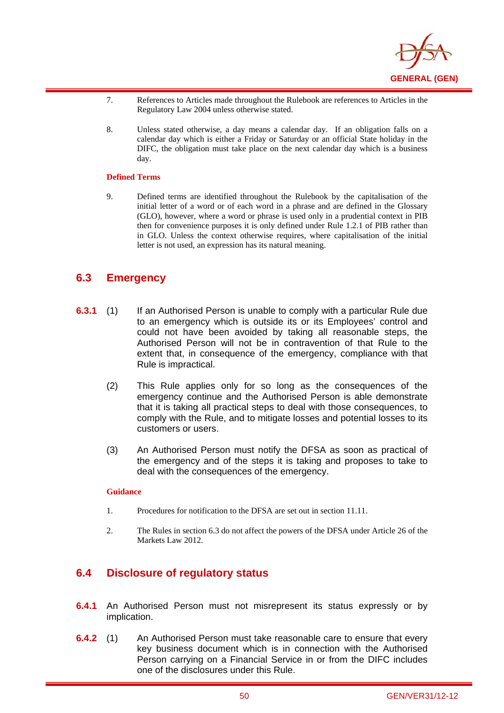

- 7. References to Articles made throughout the Rulebook are references to Articles in the Regulatory Law 2004 unless otherwise stated.
- 8. Unless stated otherwise, a day means a calendar day. If an obligation falls on a calendar day which is either a Friday or Saturday or an official State holiday in the DIFC, the obligation must take place on the next calendar day which is a business day.

#### **Defined Terms**

i

9. Defined terms are identified throughout the Rulebook by the capitalisation of the initial letter of a word or of each word in a phrase and are defined in the Glossary (GLO), however, where a word or phrase is used only in a prudential context in PIB then for convenience purposes it is only defined under Rule 1.2.1 of PIB rather than in GLO. Unless the context otherwise requires, where capitalisation of the initial letter is not used, an expression has its natural meaning.

# **6.3 Emergency**

- **6.3.1** (1) If an Authorised Person is unable to comply with a particular Rule due to an emergency which is outside its or its Employees' control and could not have been avoided by taking all reasonable steps, the Authorised Person will not be in contravention of that Rule to the extent that, in consequence of the emergency, compliance with that Rule is impractical.
	- (2) This Rule applies only for so long as the consequences of the emergency continue and the Authorised Person is able demonstrate that it is taking all practical steps to deal with those consequences, to comply with the Rule, and to mitigate losses and potential losses to its customers or users.
	- (3) An Authorised Person must notify the DFSA as soon as practical of the emergency and of the steps it is taking and proposes to take to deal with the consequences of the emergency.

#### **Guidance**

- 1. Procedures for notification to the DFSA are set out in section 11.11.
- 2. The Rules in section 6.3 do not affect the powers of the DFSA under Article 26 of the Markets Law 2012.

# **6.4 Disclosure of regulatory status**

- **6.4.1** An Authorised Person must not misrepresent its status expressly or by implication.
- **6.4.2** (1) An Authorised Person must take reasonable care to ensure that every key business document which is in connection with the Authorised Person carrying on a Financial Service in or from the DIFC includes one of the disclosures under this Rule.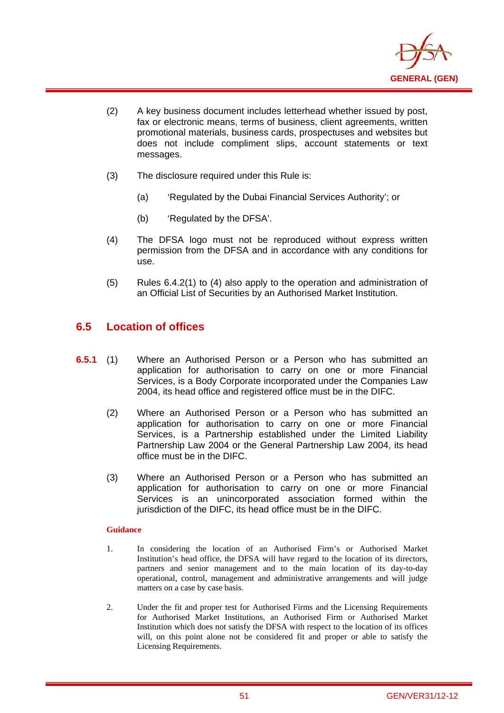

- (2) A key business document includes letterhead whether issued by post, fax or electronic means, terms of business, client agreements, written promotional materials, business cards, prospectuses and websites but does not include compliment slips, account statements or text messages.
- (3) The disclosure required under this Rule is:
	- (a) 'Regulated by the Dubai Financial Services Authority'; or
	- (b) 'Regulated by the DFSA'.
- (4) The DFSA logo must not be reproduced without express written permission from the DFSA and in accordance with any conditions for use.
- (5) Rules 6.4.2(1) to (4) also apply to the operation and administration of an Official List of Securities by an Authorised Market Institution.

# **6.5 Location of offices**

i

- **6.5.1** (1) Where an Authorised Person or a Person who has submitted an application for authorisation to carry on one or more Financial Services, is a Body Corporate incorporated under the Companies Law 2004, its head office and registered office must be in the DIFC.
	- (2) Where an Authorised Person or a Person who has submitted an application for authorisation to carry on one or more Financial Services, is a Partnership established under the Limited Liability Partnership Law 2004 or the General Partnership Law 2004, its head office must be in the DIFC.
	- (3) Where an Authorised Person or a Person who has submitted an application for authorisation to carry on one or more Financial Services is an unincorporated association formed within the jurisdiction of the DIFC, its head office must be in the DIFC.

## **Guidance**

- 1. In considering the location of an Authorised Firm's or Authorised Market Institution's head office, the DFSA will have regard to the location of its directors, partners and senior management and to the main location of its day-to-day operational, control, management and administrative arrangements and will judge matters on a case by case basis.
- 2. Under the fit and proper test for Authorised Firms and the Licensing Requirements for Authorised Market Institutions, an Authorised Firm or Authorised Market Institution which does not satisfy the DFSA with respect to the location of its offices will, on this point alone not be considered fit and proper or able to satisfy the Licensing Requirements.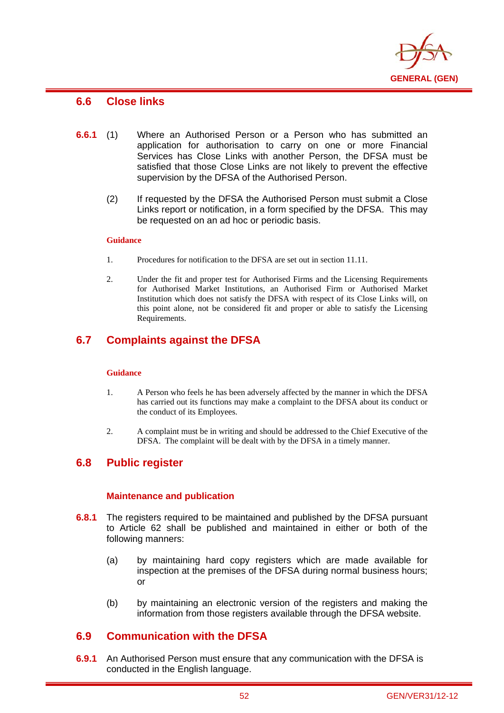

## **6.6 Close links**

i

- **6.6.1** (1) Where an Authorised Person or a Person who has submitted an application for authorisation to carry on one or more Financial Services has Close Links with another Person, the DFSA must be satisfied that those Close Links are not likely to prevent the effective supervision by the DFSA of the Authorised Person.
	- (2) If requested by the DFSA the Authorised Person must submit a Close Links report or notification, in a form specified by the DFSA. This may be requested on an ad hoc or periodic basis.

#### **Guidance**

- 1. Procedures for notification to the DFSA are set out in section 11.11.
- 2. Under the fit and proper test for Authorised Firms and the Licensing Requirements for Authorised Market Institutions, an Authorised Firm or Authorised Market Institution which does not satisfy the DFSA with respect of its Close Links will, on this point alone, not be considered fit and proper or able to satisfy the Licensing Requirements.

# **6.7 Complaints against the DFSA**

#### **Guidance**

- 1. A Person who feels he has been adversely affected by the manner in which the DFSA has carried out its functions may make a complaint to the DFSA about its conduct or the conduct of its Employees.
- 2. A complaint must be in writing and should be addressed to the Chief Executive of the DFSA. The complaint will be dealt with by the DFSA in a timely manner.

## **6.8 Public register**

## **Maintenance and publication**

- **6.8.1** The registers required to be maintained and published by the DFSA pursuant to Article 62 shall be published and maintained in either or both of the following manners:
	- (a) by maintaining hard copy registers which are made available for inspection at the premises of the DFSA during normal business hours; or
	- (b) by maintaining an electronic version of the registers and making the information from those registers available through the DFSA website.

## **6.9 Communication with the DFSA**

**6.9.1** An Authorised Person must ensure that any communication with the DFSA is conducted in the English language.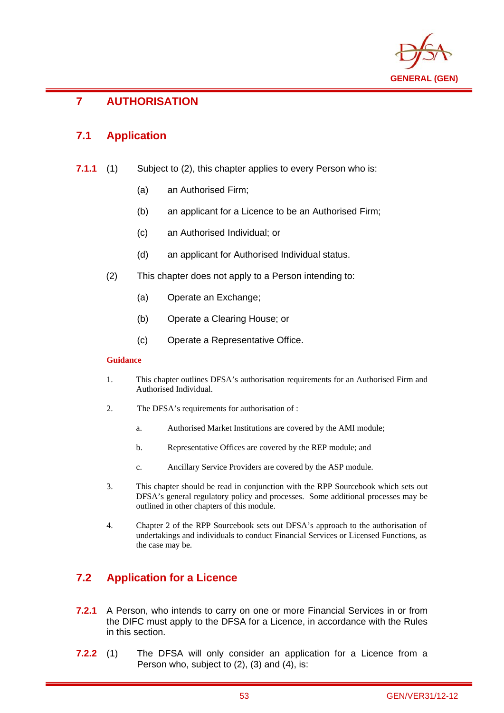

## i **7 AUTHORISATION**

# **7.1 Application**

- **7.1.1** (1) Subject to (2), this chapter applies to every Person who is:
	- (a) an Authorised Firm;
	- (b) an applicant for a Licence to be an Authorised Firm;
	- (c) an Authorised Individual; or
	- (d) an applicant for Authorised Individual status.
	- (2) This chapter does not apply to a Person intending to:
		- (a) Operate an Exchange;
		- (b) Operate a Clearing House; or
		- (c) Operate a Representative Office.

### **Guidance**

- 1. This chapter outlines DFSA's authorisation requirements for an Authorised Firm and Authorised Individual.
- 2. The DFSA's requirements for authorisation of :
	- a. Authorised Market Institutions are covered by the AMI module;
	- b. Representative Offices are covered by the REP module; and
	- c. Ancillary Service Providers are covered by the ASP module.
- 3. This chapter should be read in conjunction with the RPP Sourcebook which sets out DFSA's general regulatory policy and processes. Some additional processes may be outlined in other chapters of this module.
- 4. Chapter 2 of the RPP Sourcebook sets out DFSA's approach to the authorisation of undertakings and individuals to conduct Financial Services or Licensed Functions, as the case may be.

# **7.2 Application for a Licence**

- **7.2.1** A Person, who intends to carry on one or more Financial Services in or from the DIFC must apply to the DFSA for a Licence, in accordance with the Rules in this section.
- **7.2.2** (1) The DFSA will only consider an application for a Licence from a Person who, subject to (2), (3) and (4), is: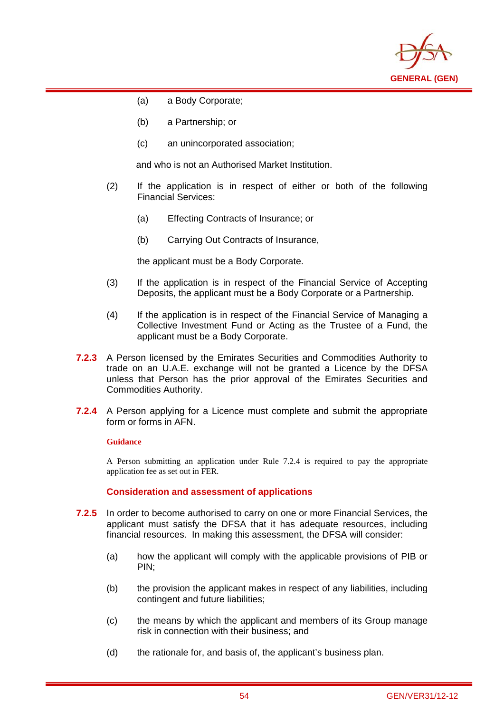

(a) a Body Corporate;

i

- (b) a Partnership; or
- (c) an unincorporated association;

and who is not an Authorised Market Institution.

- (2) If the application is in respect of either or both of the following Financial Services:
	- (a) Effecting Contracts of Insurance; or
	- (b) Carrying Out Contracts of Insurance,

the applicant must be a Body Corporate.

- (3) If the application is in respect of the Financial Service of Accepting Deposits, the applicant must be a Body Corporate or a Partnership.
- (4) If the application is in respect of the Financial Service of Managing a Collective Investment Fund or Acting as the Trustee of a Fund, the applicant must be a Body Corporate.
- **7.2.3** A Person licensed by the Emirates Securities and Commodities Authority to trade on an U.A.E. exchange will not be granted a Licence by the DFSA unless that Person has the prior approval of the Emirates Securities and Commodities Authority.
- **7.2.4** A Person applying for a Licence must complete and submit the appropriate form or forms in AFN.

#### **Guidance**

A Person submitting an application under Rule 7.2.4 is required to pay the appropriate application fee as set out in FER.

**Consideration and assessment of applications** 

- **7.2.5** In order to become authorised to carry on one or more Financial Services, the applicant must satisfy the DFSA that it has adequate resources, including financial resources. In making this assessment, the DFSA will consider:
	- (a) how the applicant will comply with the applicable provisions of PIB or PIN;
	- (b) the provision the applicant makes in respect of any liabilities, including contingent and future liabilities;
	- (c) the means by which the applicant and members of its Group manage risk in connection with their business; and
	- (d) the rationale for, and basis of, the applicant's business plan.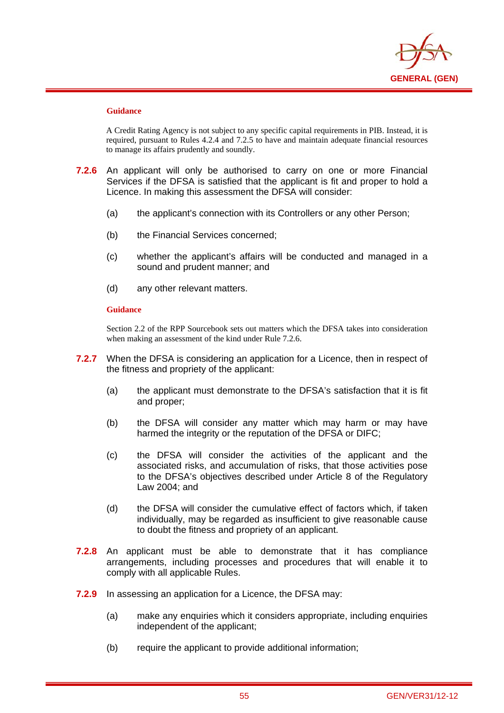

i

A Credit Rating Agency is not subject to any specific capital requirements in PIB. Instead, it is required, pursuant to Rules 4.2.4 and 7.2.5 to have and maintain adequate financial resources to manage its affairs prudently and soundly.

- **7.2.6** An applicant will only be authorised to carry on one or more Financial Services if the DFSA is satisfied that the applicant is fit and proper to hold a Licence. In making this assessment the DFSA will consider:
	- (a) the applicant's connection with its Controllers or any other Person;
	- (b) the Financial Services concerned;
	- (c) whether the applicant's affairs will be conducted and managed in a sound and prudent manner; and
	- (d) any other relevant matters.

#### **Guidance**

Section 2.2 of the RPP Sourcebook sets out matters which the DFSA takes into consideration when making an assessment of the kind under Rule 7.2.6.

- **7.2.7** When the DFSA is considering an application for a Licence, then in respect of the fitness and propriety of the applicant:
	- (a) the applicant must demonstrate to the DFSA's satisfaction that it is fit and proper;
	- (b) the DFSA will consider any matter which may harm or may have harmed the integrity or the reputation of the DFSA or DIFC;
	- (c) the DFSA will consider the activities of the applicant and the associated risks, and accumulation of risks, that those activities pose to the DFSA's objectives described under Article 8 of the Regulatory Law 2004; and
	- (d) the DFSA will consider the cumulative effect of factors which, if taken individually, may be regarded as insufficient to give reasonable cause to doubt the fitness and propriety of an applicant.
- **7.2.8** An applicant must be able to demonstrate that it has compliance arrangements, including processes and procedures that will enable it to comply with all applicable Rules.
- **7.2.9** In assessing an application for a Licence, the DFSA may:
	- (a) make any enquiries which it considers appropriate, including enquiries independent of the applicant;
	- (b) require the applicant to provide additional information;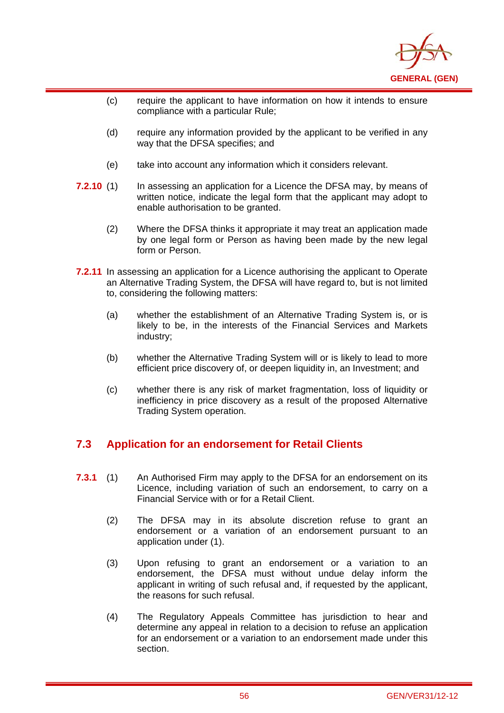

- (c) require the applicant to have information on how it intends to ensure compliance with a particular Rule;
- (d) require any information provided by the applicant to be verified in any way that the DFSA specifies; and
- (e) take into account any information which it considers relevant.

i

- **7.2.10** (1) In assessing an application for a Licence the DFSA may, by means of written notice, indicate the legal form that the applicant may adopt to enable authorisation to be granted.
	- (2) Where the DFSA thinks it appropriate it may treat an application made by one legal form or Person as having been made by the new legal form or Person.
- **7.2.11** In assessing an application for a Licence authorising the applicant to Operate an Alternative Trading System, the DFSA will have regard to, but is not limited to, considering the following matters:
	- (a) whether the establishment of an Alternative Trading System is, or is likely to be, in the interests of the Financial Services and Markets industry;
	- (b) whether the Alternative Trading System will or is likely to lead to more efficient price discovery of, or deepen liquidity in, an Investment; and
	- (c) whether there is any risk of market fragmentation, loss of liquidity or inefficiency in price discovery as a result of the proposed Alternative Trading System operation.

# **7.3 Application for an endorsement for Retail Clients**

- **7.3.1** (1) An Authorised Firm may apply to the DFSA for an endorsement on its Licence, including variation of such an endorsement, to carry on a Financial Service with or for a Retail Client.
	- (2) The DFSA may in its absolute discretion refuse to grant an endorsement or a variation of an endorsement pursuant to an application under (1).
	- (3) Upon refusing to grant an endorsement or a variation to an endorsement, the DFSA must without undue delay inform the applicant in writing of such refusal and, if requested by the applicant, the reasons for such refusal.
	- (4) The Regulatory Appeals Committee has jurisdiction to hear and determine any appeal in relation to a decision to refuse an application for an endorsement or a variation to an endorsement made under this section.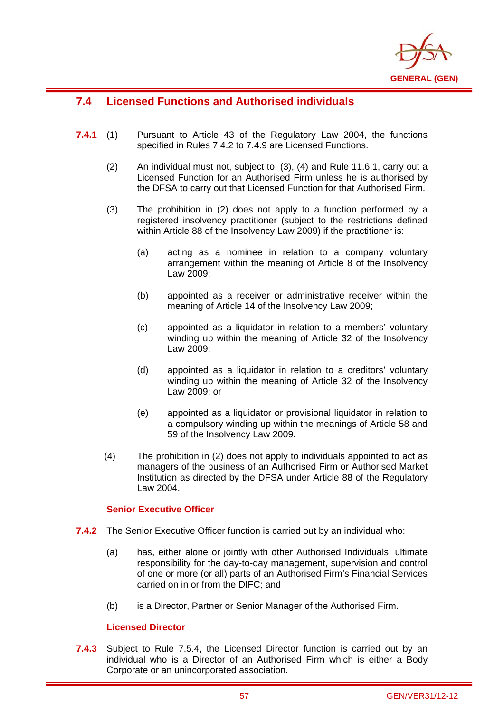

# **7.4 Licensed Functions and Authorised individuals**

i

- **7.4.1** (1) Pursuant to Article 43 of the Regulatory Law 2004, the functions specified in Rules 7.4.2 to 7.4.9 are Licensed Functions.
	- (2) An individual must not, subject to, (3), (4) and Rule 11.6.1, carry out a Licensed Function for an Authorised Firm unless he is authorised by the DFSA to carry out that Licensed Function for that Authorised Firm.
	- (3) The prohibition in (2) does not apply to a function performed by a registered insolvency practitioner (subject to the restrictions defined within Article 88 of the Insolvency Law 2009) if the practitioner is:
		- (a) acting as a nominee in relation to a company voluntary arrangement within the meaning of Article 8 of the Insolvency Law 2009;
		- (b) appointed as a receiver or administrative receiver within the meaning of Article 14 of the Insolvency Law 2009;
		- (c) appointed as a liquidator in relation to a members' voluntary winding up within the meaning of Article 32 of the Insolvency Law 2009;
		- (d) appointed as a liquidator in relation to a creditors' voluntary winding up within the meaning of Article 32 of the Insolvency Law 2009; or
		- (e) appointed as a liquidator or provisional liquidator in relation to a compulsory winding up within the meanings of Article 58 and 59 of the Insolvency Law 2009.
	- (4) The prohibition in (2) does not apply to individuals appointed to act as managers of the business of an Authorised Firm or Authorised Market Institution as directed by the DFSA under Article 88 of the Regulatory Law 2004.

## **Senior Executive Officer**

- **7.4.2** The Senior Executive Officer function is carried out by an individual who:
	- (a) has, either alone or jointly with other Authorised Individuals, ultimate responsibility for the day-to-day management, supervision and control of one or more (or all) parts of an Authorised Firm's Financial Services carried on in or from the DIFC; and
	- (b) is a Director, Partner or Senior Manager of the Authorised Firm.

## **Licensed Director**

**7.4.3** Subject to Rule 7.5.4, the Licensed Director function is carried out by an individual who is a Director of an Authorised Firm which is either a Body Corporate or an unincorporated association.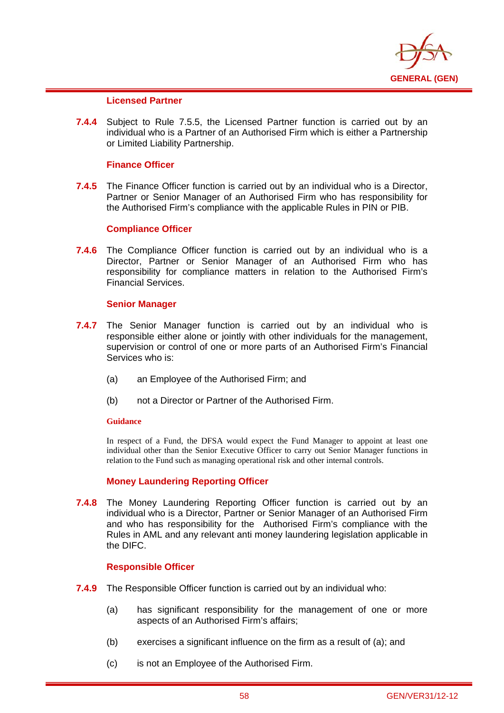

## **Licensed Partner**

i

**7.4.4** Subject to Rule 7.5.5, the Licensed Partner function is carried out by an individual who is a Partner of an Authorised Firm which is either a Partnership or Limited Liability Partnership.

## **Finance Officer**

**7.4.5** The Finance Officer function is carried out by an individual who is a Director, Partner or Senior Manager of an Authorised Firm who has responsibility for the Authorised Firm's compliance with the applicable Rules in PIN or PIB.

#### **Compliance Officer**

**7.4.6** The Compliance Officer function is carried out by an individual who is a Director, Partner or Senior Manager of an Authorised Firm who has responsibility for compliance matters in relation to the Authorised Firm's Financial Services.

#### **Senior Manager**

- **7.4.7** The Senior Manager function is carried out by an individual who is responsible either alone or jointly with other individuals for the management, supervision or control of one or more parts of an Authorised Firm's Financial Services who is:
	- (a) an Employee of the Authorised Firm; and
	- (b) not a Director or Partner of the Authorised Firm.

#### **Guidance**

In respect of a Fund, the DFSA would expect the Fund Manager to appoint at least one individual other than the Senior Executive Officer to carry out Senior Manager functions in relation to the Fund such as managing operational risk and other internal controls.

## **Money Laundering Reporting Officer**

**7.4.8** The Money Laundering Reporting Officer function is carried out by an individual who is a Director, Partner or Senior Manager of an Authorised Firm and who has responsibility for the Authorised Firm's compliance with the Rules in AML and any relevant anti money laundering legislation applicable in the DIFC.

#### **Responsible Officer**

- **7.4.9** The Responsible Officer function is carried out by an individual who:
	- (a) has significant responsibility for the management of one or more aspects of an Authorised Firm's affairs;
	- (b) exercises a significant influence on the firm as a result of (a); and
	- (c) is not an Employee of the Authorised Firm.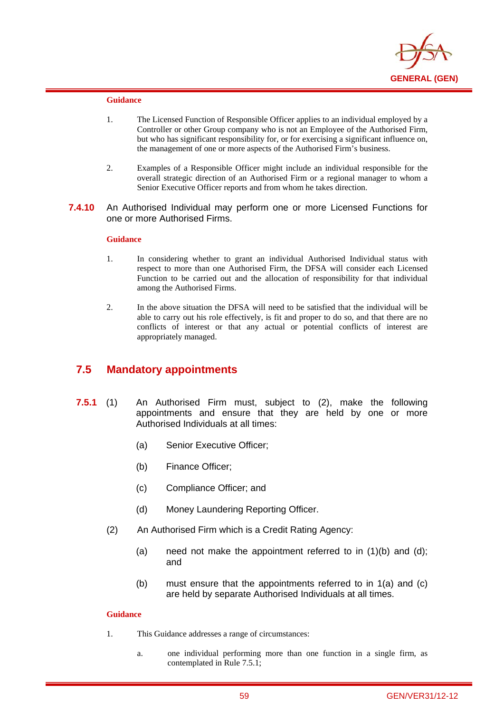

i

- 1. The Licensed Function of Responsible Officer applies to an individual employed by a Controller or other Group company who is not an Employee of the Authorised Firm, but who has significant responsibility for, or for exercising a significant influence on, the management of one or more aspects of the Authorised Firm's business.
- 2. Examples of a Responsible Officer might include an individual responsible for the overall strategic direction of an Authorised Firm or a regional manager to whom a Senior Executive Officer reports and from whom he takes direction.
- **7.4.10** An Authorised Individual may perform one or more Licensed Functions for one or more Authorised Firms.

#### **Guidance**

- 1. In considering whether to grant an individual Authorised Individual status with respect to more than one Authorised Firm, the DFSA will consider each Licensed Function to be carried out and the allocation of responsibility for that individual among the Authorised Firms.
- 2. In the above situation the DFSA will need to be satisfied that the individual will be able to carry out his role effectively, is fit and proper to do so, and that there are no conflicts of interest or that any actual or potential conflicts of interest are appropriately managed.

## **7.5 Mandatory appointments**

- **7.5.1** (1) An Authorised Firm must, subject to (2), make the following appointments and ensure that they are held by one or more Authorised Individuals at all times:
	- (a) Senior Executive Officer;
	- (b) Finance Officer;
	- (c) Compliance Officer; and
	- (d) Money Laundering Reporting Officer.
	- (2) An Authorised Firm which is a Credit Rating Agency:
		- (a) need not make the appointment referred to in  $(1)(b)$  and  $(d)$ ; and
		- (b) must ensure that the appointments referred to in 1(a) and (c) are held by separate Authorised Individuals at all times.

### **Guidance**

- 1. This Guidance addresses a range of circumstances:
	- a. one individual performing more than one function in a single firm, as contemplated in Rule 7.5.1;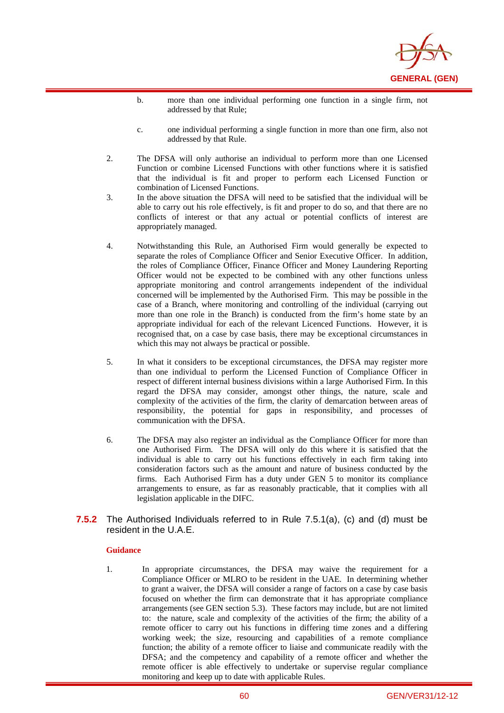

- b. more than one individual performing one function in a single firm, not addressed by that Rule;
- c. one individual performing a single function in more than one firm, also not addressed by that Rule.
- 2. The DFSA will only authorise an individual to perform more than one Licensed Function or combine Licensed Functions with other functions where it is satisfied that the individual is fit and proper to perform each Licensed Function or combination of Licensed Functions.
- 3. In the above situation the DFSA will need to be satisfied that the individual will be able to carry out his role effectively, is fit and proper to do so, and that there are no conflicts of interest or that any actual or potential conflicts of interest are appropriately managed.
- 4. Notwithstanding this Rule, an Authorised Firm would generally be expected to separate the roles of Compliance Officer and Senior Executive Officer. In addition, the roles of Compliance Officer, Finance Officer and Money Laundering Reporting Officer would not be expected to be combined with any other functions unless appropriate monitoring and control arrangements independent of the individual concerned will be implemented by the Authorised Firm. This may be possible in the case of a Branch, where monitoring and controlling of the individual (carrying out more than one role in the Branch) is conducted from the firm's home state by an appropriate individual for each of the relevant Licenced Functions. However, it is recognised that, on a case by case basis, there may be exceptional circumstances in which this may not always be practical or possible.
- 5. In what it considers to be exceptional circumstances, the DFSA may register more than one individual to perform the Licensed Function of Compliance Officer in respect of different internal business divisions within a large Authorised Firm. In this regard the DFSA may consider, amongst other things, the nature, scale and complexity of the activities of the firm, the clarity of demarcation between areas of responsibility, the potential for gaps in responsibility, and processes of communication with the DFSA.
- 6. The DFSA may also register an individual as the Compliance Officer for more than one Authorised Firm. The DFSA will only do this where it is satisfied that the individual is able to carry out his functions effectively in each firm taking into consideration factors such as the amount and nature of business conducted by the firms. Each Authorised Firm has a duty under GEN 5 to monitor its compliance arrangements to ensure, as far as reasonably practicable, that it complies with all legislation applicable in the DIFC.
- **7.5.2** The Authorised Individuals referred to in Rule 7.5.1(a), (c) and (d) must be resident in the U.A.E.

i

1. In appropriate circumstances, the DFSA may waive the requirement for a Compliance Officer or MLRO to be resident in the UAE. In determining whether to grant a waiver, the DFSA will consider a range of factors on a case by case basis focused on whether the firm can demonstrate that it has appropriate compliance arrangements (see GEN section 5.3). These factors may include, but are not limited to: the nature, scale and complexity of the activities of the firm; the ability of a remote officer to carry out his functions in differing time zones and a differing working week; the size, resourcing and capabilities of a remote compliance function; the ability of a remote officer to liaise and communicate readily with the DFSA; and the competency and capability of a remote officer and whether the remote officer is able effectively to undertake or supervise regular compliance monitoring and keep up to date with applicable Rules.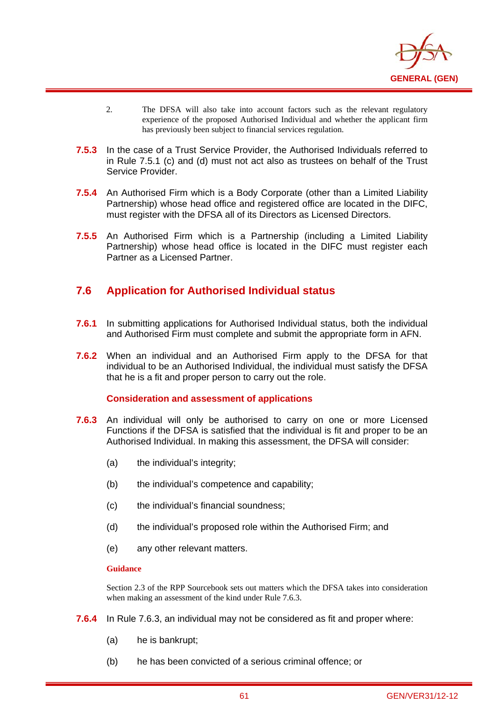

- 2. The DFSA will also take into account factors such as the relevant regulatory experience of the proposed Authorised Individual and whether the applicant firm has previously been subject to financial services regulation.
- **7.5.3** In the case of a Trust Service Provider, the Authorised Individuals referred to in Rule 7.5.1 (c) and (d) must not act also as trustees on behalf of the Trust Service Provider.
- **7.5.4** An Authorised Firm which is a Body Corporate (other than a Limited Liability Partnership) whose head office and registered office are located in the DIFC, must register with the DFSA all of its Directors as Licensed Directors.
- **7.5.5** An Authorised Firm which is a Partnership (including a Limited Liability Partnership) whose head office is located in the DIFC must register each Partner as a Licensed Partner.

# **7.6 Application for Authorised Individual status**

- **7.6.1** In submitting applications for Authorised Individual status, both the individual and Authorised Firm must complete and submit the appropriate form in AFN.
- **7.6.2** When an individual and an Authorised Firm apply to the DFSA for that individual to be an Authorised Individual, the individual must satisfy the DFSA that he is a fit and proper person to carry out the role.

## **Consideration and assessment of applications**

- **7.6.3** An individual will only be authorised to carry on one or more Licensed Functions if the DFSA is satisfied that the individual is fit and proper to be an Authorised Individual. In making this assessment, the DFSA will consider:
	- (a) the individual's integrity;
	- (b) the individual's competence and capability;
	- (c) the individual's financial soundness;
	- (d) the individual's proposed role within the Authorised Firm; and
	- (e) any other relevant matters.

#### **Guidance**

i

Section 2.3 of the RPP Sourcebook sets out matters which the DFSA takes into consideration when making an assessment of the kind under Rule 7.6.3.

- **7.6.4** In Rule 7.6.3, an individual may not be considered as fit and proper where:
	- (a) he is bankrupt;
	- (b) he has been convicted of a serious criminal offence; or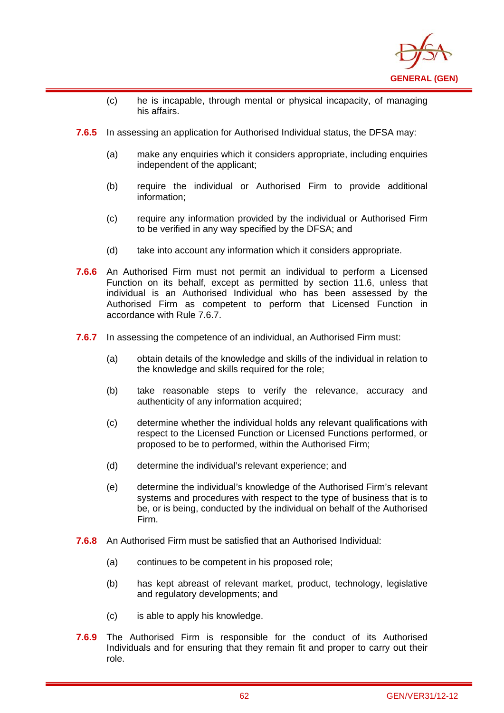

- (c) he is incapable, through mental or physical incapacity, of managing his affairs.
- **7.6.5** In assessing an application for Authorised Individual status, the DFSA may:

i

- (a) make any enquiries which it considers appropriate, including enquiries independent of the applicant;
- (b) require the individual or Authorised Firm to provide additional information;
- (c) require any information provided by the individual or Authorised Firm to be verified in any way specified by the DFSA; and
- (d) take into account any information which it considers appropriate.
- **7.6.6** An Authorised Firm must not permit an individual to perform a Licensed Function on its behalf, except as permitted by section 11.6, unless that individual is an Authorised Individual who has been assessed by the Authorised Firm as competent to perform that Licensed Function in accordance with Rule 7.6.7.
- **7.6.7** In assessing the competence of an individual, an Authorised Firm must:
	- (a) obtain details of the knowledge and skills of the individual in relation to the knowledge and skills required for the role;
	- (b) take reasonable steps to verify the relevance, accuracy and authenticity of any information acquired;
	- (c) determine whether the individual holds any relevant qualifications with respect to the Licensed Function or Licensed Functions performed, or proposed to be to performed, within the Authorised Firm;
	- (d) determine the individual's relevant experience; and
	- (e) determine the individual's knowledge of the Authorised Firm's relevant systems and procedures with respect to the type of business that is to be, or is being, conducted by the individual on behalf of the Authorised Firm.
- **7.6.8** An Authorised Firm must be satisfied that an Authorised Individual:
	- (a) continues to be competent in his proposed role;
	- (b) has kept abreast of relevant market, product, technology, legislative and regulatory developments; and
	- (c) is able to apply his knowledge.
- **7.6.9** The Authorised Firm is responsible for the conduct of its Authorised Individuals and for ensuring that they remain fit and proper to carry out their role.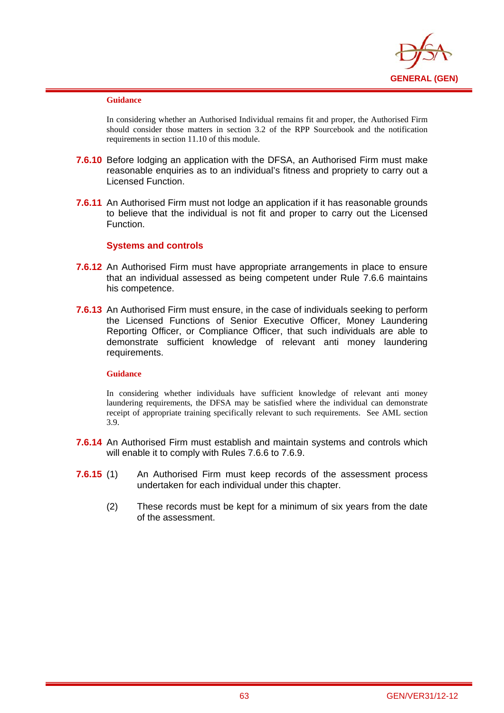

i

In considering whether an Authorised Individual remains fit and proper, the Authorised Firm should consider those matters in section 3.2 of the RPP Sourcebook and the notification requirements in section 11.10 of this module.

- **7.6.10** Before lodging an application with the DFSA, an Authorised Firm must make reasonable enquiries as to an individual's fitness and propriety to carry out a Licensed Function.
- **7.6.11** An Authorised Firm must not lodge an application if it has reasonable grounds to believe that the individual is not fit and proper to carry out the Licensed Function.

## **Systems and controls**

- **7.6.12** An Authorised Firm must have appropriate arrangements in place to ensure that an individual assessed as being competent under Rule 7.6.6 maintains his competence.
- **7.6.13** An Authorised Firm must ensure, in the case of individuals seeking to perform the Licensed Functions of Senior Executive Officer, Money Laundering Reporting Officer, or Compliance Officer, that such individuals are able to demonstrate sufficient knowledge of relevant anti money laundering requirements.

#### **Guidance**

In considering whether individuals have sufficient knowledge of relevant anti money laundering requirements, the DFSA may be satisfied where the individual can demonstrate receipt of appropriate training specifically relevant to such requirements. See AML section 3.9.

- **7.6.14** An Authorised Firm must establish and maintain systems and controls which will enable it to comply with Rules 7.6.6 to 7.6.9.
- **7.6.15** (1) An Authorised Firm must keep records of the assessment process undertaken for each individual under this chapter.
	- (2) These records must be kept for a minimum of six years from the date of the assessment.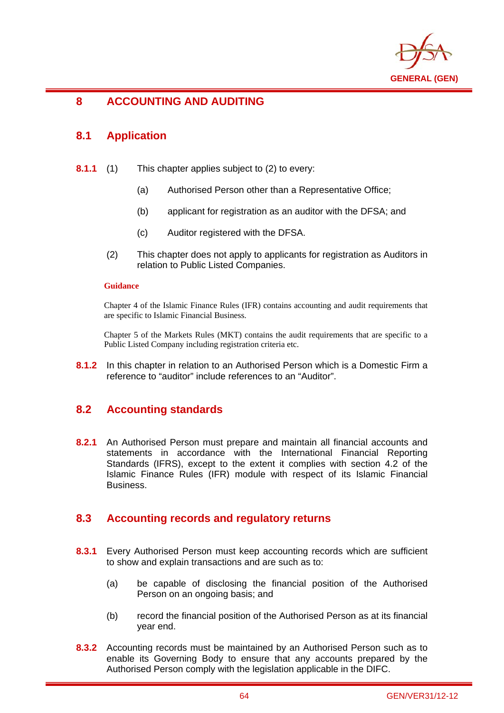

## i **8 ACCOUNTING AND AUDITING**

# **8.1 Application**

- **8.1.1** (1) This chapter applies subject to (2) to every:
	- (a) Authorised Person other than a Representative Office;
	- (b) applicant for registration as an auditor with the DFSA; and
	- (c) Auditor registered with the DFSA.
	- (2) This chapter does not apply to applicants for registration as Auditors in relation to Public Listed Companies.

## **Guidance**

Chapter 4 of the Islamic Finance Rules (IFR) contains accounting and audit requirements that are specific to Islamic Financial Business.

Chapter 5 of the Markets Rules (MKT) contains the audit requirements that are specific to a Public Listed Company including registration criteria etc.

**8.1.2** In this chapter in relation to an Authorised Person which is a Domestic Firm a reference to "auditor" include references to an "Auditor".

# **8.2 Accounting standards**

**8.2.1** An Authorised Person must prepare and maintain all financial accounts and statements in accordance with the International Financial Reporting Standards (IFRS), except to the extent it complies with section 4.2 of the Islamic Finance Rules (IFR) module with respect of its Islamic Financial Business.

# **8.3 Accounting records and regulatory returns**

- **8.3.1** Every Authorised Person must keep accounting records which are sufficient to show and explain transactions and are such as to:
	- (a) be capable of disclosing the financial position of the Authorised Person on an ongoing basis; and
	- (b) record the financial position of the Authorised Person as at its financial year end.
- **8.3.2** Accounting records must be maintained by an Authorised Person such as to enable its Governing Body to ensure that any accounts prepared by the Authorised Person comply with the legislation applicable in the DIFC.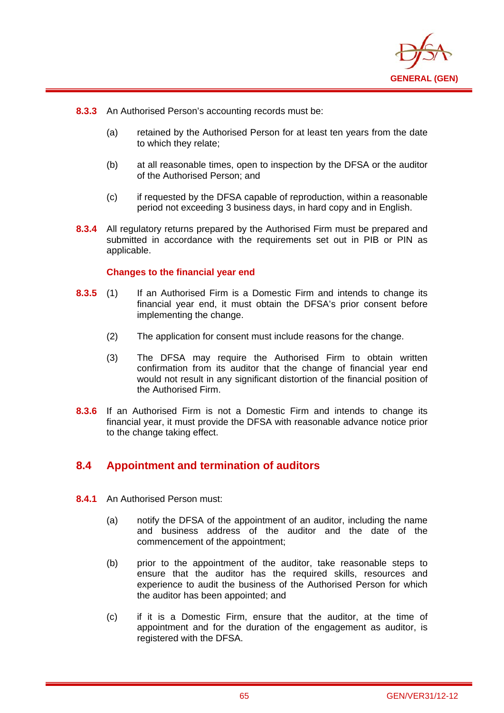

**8.3.3** An Authorised Person's accounting records must be:

i

- (a) retained by the Authorised Person for at least ten years from the date to which they relate;
- (b) at all reasonable times, open to inspection by the DFSA or the auditor of the Authorised Person; and
- (c) if requested by the DFSA capable of reproduction, within a reasonable period not exceeding 3 business days, in hard copy and in English.
- **8.3.4** All regulatory returns prepared by the Authorised Firm must be prepared and submitted in accordance with the requirements set out in PIB or PIN as applicable.

## **Changes to the financial year end**

- **8.3.5** (1) If an Authorised Firm is a Domestic Firm and intends to change its financial year end, it must obtain the DFSA's prior consent before implementing the change.
	- (2) The application for consent must include reasons for the change.
	- (3) The DFSA may require the Authorised Firm to obtain written confirmation from its auditor that the change of financial year end would not result in any significant distortion of the financial position of the Authorised Firm.
- **8.3.6** If an Authorised Firm is not a Domestic Firm and intends to change its financial year, it must provide the DFSA with reasonable advance notice prior to the change taking effect.

# **8.4 Appointment and termination of auditors**

- **8.4.1** An Authorised Person must:
	- (a) notify the DFSA of the appointment of an auditor, including the name and business address of the auditor and the date of the commencement of the appointment;
	- (b) prior to the appointment of the auditor, take reasonable steps to ensure that the auditor has the required skills, resources and experience to audit the business of the Authorised Person for which the auditor has been appointed; and
	- (c) if it is a Domestic Firm, ensure that the auditor, at the time of appointment and for the duration of the engagement as auditor, is registered with the DFSA.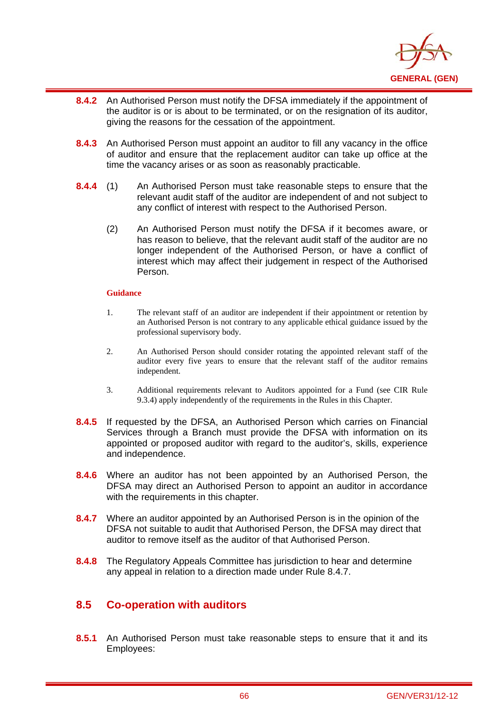

- i **8.4.2** An Authorised Person must notify the DFSA immediately if the appointment of the auditor is or is about to be terminated, or on the resignation of its auditor, giving the reasons for the cessation of the appointment.
- **8.4.3** An Authorised Person must appoint an auditor to fill any vacancy in the office of auditor and ensure that the replacement auditor can take up office at the time the vacancy arises or as soon as reasonably practicable.
- **8.4.4** (1) An Authorised Person must take reasonable steps to ensure that the relevant audit staff of the auditor are independent of and not subject to any conflict of interest with respect to the Authorised Person.
	- (2) An Authorised Person must notify the DFSA if it becomes aware, or has reason to believe, that the relevant audit staff of the auditor are no longer independent of the Authorised Person, or have a conflict of interest which may affect their judgement in respect of the Authorised Person.

- 1. The relevant staff of an auditor are independent if their appointment or retention by an Authorised Person is not contrary to any applicable ethical guidance issued by the professional supervisory body.
- 2. An Authorised Person should consider rotating the appointed relevant staff of the auditor every five years to ensure that the relevant staff of the auditor remains independent.
- 3. Additional requirements relevant to Auditors appointed for a Fund (see CIR Rule 9.3.4) apply independently of the requirements in the Rules in this Chapter.
- **8.4.5** If requested by the DFSA, an Authorised Person which carries on Financial Services through a Branch must provide the DFSA with information on its appointed or proposed auditor with regard to the auditor's, skills, experience and independence.
- **8.4.6** Where an auditor has not been appointed by an Authorised Person, the DFSA may direct an Authorised Person to appoint an auditor in accordance with the requirements in this chapter.
- **8.4.7** Where an auditor appointed by an Authorised Person is in the opinion of the DFSA not suitable to audit that Authorised Person, the DFSA may direct that auditor to remove itself as the auditor of that Authorised Person.
- **8.4.8** The Regulatory Appeals Committee has jurisdiction to hear and determine any appeal in relation to a direction made under Rule 8.4.7.

# **8.5 Co-operation with auditors**

**8.5.1** An Authorised Person must take reasonable steps to ensure that it and its Employees: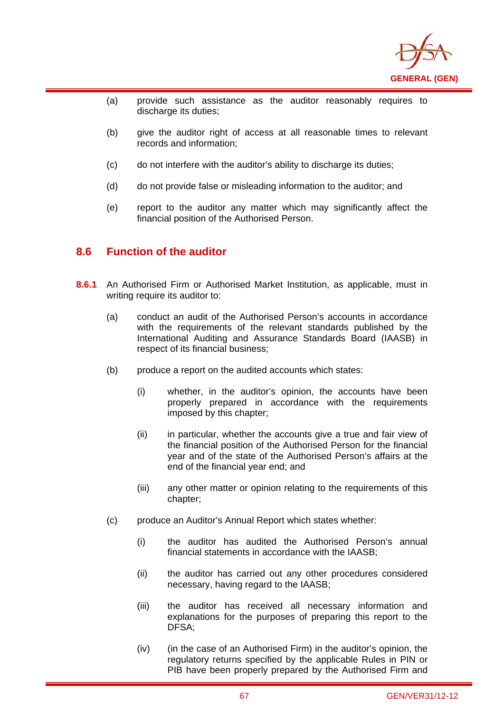

- (a) provide such assistance as the auditor reasonably requires to discharge its duties:
- (b) give the auditor right of access at all reasonable times to relevant records and information;
- (c) do not interfere with the auditor's ability to discharge its duties;
- (d) do not provide false or misleading information to the auditor; and
- (e) report to the auditor any matter which may significantly affect the financial position of the Authorised Person.

## **8.6 Function of the auditor**

i

- **8.6.1** An Authorised Firm or Authorised Market Institution, as applicable, must in writing require its auditor to:
	- (a) conduct an audit of the Authorised Person's accounts in accordance with the requirements of the relevant standards published by the International Auditing and Assurance Standards Board (IAASB) in respect of its financial business;
	- (b) produce a report on the audited accounts which states:
		- (i) whether, in the auditor's opinion, the accounts have been properly prepared in accordance with the requirements imposed by this chapter;
		- (ii) in particular, whether the accounts give a true and fair view of the financial position of the Authorised Person for the financial year and of the state of the Authorised Person's affairs at the end of the financial year end; and
		- (iii) any other matter or opinion relating to the requirements of this chapter;
	- (c) produce an Auditor's Annual Report which states whether:
		- (i) the auditor has audited the Authorised Person's annual financial statements in accordance with the IAASB;
		- (ii) the auditor has carried out any other procedures considered necessary, having regard to the IAASB;
		- (iii) the auditor has received all necessary information and explanations for the purposes of preparing this report to the DFSA;
		- (iv) (in the case of an Authorised Firm) in the auditor's opinion, the regulatory returns specified by the applicable Rules in PIN or PIB have been properly prepared by the Authorised Firm and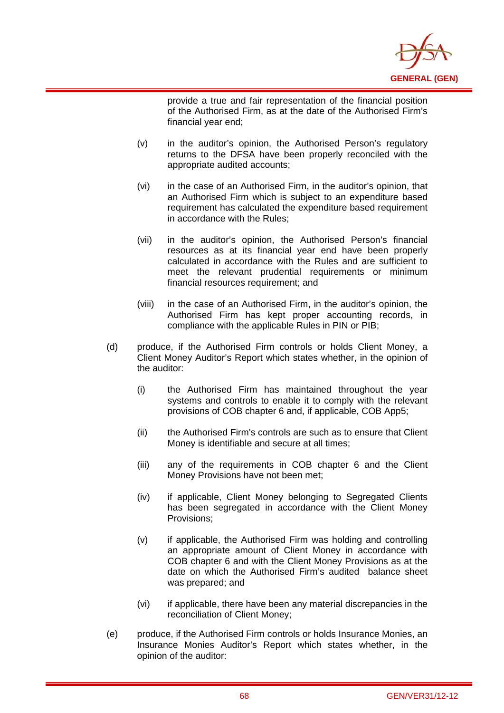

provide a true and fair representation of the financial position of the Authorised Firm, as at the date of the Authorised Firm's financial year end;

(v) in the auditor's opinion, the Authorised Person's regulatory returns to the DFSA have been properly reconciled with the appropriate audited accounts;

- (vi) in the case of an Authorised Firm, in the auditor's opinion, that an Authorised Firm which is subject to an expenditure based requirement has calculated the expenditure based requirement in accordance with the Rules;
- (vii) in the auditor's opinion, the Authorised Person's financial resources as at its financial year end have been properly calculated in accordance with the Rules and are sufficient to meet the relevant prudential requirements or minimum financial resources requirement; and
- (viii) in the case of an Authorised Firm, in the auditor's opinion, the Authorised Firm has kept proper accounting records, in compliance with the applicable Rules in PIN or PIB;
- (d) produce, if the Authorised Firm controls or holds Client Money, a Client Money Auditor's Report which states whether, in the opinion of the auditor:
	- (i) the Authorised Firm has maintained throughout the year systems and controls to enable it to comply with the relevant provisions of COB chapter 6 and, if applicable, COB App5;
	- (ii) the Authorised Firm's controls are such as to ensure that Client Money is identifiable and secure at all times;
	- (iii) any of the requirements in COB chapter 6 and the Client Money Provisions have not been met;
	- (iv) if applicable, Client Money belonging to Segregated Clients has been segregated in accordance with the Client Money Provisions;
	- (v) if applicable, the Authorised Firm was holding and controlling an appropriate amount of Client Money in accordance with COB chapter 6 and with the Client Money Provisions as at the date on which the Authorised Firm's audited balance sheet was prepared; and
	- (vi) if applicable, there have been any material discrepancies in the reconciliation of Client Money;
- (e) produce, if the Authorised Firm controls or holds Insurance Monies, an Insurance Monies Auditor's Report which states whether, in the opinion of the auditor: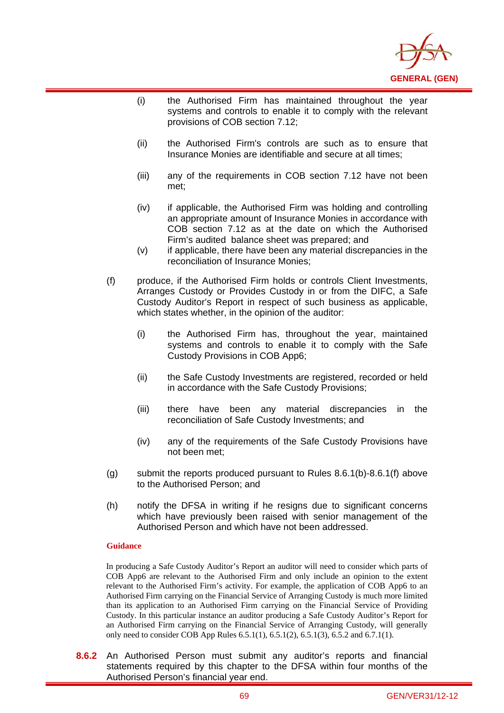

- (i) the Authorised Firm has maintained throughout the year systems and controls to enable it to comply with the relevant provisions of COB section 7.12;
- (ii) the Authorised Firm's controls are such as to ensure that Insurance Monies are identifiable and secure at all times;
- (iii) any of the requirements in COB section 7.12 have not been met;
- (iv) if applicable, the Authorised Firm was holding and controlling an appropriate amount of Insurance Monies in accordance with COB section 7.12 as at the date on which the Authorised Firm's audited balance sheet was prepared; and
- (v) if applicable, there have been any material discrepancies in the reconciliation of Insurance Monies;
- (f) produce, if the Authorised Firm holds or controls Client Investments, Arranges Custody or Provides Custody in or from the DIFC, a Safe Custody Auditor's Report in respect of such business as applicable, which states whether, in the opinion of the auditor:
	- (i) the Authorised Firm has, throughout the year, maintained systems and controls to enable it to comply with the Safe Custody Provisions in COB App6;
	- (ii) the Safe Custody Investments are registered, recorded or held in accordance with the Safe Custody Provisions;
	- (iii) there have been any material discrepancies in the reconciliation of Safe Custody Investments; and
	- (iv) any of the requirements of the Safe Custody Provisions have not been met;
- (g) submit the reports produced pursuant to Rules 8.6.1(b)-8.6.1(f) above to the Authorised Person; and
- (h) notify the DFSA in writing if he resigns due to significant concerns which have previously been raised with senior management of the Authorised Person and which have not been addressed.

i

In producing a Safe Custody Auditor's Report an auditor will need to consider which parts of COB App6 are relevant to the Authorised Firm and only include an opinion to the extent relevant to the Authorised Firm's activity. For example, the application of COB App6 to an Authorised Firm carrying on the Financial Service of Arranging Custody is much more limited than its application to an Authorised Firm carrying on the Financial Service of Providing Custody. In this particular instance an auditor producing a Safe Custody Auditor's Report for an Authorised Firm carrying on the Financial Service of Arranging Custody, will generally only need to consider COB App Rules 6.5.1(1), 6.5.1(2), 6.5.1(3), 6.5.2 and 6.7.1(1).

**8.6.2** An Authorised Person must submit any auditor's reports and financial statements required by this chapter to the DFSA within four months of the Authorised Person's financial year end.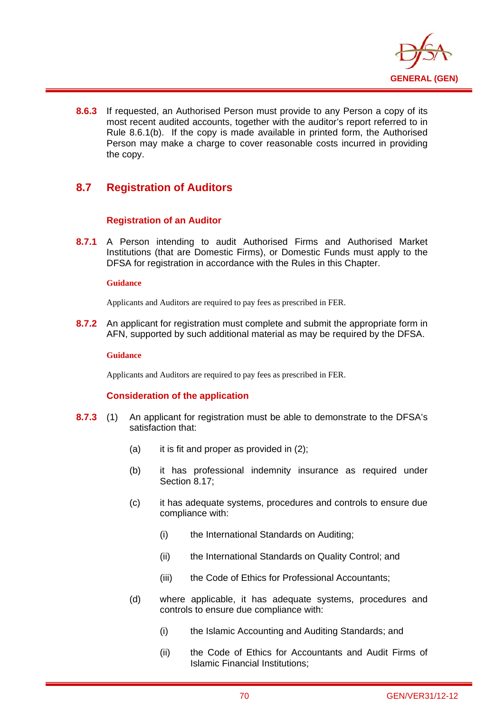

**8.6.3** If requested, an Authorised Person must provide to any Person a copy of its most recent audited accounts, together with the auditor's report referred to in Rule 8.6.1(b). If the copy is made available in printed form, the Authorised Person may make a charge to cover reasonable costs incurred in providing the copy.

# **8.7 Registration of Auditors**

### **Registration of an Auditor**

**8.7.1** A Person intending to audit Authorised Firms and Authorised Market Institutions (that are Domestic Firms), or Domestic Funds must apply to the DFSA for registration in accordance with the Rules in this Chapter.

### **Guidance**

i

Applicants and Auditors are required to pay fees as prescribed in FER.

**8.7.2** An applicant for registration must complete and submit the appropriate form in AFN, supported by such additional material as may be required by the DFSA.

#### **Guidance**

Applicants and Auditors are required to pay fees as prescribed in FER.

### **Consideration of the application**

- **8.7.3** (1) An applicant for registration must be able to demonstrate to the DFSA's satisfaction that:
	- (a) it is fit and proper as provided in  $(2)$ ;
	- (b) it has professional indemnity insurance as required under Section 8.17;
	- (c) it has adequate systems, procedures and controls to ensure due compliance with:
		- (i) the International Standards on Auditing;
		- (ii) the International Standards on Quality Control; and
		- (iii) the Code of Ethics for Professional Accountants;
	- (d) where applicable, it has adequate systems, procedures and controls to ensure due compliance with:
		- (i) the Islamic Accounting and Auditing Standards; and
		- (ii) the Code of Ethics for Accountants and Audit Firms of Islamic Financial Institutions;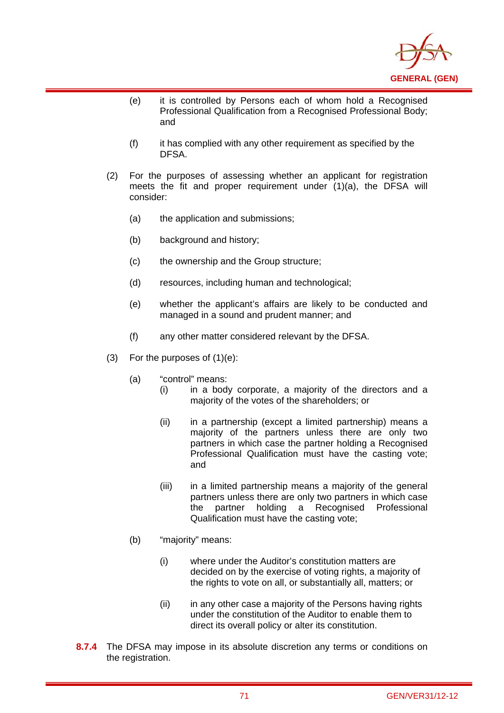

- (e) it is controlled by Persons each of whom hold a Recognised Professional Qualification from a Recognised Professional Body; and
- (f) it has complied with any other requirement as specified by the DFSA.
- (2) For the purposes of assessing whether an applicant for registration meets the fit and proper requirement under (1)(a), the DFSA will consider:
	- (a) the application and submissions;
	- (b) background and history;

- (c) the ownership and the Group structure;
- (d) resources, including human and technological;
- (e) whether the applicant's affairs are likely to be conducted and managed in a sound and prudent manner; and
- (f) any other matter considered relevant by the DFSA.
- (3) For the purposes of (1)(e):
	- (a) "control" means:
		- (i) in a body corporate, a majority of the directors and a majority of the votes of the shareholders; or
		- (ii) in a partnership (except a limited partnership) means a majority of the partners unless there are only two partners in which case the partner holding a Recognised Professional Qualification must have the casting vote; and
		- (iii) in a limited partnership means a majority of the general partners unless there are only two partners in which case the partner holding a Recognised Professional Qualification must have the casting vote;
	- (b) "majority" means:
		- (i) where under the Auditor's constitution matters are decided on by the exercise of voting rights, a majority of the rights to vote on all, or substantially all, matters; or
		- (ii) in any other case a majority of the Persons having rights under the constitution of the Auditor to enable them to direct its overall policy or alter its constitution.
- **8.7.4** The DFSA may impose in its absolute discretion any terms or conditions on the registration.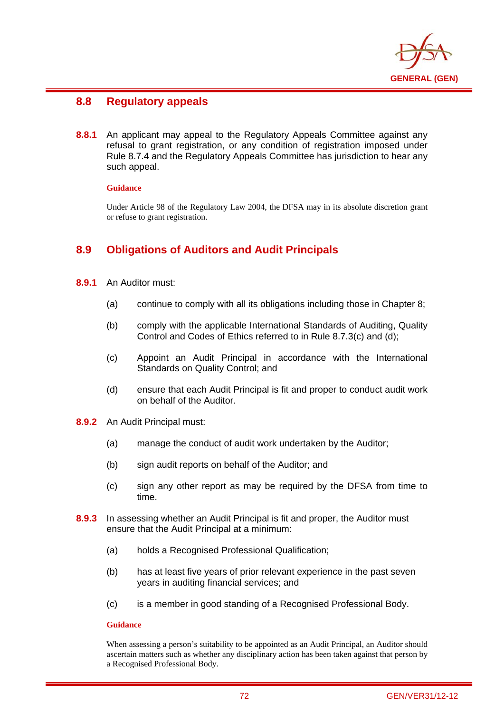

# **8.8 Regulatory appeals**

**8.8.1** An applicant may appeal to the Regulatory Appeals Committee against any refusal to grant registration, or any condition of registration imposed under Rule 8.7.4 and the Regulatory Appeals Committee has jurisdiction to hear any such appeal.

### **Guidance**

i

Under Article 98 of the Regulatory Law 2004, the DFSA may in its absolute discretion grant or refuse to grant registration.

# **8.9 Obligations of Auditors and Audit Principals**

- **8.9.1** An Auditor must:
	- (a) continue to comply with all its obligations including those in Chapter 8;
	- (b) comply with the applicable International Standards of Auditing, Quality Control and Codes of Ethics referred to in Rule 8.7.3(c) and (d);
	- (c) Appoint an Audit Principal in accordance with the International Standards on Quality Control; and
	- (d) ensure that each Audit Principal is fit and proper to conduct audit work on behalf of the Auditor.
- **8.9.2** An Audit Principal must:
	- (a) manage the conduct of audit work undertaken by the Auditor;
	- (b) sign audit reports on behalf of the Auditor; and
	- (c) sign any other report as may be required by the DFSA from time to time.
- **8.9.3** In assessing whether an Audit Principal is fit and proper, the Auditor must ensure that the Audit Principal at a minimum:
	- (a) holds a Recognised Professional Qualification;
	- (b) has at least five years of prior relevant experience in the past seven years in auditing financial services; and
	- (c) is a member in good standing of a Recognised Professional Body.

### **Guidance**

When assessing a person's suitability to be appointed as an Audit Principal, an Auditor should ascertain matters such as whether any disciplinary action has been taken against that person by a Recognised Professional Body.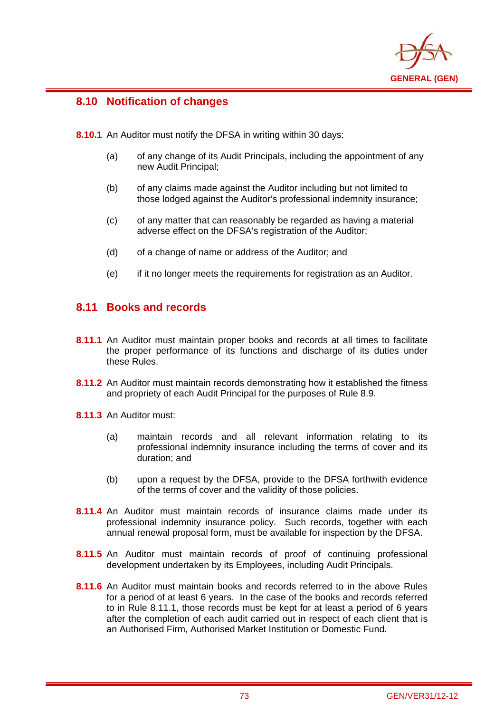

# **8.10 Notification of changes**

i

**8.10.1** An Auditor must notify the DFSA in writing within 30 days:

- (a) of any change of its Audit Principals, including the appointment of any new Audit Principal;
- (b) of any claims made against the Auditor including but not limited to those lodged against the Auditor's professional indemnity insurance;
- (c) of any matter that can reasonably be regarded as having a material adverse effect on the DFSA's registration of the Auditor;
- (d) of a change of name or address of the Auditor; and
- (e) if it no longer meets the requirements for registration as an Auditor.

## **8.11 Books and records**

- **8.11.1** An Auditor must maintain proper books and records at all times to facilitate the proper performance of its functions and discharge of its duties under these Rules.
- **8.11.2** An Auditor must maintain records demonstrating how it established the fitness and propriety of each Audit Principal for the purposes of Rule 8.9.
- **8.11.3** An Auditor must:
	- (a) maintain records and all relevant information relating to its professional indemnity insurance including the terms of cover and its duration; and
	- (b) upon a request by the DFSA, provide to the DFSA forthwith evidence of the terms of cover and the validity of those policies.
- **8.11.4** An Auditor must maintain records of insurance claims made under its professional indemnity insurance policy. Such records, together with each annual renewal proposal form, must be available for inspection by the DFSA.
- **8.11.5** An Auditor must maintain records of proof of continuing professional development undertaken by its Employees, including Audit Principals.
- **8.11.6** An Auditor must maintain books and records referred to in the above Rules for a period of at least 6 years. In the case of the books and records referred to in Rule 8.11.1, those records must be kept for at least a period of 6 years after the completion of each audit carried out in respect of each client that is an Authorised Firm, Authorised Market Institution or Domestic Fund.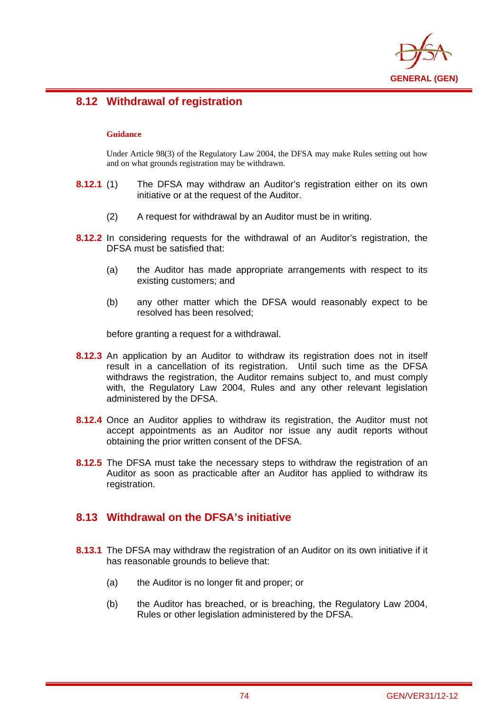

# **8.12 Withdrawal of registration**

### **Guidance**

i

Under Article 98(3) of the Regulatory Law 2004, the DFSA may make Rules setting out how and on what grounds registration may be withdrawn.

- **8.12.1** (1) The DFSA may withdraw an Auditor's registration either on its own initiative or at the request of the Auditor.
	- (2) A request for withdrawal by an Auditor must be in writing.
- **8.12.2** In considering requests for the withdrawal of an Auditor's registration, the DFSA must be satisfied that:
	- (a) the Auditor has made appropriate arrangements with respect to its existing customers; and
	- (b) any other matter which the DFSA would reasonably expect to be resolved has been resolved;

before granting a request for a withdrawal.

- **8.12.3** An application by an Auditor to withdraw its registration does not in itself result in a cancellation of its registration. Until such time as the DFSA withdraws the registration, the Auditor remains subject to, and must comply with, the Regulatory Law 2004, Rules and any other relevant legislation administered by the DFSA.
- **8.12.4** Once an Auditor applies to withdraw its registration, the Auditor must not accept appointments as an Auditor nor issue any audit reports without obtaining the prior written consent of the DFSA.
- **8.12.5** The DFSA must take the necessary steps to withdraw the registration of an Auditor as soon as practicable after an Auditor has applied to withdraw its registration.

# **8.13 Withdrawal on the DFSA's initiative**

- **8.13.1** The DFSA may withdraw the registration of an Auditor on its own initiative if it has reasonable grounds to believe that:
	- (a) the Auditor is no longer fit and proper; or
	- (b) the Auditor has breached, or is breaching, the Regulatory Law 2004, Rules or other legislation administered by the DFSA.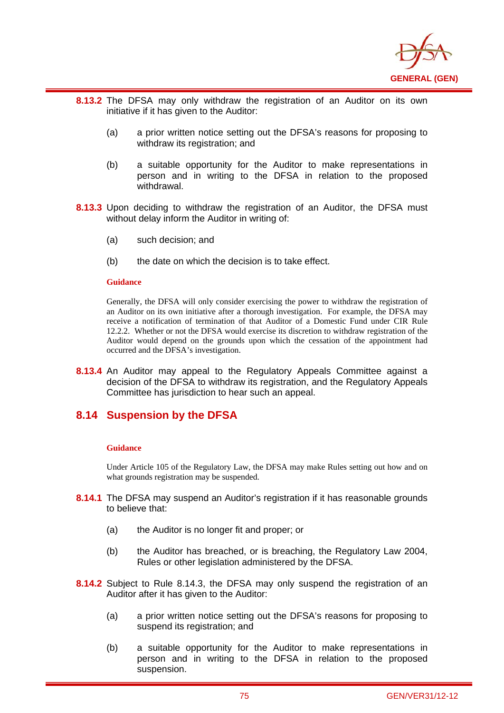

- **8.13.2** The DFSA may only withdraw the registration of an Auditor on its own initiative if it has given to the Auditor:
	- (a) a prior written notice setting out the DFSA's reasons for proposing to withdraw its registration; and
	- (b) a suitable opportunity for the Auditor to make representations in person and in writing to the DFSA in relation to the proposed withdrawal.
- **8.13.3** Upon deciding to withdraw the registration of an Auditor, the DFSA must without delay inform the Auditor in writing of:
	- (a) such decision; and
	- (b) the date on which the decision is to take effect.

i

Generally, the DFSA will only consider exercising the power to withdraw the registration of an Auditor on its own initiative after a thorough investigation. For example, the DFSA may receive a notification of termination of that Auditor of a Domestic Fund under CIR Rule 12.2.2. Whether or not the DFSA would exercise its discretion to withdraw registration of the Auditor would depend on the grounds upon which the cessation of the appointment had occurred and the DFSA's investigation.

**8.13.4** An Auditor may appeal to the Regulatory Appeals Committee against a decision of the DFSA to withdraw its registration, and the Regulatory Appeals Committee has jurisdiction to hear such an appeal.

## **8.14 Suspension by the DFSA**

#### **Guidance**

Under Article 105 of the Regulatory Law, the DFSA may make Rules setting out how and on what grounds registration may be suspended.

- **8.14.1** The DFSA may suspend an Auditor's registration if it has reasonable grounds to believe that:
	- (a) the Auditor is no longer fit and proper; or
	- (b) the Auditor has breached, or is breaching, the Regulatory Law 2004, Rules or other legislation administered by the DFSA.
- **8.14.2** Subject to Rule 8.14.3, the DFSA may only suspend the registration of an Auditor after it has given to the Auditor:
	- (a) a prior written notice setting out the DFSA's reasons for proposing to suspend its registration; and
	- (b) a suitable opportunity for the Auditor to make representations in person and in writing to the DFSA in relation to the proposed suspension.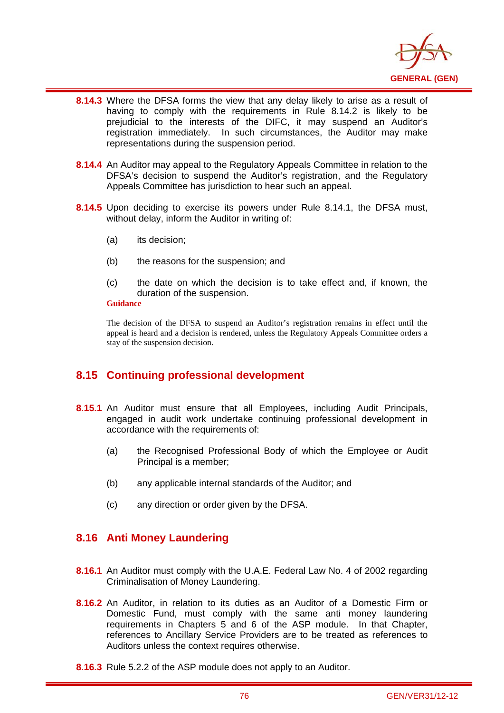

- i **8.14.3** Where the DFSA forms the view that any delay likely to arise as a result of having to comply with the requirements in Rule 8.14.2 is likely to be prejudicial to the interests of the DIFC, it may suspend an Auditor's registration immediately. In such circumstances, the Auditor may make representations during the suspension period.
- **8.14.4** An Auditor may appeal to the Regulatory Appeals Committee in relation to the DFSA's decision to suspend the Auditor's registration, and the Regulatory Appeals Committee has jurisdiction to hear such an appeal.
- **8.14.5** Upon deciding to exercise its powers under Rule 8.14.1, the DFSA must, without delay, inform the Auditor in writing of:
	- (a) its decision;
	- (b) the reasons for the suspension; and
	- (c) the date on which the decision is to take effect and, if known, the duration of the suspension.

The decision of the DFSA to suspend an Auditor's registration remains in effect until the appeal is heard and a decision is rendered, unless the Regulatory Appeals Committee orders a stay of the suspension decision.

# **8.15 Continuing professional development**

- **8.15.1** An Auditor must ensure that all Employees, including Audit Principals, engaged in audit work undertake continuing professional development in accordance with the requirements of:
	- (a) the Recognised Professional Body of which the Employee or Audit Principal is a member;
	- (b) any applicable internal standards of the Auditor; and
	- (c) any direction or order given by the DFSA.

## **8.16 Anti Money Laundering**

- **8.16.1** An Auditor must comply with the U.A.E. Federal Law No. 4 of 2002 regarding Criminalisation of Money Laundering.
- **8.16.2** An Auditor, in relation to its duties as an Auditor of a Domestic Firm or Domestic Fund, must comply with the same anti money laundering requirements in Chapters 5 and 6 of the ASP module. In that Chapter, references to Ancillary Service Providers are to be treated as references to Auditors unless the context requires otherwise.
- **8.16.3** Rule 5.2.2 of the ASP module does not apply to an Auditor.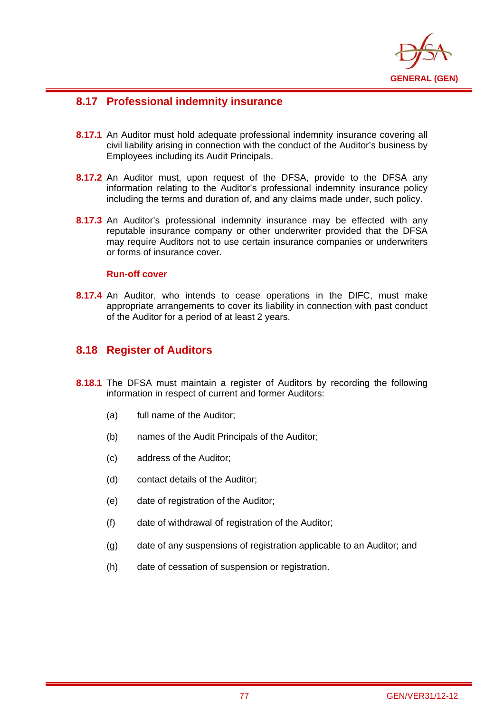

# **8.17 Professional indemnity insurance**

- **8.17.1** An Auditor must hold adequate professional indemnity insurance covering all civil liability arising in connection with the conduct of the Auditor's business by Employees including its Audit Principals.
- **8.17.2** An Auditor must, upon request of the DFSA, provide to the DFSA any information relating to the Auditor's professional indemnity insurance policy including the terms and duration of, and any claims made under, such policy.
- **8.17.3** An Auditor's professional indemnity insurance may be effected with any reputable insurance company or other underwriter provided that the DFSA may require Auditors not to use certain insurance companies or underwriters or forms of insurance cover.

### **Run-off cover**

i

**8.17.4** An Auditor, who intends to cease operations in the DIFC, must make appropriate arrangements to cover its liability in connection with past conduct of the Auditor for a period of at least 2 years.

# **8.18 Register of Auditors**

- **8.18.1** The DFSA must maintain a register of Auditors by recording the following information in respect of current and former Auditors:
	- (a) full name of the Auditor;
	- (b) names of the Audit Principals of the Auditor;
	- (c) address of the Auditor;
	- (d) contact details of the Auditor;
	- (e) date of registration of the Auditor;
	- (f) date of withdrawal of registration of the Auditor;
	- (g) date of any suspensions of registration applicable to an Auditor; and
	- (h) date of cessation of suspension or registration.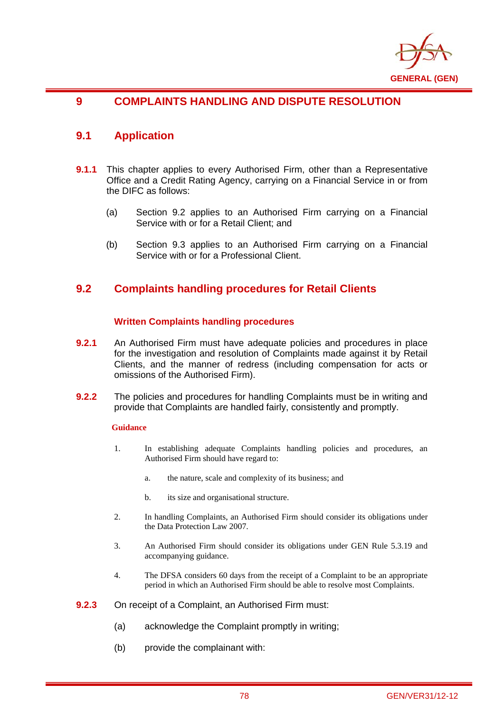

# **9 COMPLAINTS HANDLING AND DISPUTE RESOLUTION**

## **9.1 Application**

i

- **9.1.1** This chapter applies to every Authorised Firm, other than a Representative Office and a Credit Rating Agency, carrying on a Financial Service in or from the DIFC as follows:
	- (a) Section 9.2 applies to an Authorised Firm carrying on a Financial Service with or for a Retail Client; and
	- (b) Section 9.3 applies to an Authorised Firm carrying on a Financial Service with or for a Professional Client.

## **9.2 Complaints handling procedures for Retail Clients**

### **Written Complaints handling procedures**

- **9.2.1** An Authorised Firm must have adequate policies and procedures in place for the investigation and resolution of Complaints made against it by Retail Clients, and the manner of redress (including compensation for acts or omissions of the Authorised Firm).
- **9.2.2** The policies and procedures for handling Complaints must be in writing and provide that Complaints are handled fairly, consistently and promptly.

### **Guidance**

- 1. In establishing adequate Complaints handling policies and procedures, an Authorised Firm should have regard to:
	- a. the nature, scale and complexity of its business; and
	- b. its size and organisational structure.
- 2. In handling Complaints, an Authorised Firm should consider its obligations under the Data Protection Law 2007.
- 3. An Authorised Firm should consider its obligations under GEN Rule 5.3.19 and accompanying guidance.
- 4. The DFSA considers 60 days from the receipt of a Complaint to be an appropriate period in which an Authorised Firm should be able to resolve most Complaints.
- **9.2.3** On receipt of a Complaint, an Authorised Firm must:
	- (a) acknowledge the Complaint promptly in writing;
	- (b) provide the complainant with: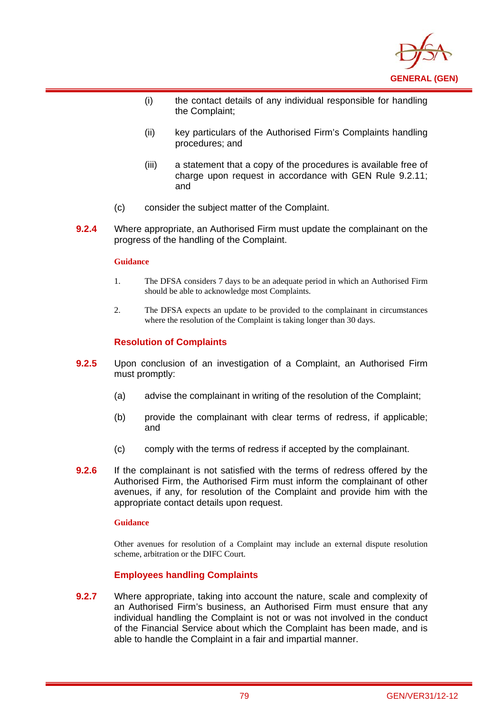

- (i) the contact details of any individual responsible for handling the Complaint;
- (ii) key particulars of the Authorised Firm's Complaints handling procedures; and
- (iii) a statement that a copy of the procedures is available free of charge upon request in accordance with GEN Rule 9.2.11; and
- (c) consider the subject matter of the Complaint.
- **9.2.4** Where appropriate, an Authorised Firm must update the complainant on the progress of the handling of the Complaint.

i

- 1. The DFSA considers 7 days to be an adequate period in which an Authorised Firm should be able to acknowledge most Complaints.
- 2. The DFSA expects an update to be provided to the complainant in circumstances where the resolution of the Complaint is taking longer than 30 days.

### **Resolution of Complaints**

- **9.2.5** Upon conclusion of an investigation of a Complaint, an Authorised Firm must promptly:
	- (a) advise the complainant in writing of the resolution of the Complaint;
	- (b) provide the complainant with clear terms of redress, if applicable; and
	- (c) comply with the terms of redress if accepted by the complainant.
- **9.2.6** If the complainant is not satisfied with the terms of redress offered by the Authorised Firm, the Authorised Firm must inform the complainant of other avenues, if any, for resolution of the Complaint and provide him with the appropriate contact details upon request.

#### **Guidance**

Other avenues for resolution of a Complaint may include an external dispute resolution scheme, arbitration or the DIFC Court.

### **Employees handling Complaints**

**9.2.7** Where appropriate, taking into account the nature, scale and complexity of an Authorised Firm's business, an Authorised Firm must ensure that any individual handling the Complaint is not or was not involved in the conduct of the Financial Service about which the Complaint has been made, and is able to handle the Complaint in a fair and impartial manner.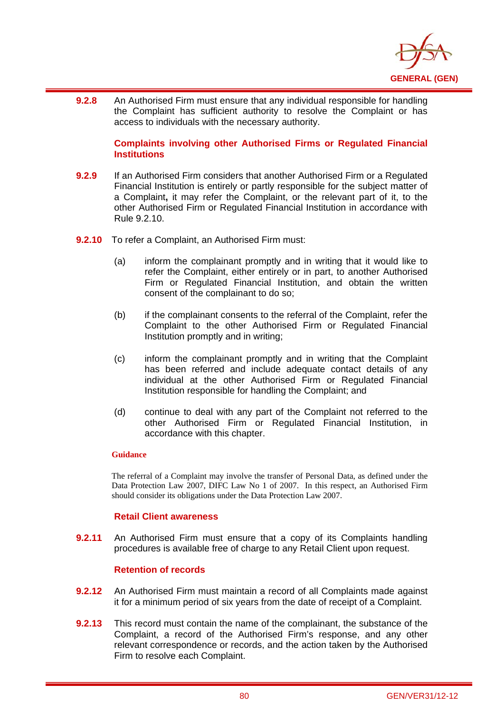

i **9.2.8** An Authorised Firm must ensure that any individual responsible for handling the Complaint has sufficient authority to resolve the Complaint or has access to individuals with the necessary authority.

### **Complaints involving other Authorised Firms or Regulated Financial Institutions**

- **9.2.9** If an Authorised Firm considers that another Authorised Firm or a Regulated Financial Institution is entirely or partly responsible for the subject matter of a Complaint**,** it may refer the Complaint, or the relevant part of it, to the other Authorised Firm or Regulated Financial Institution in accordance with Rule 9.2.10.
- **9.2.10** To refer a Complaint, an Authorised Firm must:
	- (a) inform the complainant promptly and in writing that it would like to refer the Complaint, either entirely or in part, to another Authorised Firm or Regulated Financial Institution, and obtain the written consent of the complainant to do so;
	- (b) if the complainant consents to the referral of the Complaint, refer the Complaint to the other Authorised Firm or Regulated Financial Institution promptly and in writing;
	- (c) inform the complainant promptly and in writing that the Complaint has been referred and include adequate contact details of any individual at the other Authorised Firm or Regulated Financial Institution responsible for handling the Complaint; and
	- (d) continue to deal with any part of the Complaint not referred to the other Authorised Firm or Regulated Financial Institution, in accordance with this chapter.

### **Guidance**

The referral of a Complaint may involve the transfer of Personal Data, as defined under the Data Protection Law 2007, DIFC Law No 1 of 2007. In this respect, an Authorised Firm should consider its obligations under the Data Protection Law 2007.

### **Retail Client awareness**

**9.2.11** An Authorised Firm must ensure that a copy of its Complaints handling procedures is available free of charge to any Retail Client upon request.

### **Retention of records**

- **9.2.12** An Authorised Firm must maintain a record of all Complaints made against it for a minimum period of six years from the date of receipt of a Complaint.
- **9.2.13** This record must contain the name of the complainant, the substance of the Complaint, a record of the Authorised Firm's response, and any other relevant correspondence or records, and the action taken by the Authorised Firm to resolve each Complaint.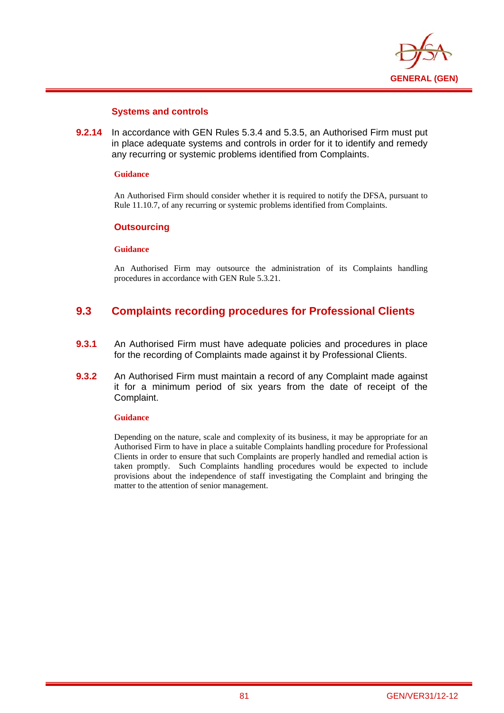

### **Systems and controls**

**9.2.14** In accordance with GEN Rules 5.3.4 and 5.3.5, an Authorised Firm must put in place adequate systems and controls in order for it to identify and remedy any recurring or systemic problems identified from Complaints.

#### **Guidance**

i

An Authorised Firm should consider whether it is required to notify the DFSA, pursuant to Rule 11.10.7, of any recurring or systemic problems identified from Complaints.

### **Outsourcing**

#### **Guidance**

An Authorised Firm may outsource the administration of its Complaints handling procedures in accordance with GEN Rule 5.3.21.

# **9.3 Complaints recording procedures for Professional Clients**

- **9.3.1** An Authorised Firm must have adequate policies and procedures in place for the recording of Complaints made against it by Professional Clients.
- **9.3.2** An Authorised Firm must maintain a record of any Complaint made against it for a minimum period of six years from the date of receipt of the Complaint.

#### **Guidance**

Depending on the nature, scale and complexity of its business, it may be appropriate for an Authorised Firm to have in place a suitable Complaints handling procedure for Professional Clients in order to ensure that such Complaints are properly handled and remedial action is taken promptly. Such Complaints handling procedures would be expected to include provisions about the independence of staff investigating the Complaint and bringing the matter to the attention of senior management.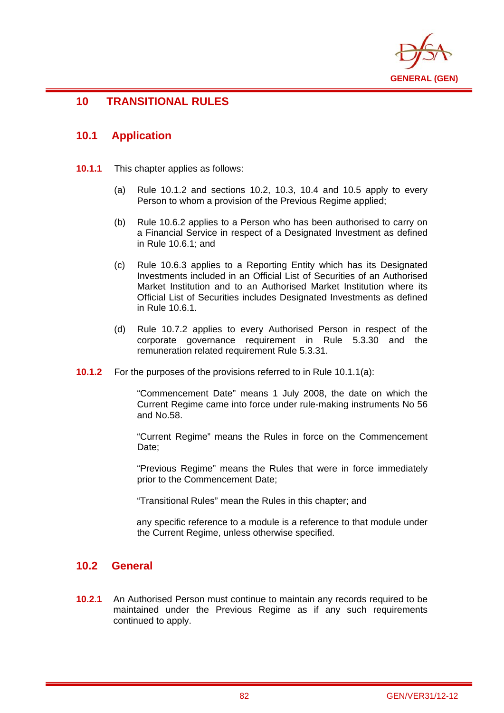

# **10 TRANSITIONAL RULES**

## **10.1 Application**

i

- **10.1.1** This chapter applies as follows:
	- (a) Rule 10.1.2 and sections 10.2, 10.3, 10.4 and 10.5 apply to every Person to whom a provision of the Previous Regime applied:
	- (b) Rule 10.6.2 applies to a Person who has been authorised to carry on a Financial Service in respect of a Designated Investment as defined in Rule 10.6.1; and
	- (c) Rule 10.6.3 applies to a Reporting Entity which has its Designated Investments included in an Official List of Securities of an Authorised Market Institution and to an Authorised Market Institution where its Official List of Securities includes Designated Investments as defined in Rule 10.6.1.
	- (d) Rule 10.7.2 applies to every Authorised Person in respect of the corporate governance requirement in Rule 5.3.30 and the remuneration related requirement Rule 5.3.31.
- **10.1.2** For the purposes of the provisions referred to in Rule 10.1.1(a):

"Commencement Date" means 1 July 2008, the date on which the Current Regime came into force under rule-making instruments No 56 and No.58.

"Current Regime" means the Rules in force on the Commencement Date:

"Previous Regime" means the Rules that were in force immediately prior to the Commencement Date;

"Transitional Rules" mean the Rules in this chapter; and

any specific reference to a module is a reference to that module under the Current Regime, unless otherwise specified.

## **10.2 General**

**10.2.1** An Authorised Person must continue to maintain any records required to be maintained under the Previous Regime as if any such requirements continued to apply.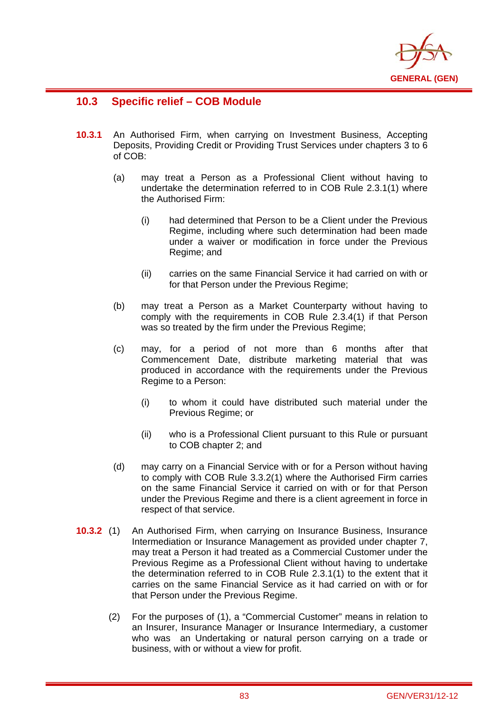

# **10.3 Specific relief – COB Module**

- **10.3.1** An Authorised Firm, when carrying on Investment Business, Accepting Deposits, Providing Credit or Providing Trust Services under chapters 3 to 6 of COB:
	- (a) may treat a Person as a Professional Client without having to undertake the determination referred to in COB Rule 2.3.1(1) where the Authorised Firm:
		- (i) had determined that Person to be a Client under the Previous Regime, including where such determination had been made under a waiver or modification in force under the Previous Regime; and
		- (ii) carries on the same Financial Service it had carried on with or for that Person under the Previous Regime;
	- (b) may treat a Person as a Market Counterparty without having to comply with the requirements in COB Rule 2.3.4(1) if that Person was so treated by the firm under the Previous Regime;
	- (c) may, for a period of not more than 6 months after that Commencement Date, distribute marketing material that was produced in accordance with the requirements under the Previous Regime to a Person:
		- (i) to whom it could have distributed such material under the Previous Regime; or
		- (ii) who is a Professional Client pursuant to this Rule or pursuant to COB chapter 2; and
	- (d) may carry on a Financial Service with or for a Person without having to comply with COB Rule 3.3.2(1) where the Authorised Firm carries on the same Financial Service it carried on with or for that Person under the Previous Regime and there is a client agreement in force in respect of that service.
- **10.3.2** (1) An Authorised Firm, when carrying on Insurance Business, Insurance Intermediation or Insurance Management as provided under chapter 7, may treat a Person it had treated as a Commercial Customer under the Previous Regime as a Professional Client without having to undertake the determination referred to in COB Rule 2.3.1(1) to the extent that it carries on the same Financial Service as it had carried on with or for that Person under the Previous Regime.
	- (2) For the purposes of (1), a "Commercial Customer" means in relation to an Insurer, Insurance Manager or Insurance Intermediary, a customer who was an Undertaking or natural person carrying on a trade or business, with or without a view for profit.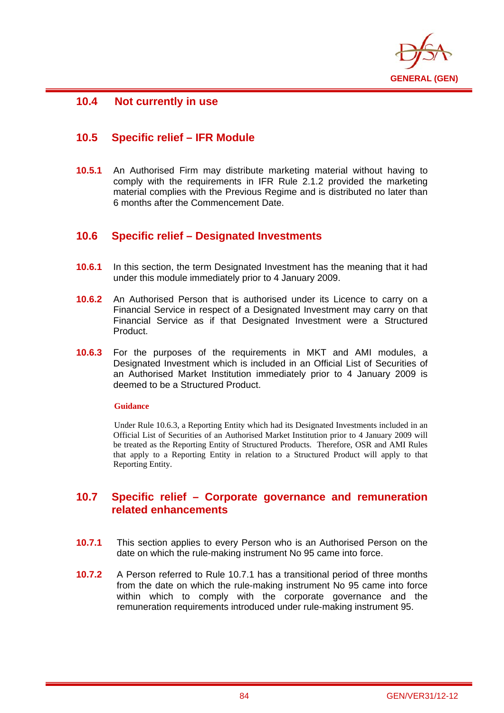

# **10.4 Not currently in use**

i

# **10.5 Specific relief – IFR Module**

**10.5.1** An Authorised Firm may distribute marketing material without having to comply with the requirements in IFR Rule 2.1.2 provided the marketing material complies with the Previous Regime and is distributed no later than 6 months after the Commencement Date.

# **10.6 Specific relief – Designated Investments**

- **10.6.1** In this section, the term Designated Investment has the meaning that it had under this module immediately prior to 4 January 2009.
- **10.6.2** An Authorised Person that is authorised under its Licence to carry on a Financial Service in respect of a Designated Investment may carry on that Financial Service as if that Designated Investment were a Structured Product.
- **10.6.3** For the purposes of the requirements in MKT and AMI modules, a Designated Investment which is included in an Official List of Securities of an Authorised Market Institution immediately prior to 4 January 2009 is deemed to be a Structured Product.

### **Guidance**

Under Rule 10.6.3, a Reporting Entity which had its Designated Investments included in an Official List of Securities of an Authorised Market Institution prior to 4 January 2009 will be treated as the Reporting Entity of Structured Products. Therefore, OSR and AMI Rules that apply to a Reporting Entity in relation to a Structured Product will apply to that Reporting Entity.

# **10.7 Specific relief – Corporate governance and remuneration related enhancements**

- **10.7.1** This section applies to every Person who is an Authorised Person on the date on which the rule-making instrument No 95 came into force.
- **10.7.2** A Person referred to Rule 10.7.1 has a transitional period of three months from the date on which the rule-making instrument No 95 came into force within which to comply with the corporate governance and the remuneration requirements introduced under rule-making instrument 95.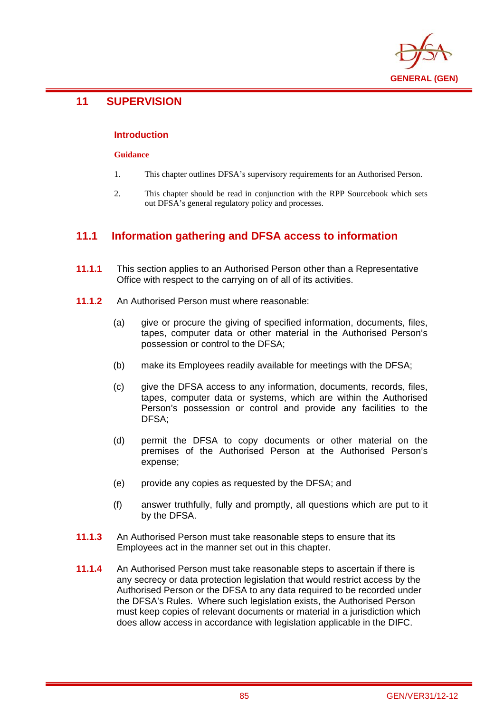

# **11 SUPERVISION**

i

### **Introduction**

#### **Guidance**

- 1. This chapter outlines DFSA's supervisory requirements for an Authorised Person.
- 2. This chapter should be read in conjunction with the RPP Sourcebook which sets out DFSA's general regulatory policy and processes.

# **11.1 Information gathering and DFSA access to information**

- **11.1.1** This section applies to an Authorised Person other than a Representative Office with respect to the carrying on of all of its activities.
- **11.1.2** An Authorised Person must where reasonable:
	- (a) give or procure the giving of specified information, documents, files, tapes, computer data or other material in the Authorised Person's possession or control to the DFSA;
	- (b) make its Employees readily available for meetings with the DFSA;
	- (c) give the DFSA access to any information, documents, records, files, tapes, computer data or systems, which are within the Authorised Person's possession or control and provide any facilities to the DFSA;
	- (d) permit the DFSA to copy documents or other material on the premises of the Authorised Person at the Authorised Person's expense;
	- (e) provide any copies as requested by the DFSA; and
	- (f) answer truthfully, fully and promptly, all questions which are put to it by the DFSA.
- **11.1.3** An Authorised Person must take reasonable steps to ensure that its Employees act in the manner set out in this chapter.
- **11.1.4** An Authorised Person must take reasonable steps to ascertain if there is any secrecy or data protection legislation that would restrict access by the Authorised Person or the DFSA to any data required to be recorded under the DFSA's Rules. Where such legislation exists, the Authorised Person must keep copies of relevant documents or material in a jurisdiction which does allow access in accordance with legislation applicable in the DIFC.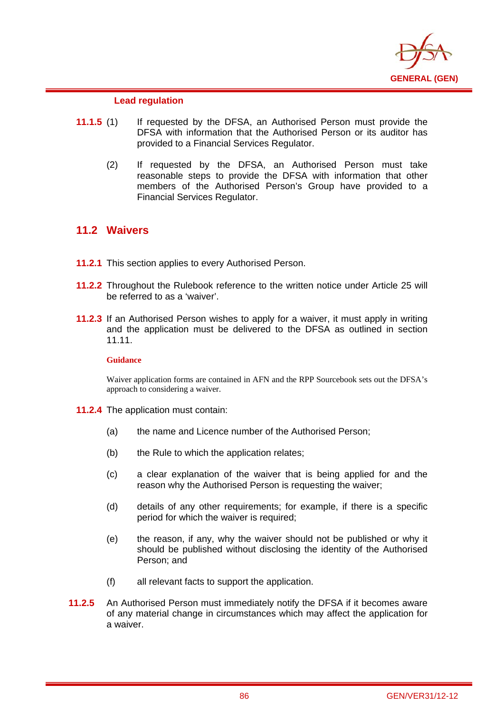

### **Lead regulation**

- **11.1.5** (1) If requested by the DFSA, an Authorised Person must provide the DFSA with information that the Authorised Person or its auditor has provided to a Financial Services Regulator.
	- (2) If requested by the DFSA, an Authorised Person must take reasonable steps to provide the DFSA with information that other members of the Authorised Person's Group have provided to a Financial Services Regulator.

## **11.2 Waivers**

i

- **11.2.1** This section applies to every Authorised Person.
- **11.2.2** Throughout the Rulebook reference to the written notice under Article 25 will be referred to as a 'waiver'.
- **11.2.3** If an Authorised Person wishes to apply for a waiver, it must apply in writing and the application must be delivered to the DFSA as outlined in section 11.11.

### **Guidance**

Waiver application forms are contained in AFN and the RPP Sourcebook sets out the DFSA's approach to considering a waiver.

- **11.2.4** The application must contain:
	- (a) the name and Licence number of the Authorised Person;
	- (b) the Rule to which the application relates;
	- (c) a clear explanation of the waiver that is being applied for and the reason why the Authorised Person is requesting the waiver;
	- (d) details of any other requirements; for example, if there is a specific period for which the waiver is required;
	- (e) the reason, if any, why the waiver should not be published or why it should be published without disclosing the identity of the Authorised Person; and
	- (f) all relevant facts to support the application.
- **11.2.5** An Authorised Person must immediately notify the DFSA if it becomes aware of any material change in circumstances which may affect the application for a waiver.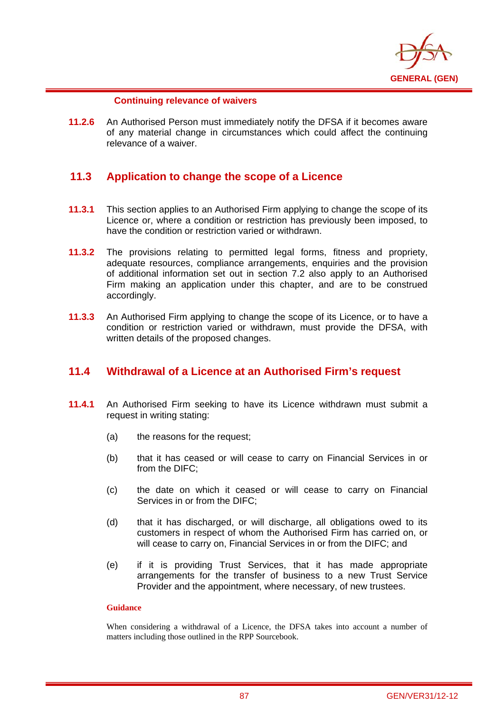

### **Continuing relevance of waivers**

i

**11.2.6** An Authorised Person must immediately notify the DFSA if it becomes aware of any material change in circumstances which could affect the continuing relevance of a waiver.

## **11.3 Application to change the scope of a Licence**

- **11.3.1** This section applies to an Authorised Firm applying to change the scope of its Licence or, where a condition or restriction has previously been imposed, to have the condition or restriction varied or withdrawn.
- **11.3.2** The provisions relating to permitted legal forms, fitness and propriety, adequate resources, compliance arrangements, enquiries and the provision of additional information set out in section 7.2 also apply to an Authorised Firm making an application under this chapter, and are to be construed accordingly.
- **11.3.3** An Authorised Firm applying to change the scope of its Licence, or to have a condition or restriction varied or withdrawn, must provide the DFSA, with written details of the proposed changes.

# **11.4 Withdrawal of a Licence at an Authorised Firm's request**

- **11.4.1** An Authorised Firm seeking to have its Licence withdrawn must submit a request in writing stating:
	- (a) the reasons for the request;
	- (b) that it has ceased or will cease to carry on Financial Services in or from the DIFC;
	- (c) the date on which it ceased or will cease to carry on Financial Services in or from the DIFC;
	- (d) that it has discharged, or will discharge, all obligations owed to its customers in respect of whom the Authorised Firm has carried on, or will cease to carry on. Financial Services in or from the DIFC; and
	- (e) if it is providing Trust Services, that it has made appropriate arrangements for the transfer of business to a new Trust Service Provider and the appointment, where necessary, of new trustees.

### **Guidance**

When considering a withdrawal of a Licence, the DFSA takes into account a number of matters including those outlined in the RPP Sourcebook.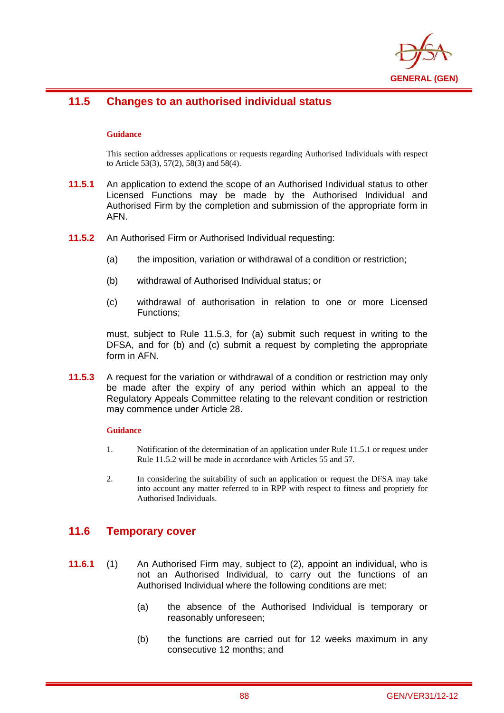

### i **11.5 Changes to an authorised individual status**

### **Guidance**

This section addresses applications or requests regarding Authorised Individuals with respect to Article 53(3), 57(2), 58(3) and 58(4).

- **11.5.1** An application to extend the scope of an Authorised Individual status to other Licensed Functions may be made by the Authorised Individual and Authorised Firm by the completion and submission of the appropriate form in AFN.
- **11.5.2** An Authorised Firm or Authorised Individual requesting:
	- (a) the imposition, variation or withdrawal of a condition or restriction;
	- (b) withdrawal of Authorised Individual status; or
	- (c) withdrawal of authorisation in relation to one or more Licensed Functions;

must, subject to Rule 11.5.3, for (a) submit such request in writing to the DFSA, and for (b) and (c) submit a request by completing the appropriate form in AFN.

**11.5.3** A request for the variation or withdrawal of a condition or restriction may only be made after the expiry of any period within which an appeal to the Regulatory Appeals Committee relating to the relevant condition or restriction may commence under Article 28.

#### **Guidance**

- 1. Notification of the determination of an application under Rule 11.5.1 or request under Rule 11.5.2 will be made in accordance with Articles 55 and 57.
- 2. In considering the suitability of such an application or request the DFSA may take into account any matter referred to in RPP with respect to fitness and propriety for Authorised Individuals.

## **11.6 Temporary cover**

- **11.6.1** (1) An Authorised Firm may, subject to (2), appoint an individual, who is not an Authorised Individual, to carry out the functions of an Authorised Individual where the following conditions are met:
	- (a) the absence of the Authorised Individual is temporary or reasonably unforeseen;
	- (b) the functions are carried out for 12 weeks maximum in any consecutive 12 months; and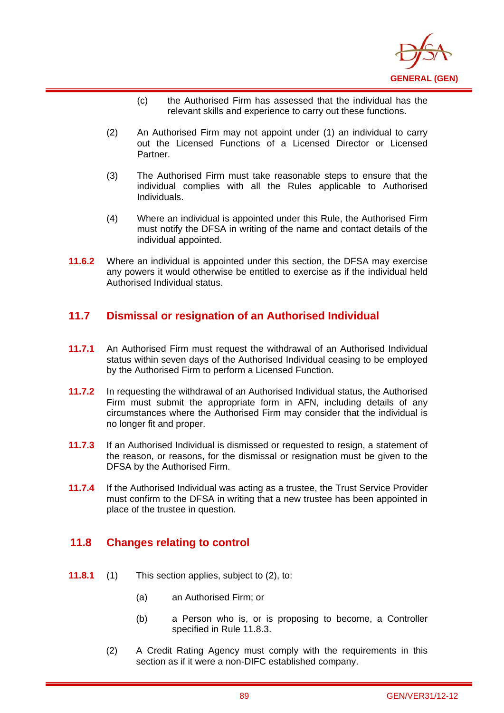

- (c) the Authorised Firm has assessed that the individual has the relevant skills and experience to carry out these functions.
- (2) An Authorised Firm may not appoint under (1) an individual to carry out the Licensed Functions of a Licensed Director or Licensed Partner.
- (3) The Authorised Firm must take reasonable steps to ensure that the individual complies with all the Rules applicable to Authorised Individuals.
- (4) Where an individual is appointed under this Rule, the Authorised Firm must notify the DFSA in writing of the name and contact details of the individual appointed.
- **11.6.2** Where an individual is appointed under this section, the DFSA may exercise any powers it would otherwise be entitled to exercise as if the individual held Authorised Individual status.

## **11.7 Dismissal or resignation of an Authorised Individual**

- **11.7.1** An Authorised Firm must request the withdrawal of an Authorised Individual status within seven days of the Authorised Individual ceasing to be employed by the Authorised Firm to perform a Licensed Function.
- **11.7.2** In requesting the withdrawal of an Authorised Individual status, the Authorised Firm must submit the appropriate form in AFN, including details of any circumstances where the Authorised Firm may consider that the individual is no longer fit and proper.
- **11.7.3** If an Authorised Individual is dismissed or requested to resign, a statement of the reason, or reasons, for the dismissal or resignation must be given to the DFSA by the Authorised Firm.
- **11.7.4** If the Authorised Individual was acting as a trustee, the Trust Service Provider must confirm to the DFSA in writing that a new trustee has been appointed in place of the trustee in question.

# **11.8 Changes relating to control**

- **11.8.1** (1) This section applies, subject to (2), to:
	- (a) an Authorised Firm; or
	- (b) a Person who is, or is proposing to become, a Controller specified in Rule 11.8.3.
	- (2) A Credit Rating Agency must comply with the requirements in this section as if it were a non-DIFC established company.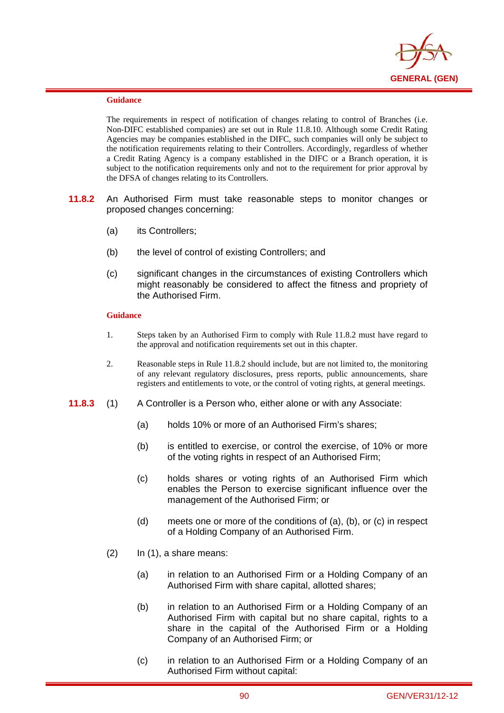

i

The requirements in respect of notification of changes relating to control of Branches (i.e. Non-DIFC established companies) are set out in Rule 11.8.10. Although some Credit Rating Agencies may be companies established in the DIFC, such companies will only be subject to the notification requirements relating to their Controllers. Accordingly, regardless of whether a Credit Rating Agency is a company established in the DIFC or a Branch operation, it is subject to the notification requirements only and not to the requirement for prior approval by the DFSA of changes relating to its Controllers.

- **11.8.2** An Authorised Firm must take reasonable steps to monitor changes or proposed changes concerning:
	- (a) its Controllers;
	- (b) the level of control of existing Controllers; and
	- (c) significant changes in the circumstances of existing Controllers which might reasonably be considered to affect the fitness and propriety of the Authorised Firm.

#### **Guidance**

- 1. Steps taken by an Authorised Firm to comply with Rule 11.8.2 must have regard to the approval and notification requirements set out in this chapter.
- 2. Reasonable steps in Rule 11.8.2 should include, but are not limited to, the monitoring of any relevant regulatory disclosures, press reports, public announcements, share registers and entitlements to vote, or the control of voting rights, at general meetings.
- **11.8.3** (1) A Controller is a Person who, either alone or with any Associate:
	- (a) holds 10% or more of an Authorised Firm's shares;
	- (b) is entitled to exercise, or control the exercise, of 10% or more of the voting rights in respect of an Authorised Firm;
	- (c) holds shares or voting rights of an Authorised Firm which enables the Person to exercise significant influence over the management of the Authorised Firm; or
	- (d) meets one or more of the conditions of (a), (b), or (c) in respect of a Holding Company of an Authorised Firm.
	- $(2)$  In  $(1)$ , a share means:
		- (a) in relation to an Authorised Firm or a Holding Company of an Authorised Firm with share capital, allotted shares;
		- (b) in relation to an Authorised Firm or a Holding Company of an Authorised Firm with capital but no share capital, rights to a share in the capital of the Authorised Firm or a Holding Company of an Authorised Firm; or
		- (c) in relation to an Authorised Firm or a Holding Company of an Authorised Firm without capital: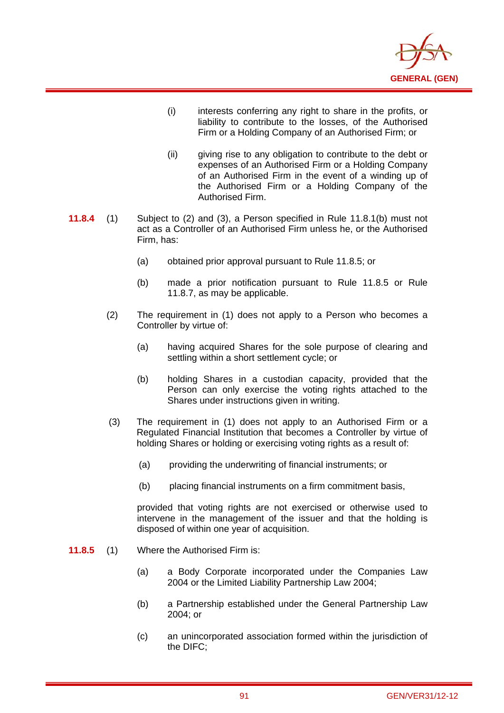

- (i) interests conferring any right to share in the profits, or liability to contribute to the losses, of the Authorised Firm or a Holding Company of an Authorised Firm; or
- (ii) giving rise to any obligation to contribute to the debt or expenses of an Authorised Firm or a Holding Company of an Authorised Firm in the event of a winding up of the Authorised Firm or a Holding Company of the Authorised Firm.
- **11.8.4** (1) Subject to (2) and (3), a Person specified in Rule 11.8.1(b) must not act as a Controller of an Authorised Firm unless he, or the Authorised Firm, has:
	- (a) obtained prior approval pursuant to Rule 11.8.5; or
	- (b) made a prior notification pursuant to Rule 11.8.5 or Rule 11.8.7, as may be applicable.
	- (2) The requirement in (1) does not apply to a Person who becomes a Controller by virtue of:
		- (a) having acquired Shares for the sole purpose of clearing and settling within a short settlement cycle; or
		- (b) holding Shares in a custodian capacity, provided that the Person can only exercise the voting rights attached to the Shares under instructions given in writing.
	- (3) The requirement in (1) does not apply to an Authorised Firm or a Regulated Financial Institution that becomes a Controller by virtue of holding Shares or holding or exercising voting rights as a result of:
		- (a) providing the underwriting of financial instruments; or
		- (b) placing financial instruments on a firm commitment basis,

provided that voting rights are not exercised or otherwise used to intervene in the management of the issuer and that the holding is disposed of within one year of acquisition.

**11.8.5** (1) Where the Authorised Firm is:

- (a) a Body Corporate incorporated under the Companies Law 2004 or the Limited Liability Partnership Law 2004;
- (b) a Partnership established under the General Partnership Law 2004; or
- (c) an unincorporated association formed within the jurisdiction of the DIFC;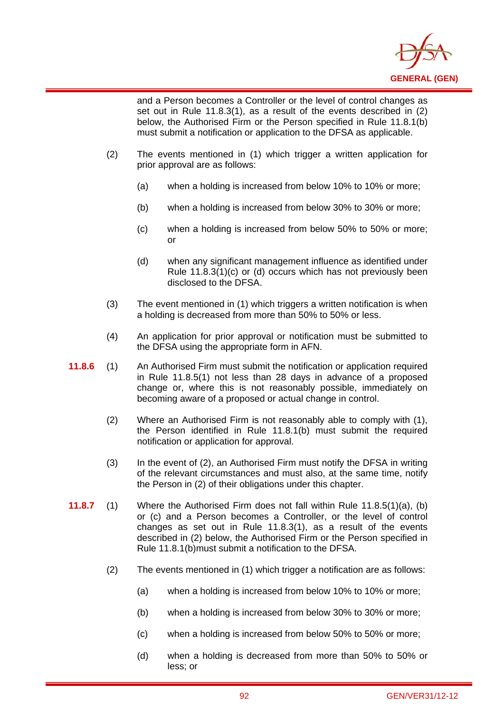

and a Person becomes a Controller or the level of control changes as set out in Rule 11.8.3(1), as a result of the events described in (2) below, the Authorised Firm or the Person specified in Rule 11.8.1(b) must submit a notification or application to the DFSA as applicable.

(2) The events mentioned in (1) which trigger a written application for prior approval are as follows:

- (a) when a holding is increased from below 10% to 10% or more;
- (b) when a holding is increased from below 30% to 30% or more;
- (c) when a holding is increased from below 50% to 50% or more; or
- (d) when any significant management influence as identified under Rule 11.8.3(1)(c) or (d) occurs which has not previously been disclosed to the DFSA.
- (3) The event mentioned in (1) which triggers a written notification is when a holding is decreased from more than 50% to 50% or less.
- (4) An application for prior approval or notification must be submitted to the DFSA using the appropriate form in AFN.
- **11.8.6** (1) An Authorised Firm must submit the notification or application required in Rule 11.8.5(1) not less than 28 days in advance of a proposed change or, where this is not reasonably possible, immediately on becoming aware of a proposed or actual change in control.
	- (2) Where an Authorised Firm is not reasonably able to comply with (1), the Person identified in Rule 11.8.1(b) must submit the required notification or application for approval.
	- (3) In the event of (2), an Authorised Firm must notify the DFSA in writing of the relevant circumstances and must also, at the same time, notify the Person in (2) of their obligations under this chapter.
- **11.8.7** (1) Where the Authorised Firm does not fall within Rule 11.8.5(1)(a), (b) or (c) and a Person becomes a Controller, or the level of control changes as set out in Rule 11.8.3(1), as a result of the events described in (2) below, the Authorised Firm or the Person specified in Rule 11.8.1(b)must submit a notification to the DFSA.
	- (2) The events mentioned in (1) which trigger a notification are as follows:
		- (a) when a holding is increased from below 10% to 10% or more;
		- (b) when a holding is increased from below 30% to 30% or more;
		- (c) when a holding is increased from below 50% to 50% or more;
		- (d) when a holding is decreased from more than 50% to 50% or less; or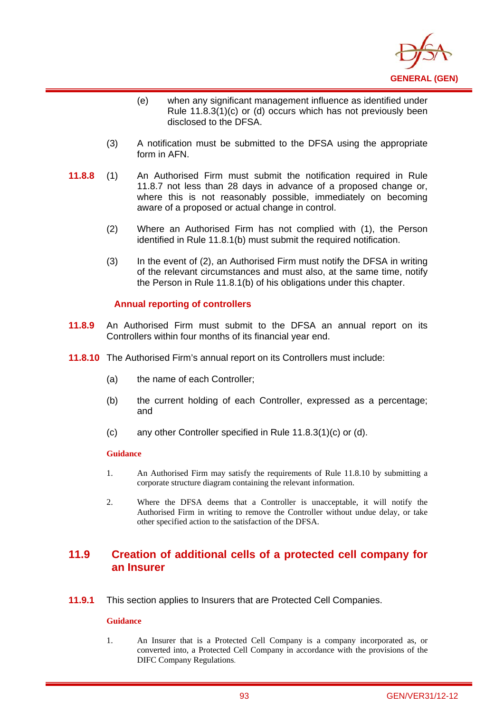

- (e) when any significant management influence as identified under Rule 11.8.3(1)(c) or (d) occurs which has not previously been disclosed to the DFSA.
- (3) A notification must be submitted to the DFSA using the appropriate form in AFN.
- **11.8.8** (1) An Authorised Firm must submit the notification required in Rule 11.8.7 not less than 28 days in advance of a proposed change or, where this is not reasonably possible, immediately on becoming aware of a proposed or actual change in control.
	- (2) Where an Authorised Firm has not complied with (1), the Person identified in Rule 11.8.1(b) must submit the required notification.
	- (3) In the event of (2), an Authorised Firm must notify the DFSA in writing of the relevant circumstances and must also, at the same time, notify the Person in Rule 11.8.1(b) of his obligations under this chapter.

### **Annual reporting of controllers**

- **11.8.9** An Authorised Firm must submit to the DFSA an annual report on its Controllers within four months of its financial year end.
- **11.8.10** The Authorised Firm's annual report on its Controllers must include:
	- (a) the name of each Controller;
	- (b) the current holding of each Controller, expressed as a percentage; and
	- (c) any other Controller specified in Rule 11.8.3(1)(c) or (d).

#### **Guidance**

i

- 1. An Authorised Firm may satisfy the requirements of Rule 11.8.10 by submitting a corporate structure diagram containing the relevant information.
- 2. Where the DFSA deems that a Controller is unacceptable, it will notify the Authorised Firm in writing to remove the Controller without undue delay, or take other specified action to the satisfaction of the DFSA.

## **11.9 Creation of additional cells of a protected cell company for an Insurer**

**11.9.1** This section applies to Insurers that are Protected Cell Companies.

#### **Guidance**

1. An Insurer that is a Protected Cell Company is a company incorporated as, or converted into, a Protected Cell Company in accordance with the provisions of the DIFC Company Regulations.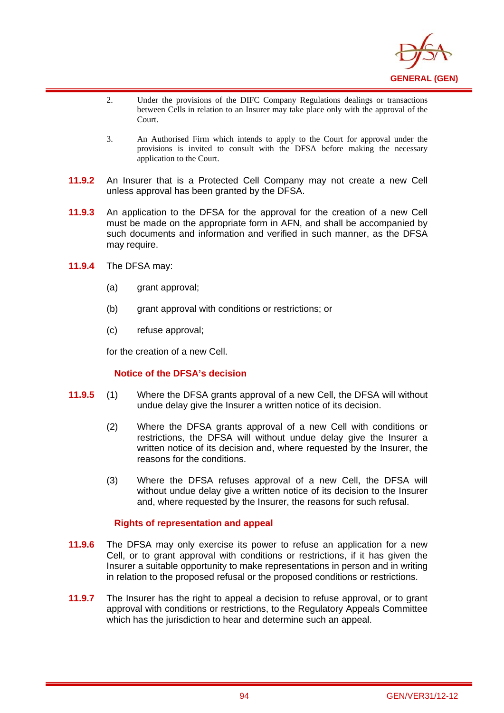

- 2. Under the provisions of the DIFC Company Regulations dealings or transactions between Cells in relation to an Insurer may take place only with the approval of the Court.
- 3. An Authorised Firm which intends to apply to the Court for approval under the provisions is invited to consult with the DFSA before making the necessary application to the Court.
- **11.9.2** An Insurer that is a Protected Cell Company may not create a new Cell unless approval has been granted by the DFSA.
- **11.9.3** An application to the DFSA for the approval for the creation of a new Cell must be made on the appropriate form in AFN, and shall be accompanied by such documents and information and verified in such manner, as the DFSA may require.
- **11.9.4** The DFSA may:

i

- (a) grant approval;
- (b) grant approval with conditions or restrictions; or
- (c) refuse approval;

for the creation of a new Cell.

### **Notice of the DFSA's decision**

- **11.9.5** (1) Where the DFSA grants approval of a new Cell, the DFSA will without undue delay give the Insurer a written notice of its decision.
	- (2) Where the DFSA grants approval of a new Cell with conditions or restrictions, the DFSA will without undue delay give the Insurer a written notice of its decision and, where requested by the Insurer, the reasons for the conditions.
	- (3) Where the DFSA refuses approval of a new Cell, the DFSA will without undue delay give a written notice of its decision to the Insurer and, where requested by the Insurer, the reasons for such refusal.

### **Rights of representation and appeal**

- **11.9.6** The DFSA may only exercise its power to refuse an application for a new Cell, or to grant approval with conditions or restrictions, if it has given the Insurer a suitable opportunity to make representations in person and in writing in relation to the proposed refusal or the proposed conditions or restrictions.
- **11.9.7** The Insurer has the right to appeal a decision to refuse approval, or to grant approval with conditions or restrictions, to the Regulatory Appeals Committee which has the jurisdiction to hear and determine such an appeal.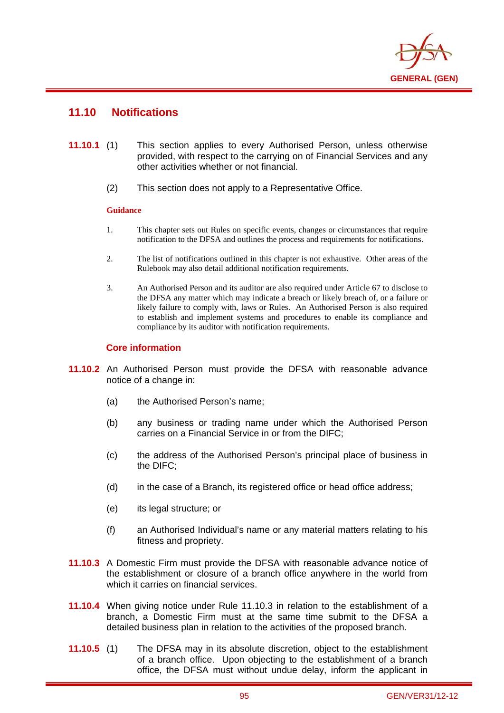

## **11.10 Notifications**

i

- **11.10.1** (1) This section applies to every Authorised Person, unless otherwise provided, with respect to the carrying on of Financial Services and any other activities whether or not financial.
	- (2) This section does not apply to a Representative Office.

### **Guidance**

- 1. This chapter sets out Rules on specific events, changes or circumstances that require notification to the DFSA and outlines the process and requirements for notifications.
- 2. The list of notifications outlined in this chapter is not exhaustive. Other areas of the Rulebook may also detail additional notification requirements.
- 3. An Authorised Person and its auditor are also required under Article 67 to disclose to the DFSA any matter which may indicate a breach or likely breach of, or a failure or likely failure to comply with, laws or Rules. An Authorised Person is also required to establish and implement systems and procedures to enable its compliance and compliance by its auditor with notification requirements.

### **Core information**

- **11.10.2** An Authorised Person must provide the DFSA with reasonable advance notice of a change in:
	- (a) the Authorised Person's name;
	- (b) any business or trading name under which the Authorised Person carries on a Financial Service in or from the DIFC;
	- (c) the address of the Authorised Person's principal place of business in the DIFC;
	- (d) in the case of a Branch, its registered office or head office address;
	- (e) its legal structure; or
	- (f) an Authorised Individual's name or any material matters relating to his fitness and propriety.
- **11.10.3** A Domestic Firm must provide the DFSA with reasonable advance notice of the establishment or closure of a branch office anywhere in the world from which it carries on financial services.
- **11.10.4** When giving notice under Rule 11.10.3 in relation to the establishment of a branch, a Domestic Firm must at the same time submit to the DFSA a detailed business plan in relation to the activities of the proposed branch.
- **11.10.5** (1) The DFSA may in its absolute discretion, object to the establishment of a branch office. Upon objecting to the establishment of a branch office, the DFSA must without undue delay, inform the applicant in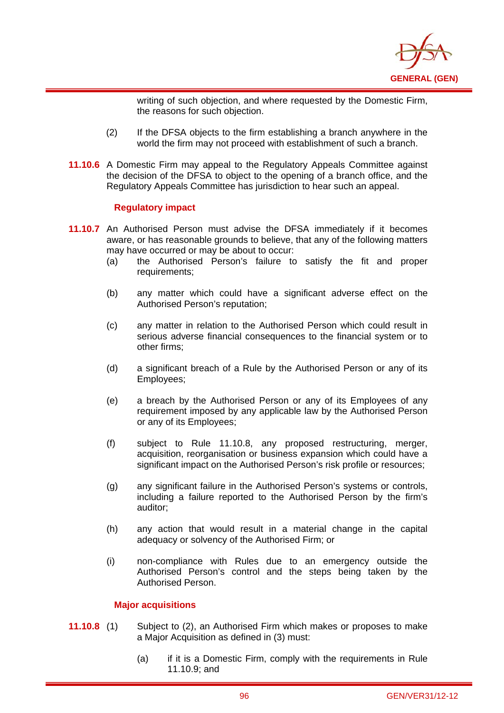

writing of such objection, and where requested by the Domestic Firm, the reasons for such objection.

- (2) If the DFSA objects to the firm establishing a branch anywhere in the world the firm may not proceed with establishment of such a branch.
- **11.10.6** A Domestic Firm may appeal to the Regulatory Appeals Committee against the decision of the DFSA to object to the opening of a branch office, and the Regulatory Appeals Committee has jurisdiction to hear such an appeal.

### **Regulatory impact**

i

- **11.10.7** An Authorised Person must advise the DFSA immediately if it becomes aware, or has reasonable grounds to believe, that any of the following matters may have occurred or may be about to occur:
	- (a) the Authorised Person's failure to satisfy the fit and proper requirements;
	- (b) any matter which could have a significant adverse effect on the Authorised Person's reputation;
	- (c) any matter in relation to the Authorised Person which could result in serious adverse financial consequences to the financial system or to other firms;
	- (d) a significant breach of a Rule by the Authorised Person or any of its Employees;
	- (e) a breach by the Authorised Person or any of its Employees of any requirement imposed by any applicable law by the Authorised Person or any of its Employees;
	- (f) subject to Rule 11.10.8, any proposed restructuring, merger, acquisition, reorganisation or business expansion which could have a significant impact on the Authorised Person's risk profile or resources;
	- (g) any significant failure in the Authorised Person's systems or controls, including a failure reported to the Authorised Person by the firm's auditor;
	- (h) any action that would result in a material change in the capital adequacy or solvency of the Authorised Firm; or
	- (i) non-compliance with Rules due to an emergency outside the Authorised Person's control and the steps being taken by the Authorised Person.

### **Major acquisitions**

- **11.10.8** (1) Subject to (2), an Authorised Firm which makes or proposes to make a Major Acquisition as defined in (3) must:
	- (a) if it is a Domestic Firm, comply with the requirements in Rule 11.10.9; and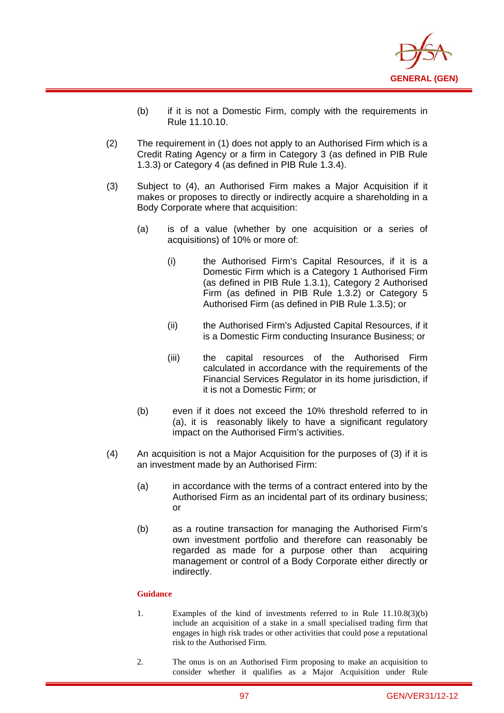

- (b) if it is not a Domestic Firm, comply with the requirements in Rule 11.10.10.
- (2) The requirement in (1) does not apply to an Authorised Firm which is a Credit Rating Agency or a firm in Category 3 (as defined in PIB Rule 1.3.3) or Category 4 (as defined in PIB Rule 1.3.4).
- (3) Subject to (4), an Authorised Firm makes a Major Acquisition if it makes or proposes to directly or indirectly acquire a shareholding in a Body Corporate where that acquisition:
	- (a) is of a value (whether by one acquisition or a series of acquisitions) of 10% or more of:
		- (i) the Authorised Firm's Capital Resources, if it is a Domestic Firm which is a Category 1 Authorised Firm (as defined in PIB Rule 1.3.1), Category 2 Authorised Firm (as defined in PIB Rule 1.3.2) or Category 5 Authorised Firm (as defined in PIB Rule 1.3.5); or
		- (ii) the Authorised Firm's Adjusted Capital Resources, if it is a Domestic Firm conducting Insurance Business; or
		- (iii) the capital resources of the Authorised Firm calculated in accordance with the requirements of the Financial Services Regulator in its home jurisdiction, if it is not a Domestic Firm; or
	- (b) even if it does not exceed the 10% threshold referred to in (a), it is reasonably likely to have a significant regulatory impact on the Authorised Firm's activities.
- (4) An acquisition is not a Major Acquisition for the purposes of (3) if it is an investment made by an Authorised Firm:
	- (a) in accordance with the terms of a contract entered into by the Authorised Firm as an incidental part of its ordinary business; or
	- (b) as a routine transaction for managing the Authorised Firm's own investment portfolio and therefore can reasonably be regarded as made for a purpose other than acquiring management or control of a Body Corporate either directly or indirectly.

- 1. Examples of the kind of investments referred to in Rule 11.10.8(3)(b) include an acquisition of a stake in a small specialised trading firm that engages in high risk trades or other activities that could pose a reputational risk to the Authorised Firm.
- 2. The onus is on an Authorised Firm proposing to make an acquisition to consider whether it qualifies as a Major Acquisition under Rule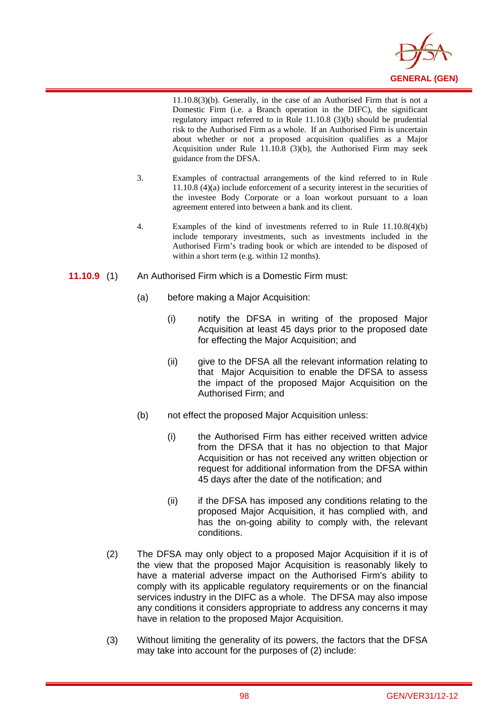

11.10.8(3)(b). Generally, in the case of an Authorised Firm that is not a Domestic Firm (i.e. a Branch operation in the DIFC), the significant regulatory impact referred to in Rule 11.10.8 (3)(b) should be prudential risk to the Authorised Firm as a whole. If an Authorised Firm is uncertain about whether or not a proposed acquisition qualifies as a Major Acquisition under Rule 11.10.8 (3)(b), the Authorised Firm may seek guidance from the DFSA.

- 3. Examples of contractual arrangements of the kind referred to in Rule 11.10.8 (4)(a) include enforcement of a security interest in the securities of the investee Body Corporate or a loan workout pursuant to a loan agreement entered into between a bank and its client.
- 4. Examples of the kind of investments referred to in Rule 11.10.8(4)(b) include temporary investments, such as investments included in the Authorised Firm's trading book or which are intended to be disposed of within a short term (e.g. within 12 months).
- **11.10.9** (1) An Authorised Firm which is a Domestic Firm must:

- (a) before making a Major Acquisition:
	- (i) notify the DFSA in writing of the proposed Major Acquisition at least 45 days prior to the proposed date for effecting the Major Acquisition; and
	- (ii) give to the DFSA all the relevant information relating to that Major Acquisition to enable the DFSA to assess the impact of the proposed Major Acquisition on the Authorised Firm; and
- (b) not effect the proposed Major Acquisition unless:
	- (i) the Authorised Firm has either received written advice from the DFSA that it has no objection to that Major Acquisition or has not received any written objection or request for additional information from the DFSA within 45 days after the date of the notification; and
	- (ii) if the DFSA has imposed any conditions relating to the proposed Major Acquisition, it has complied with, and has the on-going ability to comply with, the relevant conditions.
- (2) The DFSA may only object to a proposed Major Acquisition if it is of the view that the proposed Major Acquisition is reasonably likely to have a material adverse impact on the Authorised Firm's ability to comply with its applicable regulatory requirements or on the financial services industry in the DIFC as a whole. The DFSA may also impose any conditions it considers appropriate to address any concerns it may have in relation to the proposed Major Acquisition.
- (3) Without limiting the generality of its powers, the factors that the DFSA may take into account for the purposes of (2) include: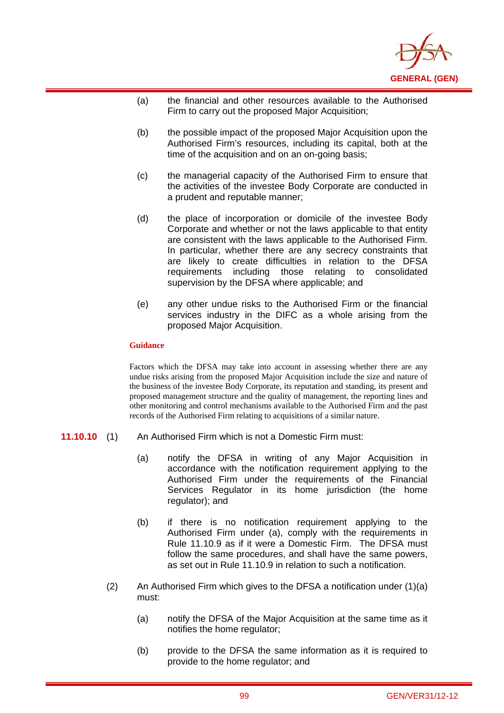

- (a) the financial and other resources available to the Authorised Firm to carry out the proposed Major Acquisition;
- (b) the possible impact of the proposed Major Acquisition upon the Authorised Firm's resources, including its capital, both at the time of the acquisition and on an on-going basis:
- (c) the managerial capacity of the Authorised Firm to ensure that the activities of the investee Body Corporate are conducted in a prudent and reputable manner;
- (d) the place of incorporation or domicile of the investee Body Corporate and whether or not the laws applicable to that entity are consistent with the laws applicable to the Authorised Firm. In particular, whether there are any secrecy constraints that are likely to create difficulties in relation to the DFSA requirements including those relating to consolidated supervision by the DFSA where applicable; and
- (e) any other undue risks to the Authorised Firm or the financial services industry in the DIFC as a whole arising from the proposed Major Acquisition.

i

Factors which the DFSA may take into account in assessing whether there are any undue risks arising from the proposed Major Acquisition include the size and nature of the business of the investee Body Corporate, its reputation and standing, its present and proposed management structure and the quality of management, the reporting lines and other monitoring and control mechanisms available to the Authorised Firm and the past records of the Authorised Firm relating to acquisitions of a similar nature.

- **11.10.10** (1) An Authorised Firm which is not a Domestic Firm must:
	- (a) notify the DFSA in writing of any Major Acquisition in accordance with the notification requirement applying to the Authorised Firm under the requirements of the Financial Services Regulator in its home jurisdiction (the home regulator); and
	- (b) if there is no notification requirement applying to the Authorised Firm under (a), comply with the requirements in Rule 11.10.9 as if it were a Domestic Firm. The DFSA must follow the same procedures, and shall have the same powers, as set out in Rule 11.10.9 in relation to such a notification.
	- (2) An Authorised Firm which gives to the DFSA a notification under  $(1)(a)$ must:
		- (a) notify the DFSA of the Major Acquisition at the same time as it notifies the home regulator;
		- (b) provide to the DFSA the same information as it is required to provide to the home regulator; and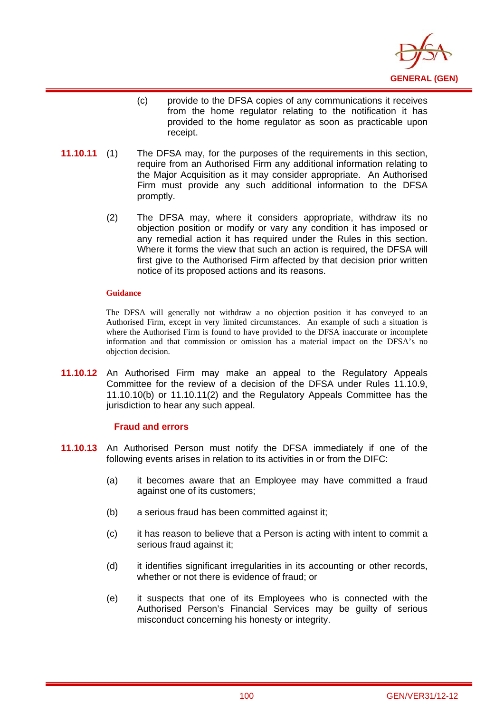

- (c) provide to the DFSA copies of any communications it receives from the home regulator relating to the notification it has provided to the home regulator as soon as practicable upon receipt.
- **11.10.11** (1) The DFSA may, for the purposes of the requirements in this section, require from an Authorised Firm any additional information relating to the Major Acquisition as it may consider appropriate. An Authorised Firm must provide any such additional information to the DFSA promptly.
	- (2) The DFSA may, where it considers appropriate, withdraw its no objection position or modify or vary any condition it has imposed or any remedial action it has required under the Rules in this section. Where it forms the view that such an action is required, the DFSA will first give to the Authorised Firm affected by that decision prior written notice of its proposed actions and its reasons.

i

The DFSA will generally not withdraw a no objection position it has conveyed to an Authorised Firm, except in very limited circumstances. An example of such a situation is where the Authorised Firm is found to have provided to the DFSA inaccurate or incomplete information and that commission or omission has a material impact on the DFSA's no objection decision.

**11.10.12** An Authorised Firm may make an appeal to the Regulatory Appeals Committee for the review of a decision of the DFSA under Rules 11.10.9, 11.10.10(b) or 11.10.11(2) and the Regulatory Appeals Committee has the jurisdiction to hear any such appeal.

### **Fraud and errors**

- **11.10.13** An Authorised Person must notify the DFSA immediately if one of the following events arises in relation to its activities in or from the DIFC:
	- (a) it becomes aware that an Employee may have committed a fraud against one of its customers;
	- (b) a serious fraud has been committed against it;
	- (c) it has reason to believe that a Person is acting with intent to commit a serious fraud against it;
	- (d) it identifies significant irregularities in its accounting or other records, whether or not there is evidence of fraud; or
	- (e) it suspects that one of its Employees who is connected with the Authorised Person's Financial Services may be guilty of serious misconduct concerning his honesty or integrity.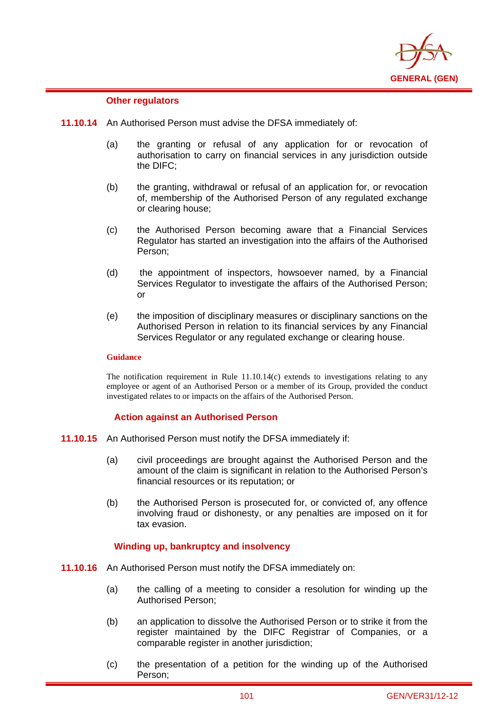

### **Other regulators**

i

- **11.10.14** An Authorised Person must advise the DFSA immediately of:
	- (a) the granting or refusal of any application for or revocation of authorisation to carry on financial services in any jurisdiction outside the DIFC;
	- (b) the granting, withdrawal or refusal of an application for, or revocation of, membership of the Authorised Person of any regulated exchange or clearing house;
	- (c) the Authorised Person becoming aware that a Financial Services Regulator has started an investigation into the affairs of the Authorised Person;
	- (d) the appointment of inspectors, howsoever named, by a Financial Services Regulator to investigate the affairs of the Authorised Person; or
	- (e) the imposition of disciplinary measures or disciplinary sanctions on the Authorised Person in relation to its financial services by any Financial Services Regulator or any regulated exchange or clearing house.

### **Guidance**

The notification requirement in Rule 11.10.14(c) extends to investigations relating to any employee or agent of an Authorised Person or a member of its Group, provided the conduct investigated relates to or impacts on the affairs of the Authorised Person.

#### **Action against an Authorised Person**

- **11.10.15** An Authorised Person must notify the DFSA immediately if:
	- (a) civil proceedings are brought against the Authorised Person and the amount of the claim is significant in relation to the Authorised Person's financial resources or its reputation; or
	- (b) the Authorised Person is prosecuted for, or convicted of, any offence involving fraud or dishonesty, or any penalties are imposed on it for tax evasion.

### **Winding up, bankruptcy and insolvency**

- **11.10.16** An Authorised Person must notify the DFSA immediately on:
	- (a) the calling of a meeting to consider a resolution for winding up the Authorised Person;
	- (b) an application to dissolve the Authorised Person or to strike it from the register maintained by the DIFC Registrar of Companies, or a comparable register in another jurisdiction;
	- (c) the presentation of a petition for the winding up of the Authorised Person;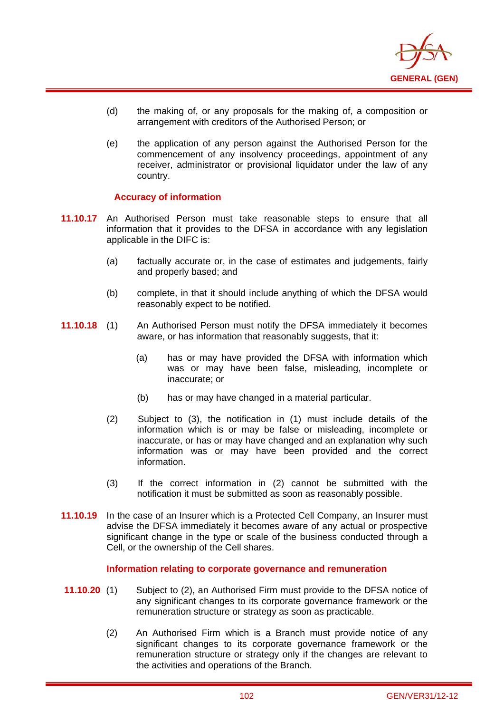

- (d) the making of, or any proposals for the making of, a composition or arrangement with creditors of the Authorised Person; or
- (e) the application of any person against the Authorised Person for the commencement of any insolvency proceedings, appointment of any receiver, administrator or provisional liquidator under the law of any country.

### **Accuracy of information**

i

- **11.10.17** An Authorised Person must take reasonable steps to ensure that all information that it provides to the DFSA in accordance with any legislation applicable in the DIFC is:
	- (a) factually accurate or, in the case of estimates and judgements, fairly and properly based; and
	- (b) complete, in that it should include anything of which the DFSA would reasonably expect to be notified.
- **11.10.18** (1) An Authorised Person must notify the DFSA immediately it becomes aware, or has information that reasonably suggests, that it:
	- (a) has or may have provided the DFSA with information which was or may have been false, misleading, incomplete or inaccurate; or
	- (b) has or may have changed in a material particular.
	- (2) Subject to (3), the notification in (1) must include details of the information which is or may be false or misleading, incomplete or inaccurate, or has or may have changed and an explanation why such information was or may have been provided and the correct information.
	- (3) If the correct information in (2) cannot be submitted with the notification it must be submitted as soon as reasonably possible.
- **11.10.19** In the case of an Insurer which is a Protected Cell Company, an Insurer must advise the DFSA immediately it becomes aware of any actual or prospective significant change in the type or scale of the business conducted through a Cell, or the ownership of the Cell shares.

#### **Information relating to corporate governance and remuneration**

- **11.10.20** (1) Subject to (2), an Authorised Firm must provide to the DFSA notice of any significant changes to its corporate governance framework or the remuneration structure or strategy as soon as practicable.
	- (2) An Authorised Firm which is a Branch must provide notice of any significant changes to its corporate governance framework or the remuneration structure or strategy only if the changes are relevant to the activities and operations of the Branch.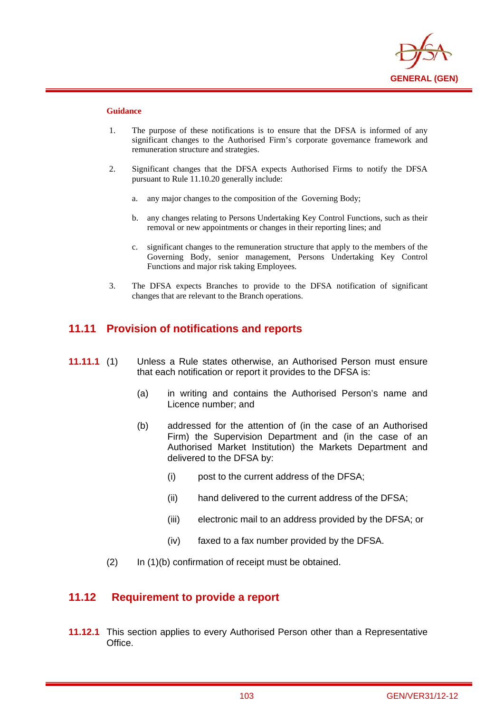

i

- 1. The purpose of these notifications is to ensure that the DFSA is informed of any significant changes to the Authorised Firm's corporate governance framework and remuneration structure and strategies.
- 2. Significant changes that the DFSA expects Authorised Firms to notify the DFSA pursuant to Rule 11.10.20 generally include:
	- a. any major changes to the composition of the Governing Body;
	- b. any changes relating to Persons Undertaking Key Control Functions, such as their removal or new appointments or changes in their reporting lines; and
	- c. significant changes to the remuneration structure that apply to the members of the Governing Body, senior management, Persons Undertaking Key Control Functions and major risk taking Employees.
- 3. The DFSA expects Branches to provide to the DFSA notification of significant changes that are relevant to the Branch operations.

## **11.11 Provision of notifications and reports**

- **11.11.1** (1) Unless a Rule states otherwise, an Authorised Person must ensure that each notification or report it provides to the DFSA is:
	- (a) in writing and contains the Authorised Person's name and Licence number; and
	- (b) addressed for the attention of (in the case of an Authorised Firm) the Supervision Department and (in the case of an Authorised Market Institution) the Markets Department and delivered to the DFSA by:
		- (i) post to the current address of the DFSA;
		- (ii) hand delivered to the current address of the DFSA;
		- (iii) electronic mail to an address provided by the DFSA; or
		- (iv) faxed to a fax number provided by the DFSA.
	- (2) In (1)(b) confirmation of receipt must be obtained.

### **11.12 Requirement to provide a report**

**11.12.1** This section applies to every Authorised Person other than a Representative Office.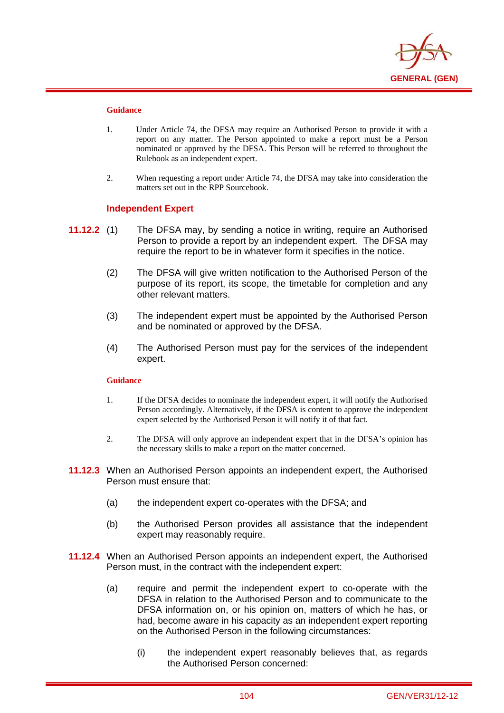

i

- 1. Under Article 74, the DFSA may require an Authorised Person to provide it with a report on any matter. The Person appointed to make a report must be a Person nominated or approved by the DFSA. This Person will be referred to throughout the Rulebook as an independent expert.
- 2. When requesting a report under Article 74, the DFSA may take into consideration the matters set out in the RPP Sourcebook.

### **Independent Expert**

- **11.12.2** (1) The DFSA may, by sending a notice in writing, require an Authorised Person to provide a report by an independent expert. The DFSA may require the report to be in whatever form it specifies in the notice.
	- (2) The DFSA will give written notification to the Authorised Person of the purpose of its report, its scope, the timetable for completion and any other relevant matters.
	- (3) The independent expert must be appointed by the Authorised Person and be nominated or approved by the DFSA.
	- (4) The Authorised Person must pay for the services of the independent expert.

#### **Guidance**

- 1. If the DFSA decides to nominate the independent expert, it will notify the Authorised Person accordingly. Alternatively, if the DFSA is content to approve the independent expert selected by the Authorised Person it will notify it of that fact.
- 2. The DFSA will only approve an independent expert that in the DFSA's opinion has the necessary skills to make a report on the matter concerned.
- **11.12.3** When an Authorised Person appoints an independent expert, the Authorised Person must ensure that:
	- (a) the independent expert co-operates with the DFSA; and
	- (b) the Authorised Person provides all assistance that the independent expert may reasonably require.
- **11.12.4** When an Authorised Person appoints an independent expert, the Authorised Person must, in the contract with the independent expert:
	- (a) require and permit the independent expert to co-operate with the DFSA in relation to the Authorised Person and to communicate to the DFSA information on, or his opinion on, matters of which he has, or had, become aware in his capacity as an independent expert reporting on the Authorised Person in the following circumstances:
		- (i) the independent expert reasonably believes that, as regards the Authorised Person concerned: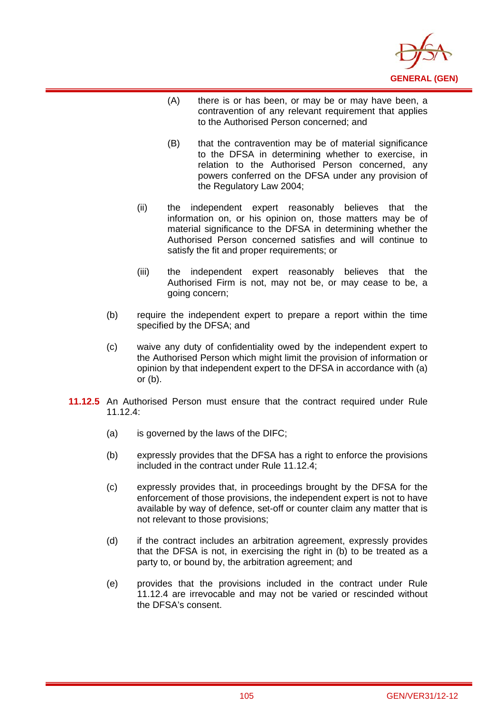

- (A) there is or has been, or may be or may have been, a contravention of any relevant requirement that applies to the Authorised Person concerned; and
- (B) that the contravention may be of material significance to the DFSA in determining whether to exercise, in relation to the Authorised Person concerned, any powers conferred on the DFSA under any provision of the Regulatory Law 2004;
- (ii) the independent expert reasonably believes that the information on, or his opinion on, those matters may be of material significance to the DFSA in determining whether the Authorised Person concerned satisfies and will continue to satisfy the fit and proper requirements; or
- (iii) the independent expert reasonably believes that the Authorised Firm is not, may not be, or may cease to be, a going concern;
- (b) require the independent expert to prepare a report within the time specified by the DFSA; and
- (c) waive any duty of confidentiality owed by the independent expert to the Authorised Person which might limit the provision of information or opinion by that independent expert to the DFSA in accordance with (a) or (b).
- **11.12.5** An Authorised Person must ensure that the contract required under Rule 11.12 $4$ 
	- (a) is governed by the laws of the DIFC;

- (b) expressly provides that the DFSA has a right to enforce the provisions included in the contract under Rule 11.12.4;
- (c) expressly provides that, in proceedings brought by the DFSA for the enforcement of those provisions, the independent expert is not to have available by way of defence, set-off or counter claim any matter that is not relevant to those provisions;
- (d) if the contract includes an arbitration agreement, expressly provides that the DFSA is not, in exercising the right in (b) to be treated as a party to, or bound by, the arbitration agreement; and
- (e) provides that the provisions included in the contract under Rule 11.12.4 are irrevocable and may not be varied or rescinded without the DFSA's consent.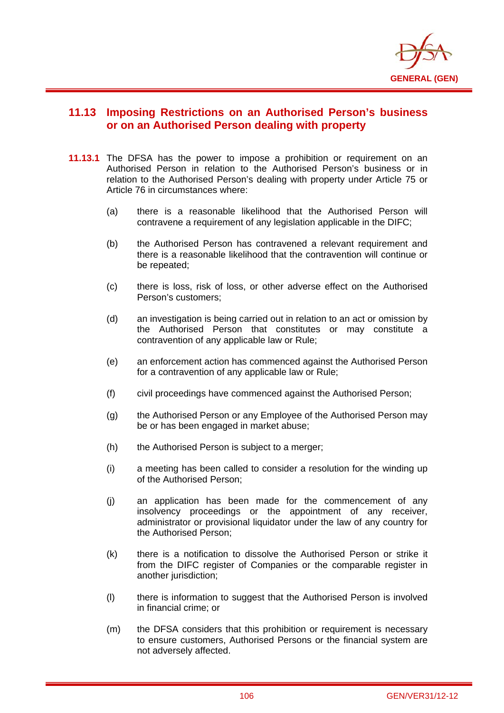

# **11.13 Imposing Restrictions on an Authorised Person's business or on an Authorised Person dealing with property**

- **11.13.1** The DFSA has the power to impose a prohibition or requirement on an Authorised Person in relation to the Authorised Person's business or in relation to the Authorised Person's dealing with property under Article 75 or Article 76 in circumstances where:
	- (a) there is a reasonable likelihood that the Authorised Person will contravene a requirement of any legislation applicable in the DIFC;
	- (b) the Authorised Person has contravened a relevant requirement and there is a reasonable likelihood that the contravention will continue or be repeated;
	- (c) there is loss, risk of loss, or other adverse effect on the Authorised Person's customers;
	- (d) an investigation is being carried out in relation to an act or omission by the Authorised Person that constitutes or may constitute a contravention of any applicable law or Rule;
	- (e) an enforcement action has commenced against the Authorised Person for a contravention of any applicable law or Rule;
	- (f) civil proceedings have commenced against the Authorised Person;
	- (g) the Authorised Person or any Employee of the Authorised Person may be or has been engaged in market abuse;
	- (h) the Authorised Person is subject to a merger;
	- (i) a meeting has been called to consider a resolution for the winding up of the Authorised Person;
	- (j) an application has been made for the commencement of any insolvency proceedings or the appointment of any receiver, administrator or provisional liquidator under the law of any country for the Authorised Person;
	- (k) there is a notification to dissolve the Authorised Person or strike it from the DIFC register of Companies or the comparable register in another jurisdiction;
	- (l) there is information to suggest that the Authorised Person is involved in financial crime; or
	- (m) the DFSA considers that this prohibition or requirement is necessary to ensure customers, Authorised Persons or the financial system are not adversely affected.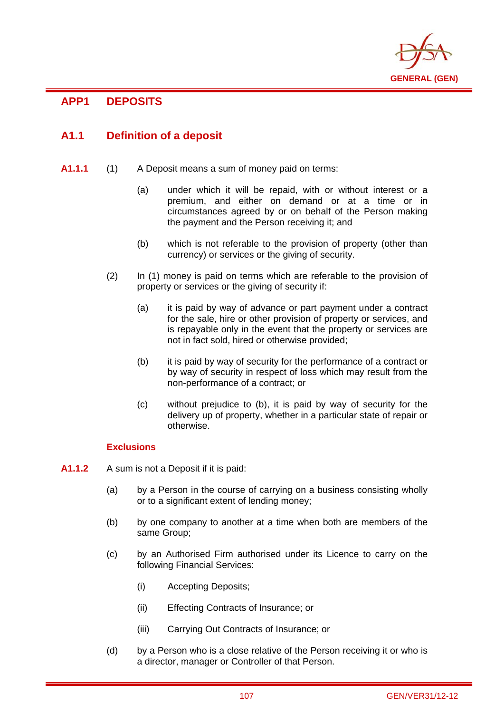

# **APP1 DEPOSITS**

i

# **A1.1 Definition of a deposit**

- **A1.1.1** (1) A Deposit means a sum of money paid on terms:
	- (a) under which it will be repaid, with or without interest or a premium, and either on demand or at a time or in circumstances agreed by or on behalf of the Person making the payment and the Person receiving it; and
	- (b) which is not referable to the provision of property (other than currency) or services or the giving of security.
	- (2) In (1) money is paid on terms which are referable to the provision of property or services or the giving of security if:
		- (a) it is paid by way of advance or part payment under a contract for the sale, hire or other provision of property or services, and is repayable only in the event that the property or services are not in fact sold, hired or otherwise provided;
		- (b) it is paid by way of security for the performance of a contract or by way of security in respect of loss which may result from the non-performance of a contract; or
		- (c) without prejudice to (b), it is paid by way of security for the delivery up of property, whether in a particular state of repair or otherwise.

## **Exclusions**

- **A1.1.2** A sum is not a Deposit if it is paid:
	- (a) by a Person in the course of carrying on a business consisting wholly or to a significant extent of lending money;
	- (b) by one company to another at a time when both are members of the same Group;
	- (c) by an Authorised Firm authorised under its Licence to carry on the following Financial Services:
		- (i) Accepting Deposits;
		- (ii) Effecting Contracts of Insurance; or
		- (iii) Carrying Out Contracts of Insurance; or
	- (d) by a Person who is a close relative of the Person receiving it or who is a director, manager or Controller of that Person.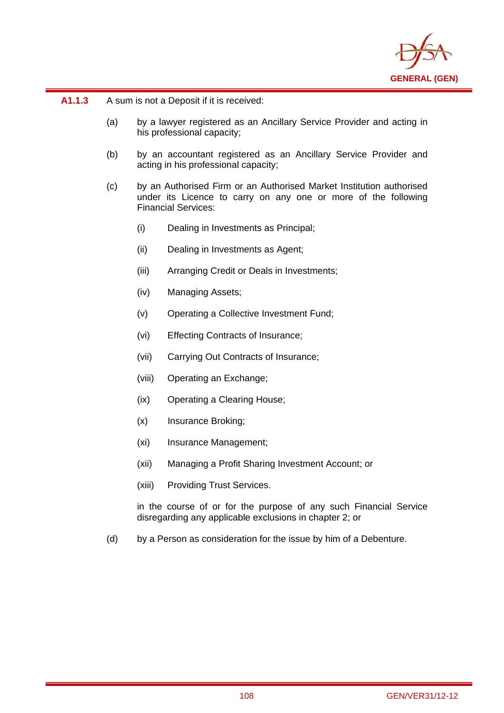

**A1.1.3** A sum is not a Deposit if it is received:

i

- (a) by a lawyer registered as an Ancillary Service Provider and acting in his professional capacity;
- (b) by an accountant registered as an Ancillary Service Provider and acting in his professional capacity;
- (c) by an Authorised Firm or an Authorised Market Institution authorised under its Licence to carry on any one or more of the following Financial Services:
	- (i) Dealing in Investments as Principal;
	- (ii) Dealing in Investments as Agent;
	- (iii) Arranging Credit or Deals in Investments;
	- (iv) Managing Assets;
	- (v) Operating a Collective Investment Fund;
	- (vi) Effecting Contracts of Insurance;
	- (vii) Carrying Out Contracts of Insurance;
	- (viii) Operating an Exchange;
	- (ix) Operating a Clearing House;
	- (x) Insurance Broking;
	- (xi) Insurance Management;
	- (xii) Managing a Profit Sharing Investment Account; or
	- (xiii) Providing Trust Services.

in the course of or for the purpose of any such Financial Service disregarding any applicable exclusions in chapter 2; or

(d) by a Person as consideration for the issue by him of a Debenture.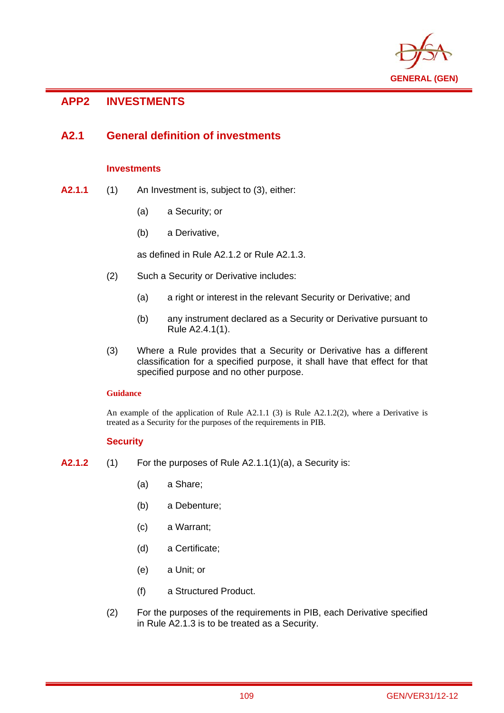

# **APP2 INVESTMENTS**

i

# **A2.1 General definition of investments**

## **Investments**

- **A2.1.1** (1) An Investment is, subject to (3), either:
	- (a) a Security; or
	- (b) a Derivative,

as defined in Rule A2.1.2 or Rule A2.1.3.

- (2) Such a Security or Derivative includes:
	- (a) a right or interest in the relevant Security or Derivative; and
	- (b) any instrument declared as a Security or Derivative pursuant to Rule A2.4.1(1).
- (3) Where a Rule provides that a Security or Derivative has a different classification for a specified purpose, it shall have that effect for that specified purpose and no other purpose.

## **Guidance**

An example of the application of Rule A2.1.1 (3) is Rule A2.1.2(2), where a Derivative is treated as a Security for the purposes of the requirements in PIB.

## **Security**

- **A2.1.2** (1) For the purposes of Rule A2.1.1(1)(a), a Security is:
	- (a) a Share;
	- (b) a Debenture;
	- (c) a Warrant;
	- (d) a Certificate;
	- (e) a Unit; or
	- (f) a Structured Product.
	- (2) For the purposes of the requirements in PIB, each Derivative specified in Rule A2.1.3 is to be treated as a Security.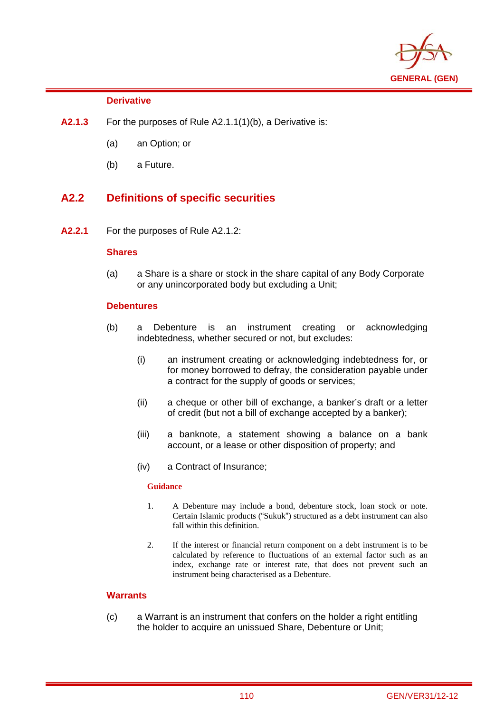

## **Derivative**

i

- **A2.1.3** For the purposes of Rule A2.1.1(1)(b), a Derivative is:
	- (a) an Option; or
	- (b) a Future.

# **A2.2 Definitions of specific securities**

**A2.2.1** For the purposes of Rule A2.1.2:

## **Shares**

(a) a Share is a share or stock in the share capital of any Body Corporate or any unincorporated body but excluding a Unit;

## **Debentures**

- (b) a Debenture is an instrument creating or acknowledging indebtedness, whether secured or not, but excludes:
	- (i) an instrument creating or acknowledging indebtedness for, or for money borrowed to defray, the consideration payable under a contract for the supply of goods or services;
	- (ii) a cheque or other bill of exchange, a banker's draft or a letter of credit (but not a bill of exchange accepted by a banker);
	- (iii) a banknote, a statement showing a balance on a bank account, or a lease or other disposition of property; and
	- (iv) a Contract of Insurance;

## **Guidance**

- 1. A Debenture may include a bond, debenture stock, loan stock or note. Certain Islamic products ("Sukuk") structured as a debt instrument can also fall within this definition.
- 2. If the interest or financial return component on a debt instrument is to be calculated by reference to fluctuations of an external factor such as an index, exchange rate or interest rate, that does not prevent such an instrument being characterised as a Debenture.

## **Warrants**

(c) a Warrant is an instrument that confers on the holder a right entitling the holder to acquire an unissued Share, Debenture or Unit;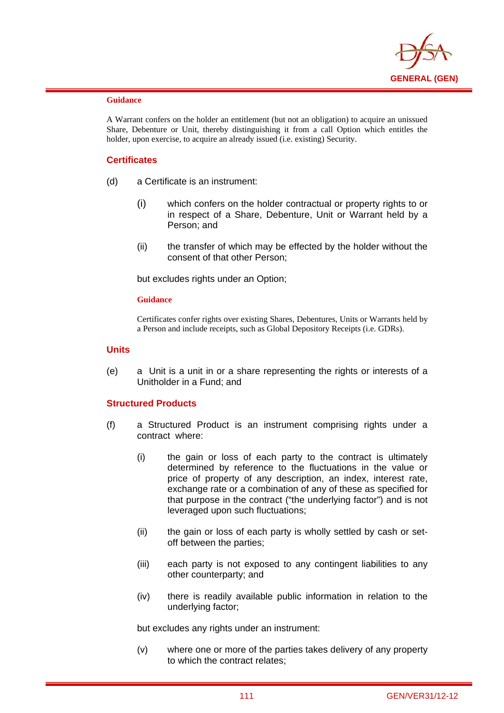

i

A Warrant confers on the holder an entitlement (but not an obligation) to acquire an unissued Share, Debenture or Unit, thereby distinguishing it from a call Option which entitles the holder, upon exercise, to acquire an already issued (i.e. existing) Security.

## **Certificates**

- (d) a Certificate is an instrument:
	- (i) which confers on the holder contractual or property rights to or in respect of a Share, Debenture, Unit or Warrant held by a Person; and
	- (ii) the transfer of which may be effected by the holder without the consent of that other Person;

but excludes rights under an Option;

#### **Guidance**

Certificates confer rights over existing Shares, Debentures, Units or Warrants held by a Person and include receipts, such as Global Depository Receipts (i.e. GDRs).

### **Units**

(e) a Unit is a unit in or a share representing the rights or interests of a Unitholder in a Fund; and

## **Structured Products**

- (f) a Structured Product is an instrument comprising rights under a contract where:
	- (i) the gain or loss of each party to the contract is ultimately determined by reference to the fluctuations in the value or price of property of any description, an index, interest rate, exchange rate or a combination of any of these as specified for that purpose in the contract ("the underlying factor") and is not leveraged upon such fluctuations;
	- (ii) the gain or loss of each party is wholly settled by cash or setoff between the parties;
	- (iii) each party is not exposed to any contingent liabilities to any other counterparty; and
	- (iv) there is readily available public information in relation to the underlying factor;

but excludes any rights under an instrument:

(v) where one or more of the parties takes delivery of any property to which the contract relates;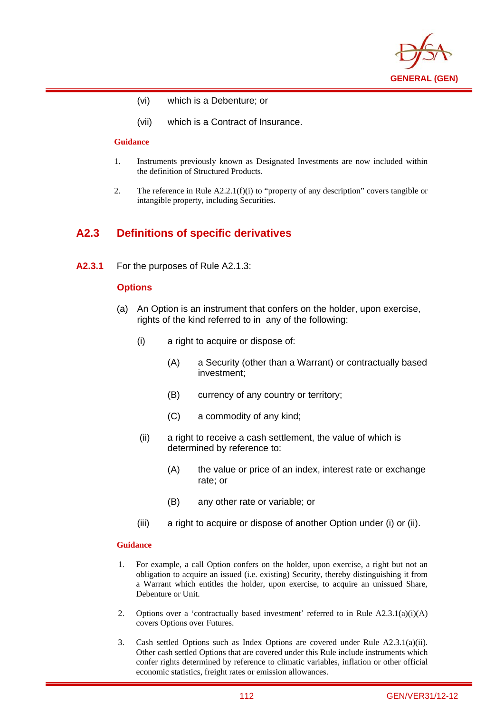

- (vi) which is a Debenture; or
- (vii) which is a Contract of Insurance.

i

- 1. Instruments previously known as Designated Investments are now included within the definition of Structured Products.
- 2. The reference in Rule A2.2.1(f)(i) to "property of any description" covers tangible or intangible property, including Securities.

## **A2.3 Definitions of specific derivatives**

**A2.3.1** For the purposes of Rule A2.1.3:

### **Options**

- (a) An Option is an instrument that confers on the holder, upon exercise, rights of the kind referred to in any of the following:
	- (i) a right to acquire or dispose of:
		- (A) a Security (other than a Warrant) or contractually based investment;
		- (B) currency of any country or territory;
		- (C) a commodity of any kind;
	- (ii) a right to receive a cash settlement, the value of which is determined by reference to:
		- (A) the value or price of an index, interest rate or exchange rate; or
		- (B) any other rate or variable; or
	- (iii) a right to acquire or dispose of another Option under (i) or (ii).

#### **Guidance**

- 1. For example, a call Option confers on the holder, upon exercise, a right but not an obligation to acquire an issued (i.e. existing) Security, thereby distinguishing it from a Warrant which entitles the holder, upon exercise, to acquire an unissued Share, Debenture or Unit.
- 2. Options over a 'contractually based investment' referred to in Rule  $A2.3.1(a)(i)(A)$ covers Options over Futures.
- 3. Cash settled Options such as Index Options are covered under Rule A2.3.1(a)(ii). Other cash settled Options that are covered under this Rule include instruments which confer rights determined by reference to climatic variables, inflation or other official economic statistics, freight rates or emission allowances.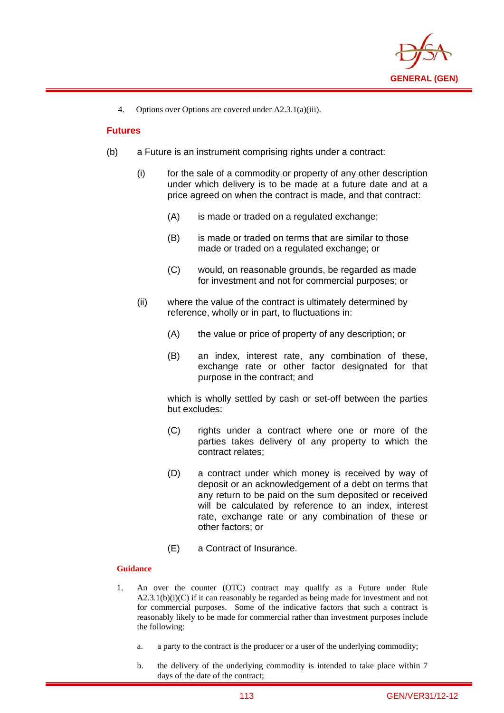

4. Options over Options are covered under A2.3.1(a)(iii).

## **Futures**

i

- (b) a Future is an instrument comprising rights under a contract:
	- (i) for the sale of a commodity or property of any other description under which delivery is to be made at a future date and at a price agreed on when the contract is made, and that contract:
		- (A) is made or traded on a regulated exchange;
		- (B) is made or traded on terms that are similar to those made or traded on a regulated exchange; or
		- (C) would, on reasonable grounds, be regarded as made for investment and not for commercial purposes; or
	- (ii) where the value of the contract is ultimately determined by reference, wholly or in part, to fluctuations in:
		- (A) the value or price of property of any description; or
		- (B) an index, interest rate, any combination of these, exchange rate or other factor designated for that purpose in the contract; and

which is wholly settled by cash or set-off between the parties but excludes:

- (C) rights under a contract where one or more of the parties takes delivery of any property to which the contract relates;
- (D) a contract under which money is received by way of deposit or an acknowledgement of a debt on terms that any return to be paid on the sum deposited or received will be calculated by reference to an index, interest rate, exchange rate or any combination of these or other factors; or
- (E) a Contract of Insurance.

### **Guidance**

- 1. An over the counter (OTC) contract may qualify as a Future under Rule  $A2.3.1(b)(i)(C)$  if it can reasonably be regarded as being made for investment and not for commercial purposes. Some of the indicative factors that such a contract is reasonably likely to be made for commercial rather than investment purposes include the following:
	- a. a party to the contract is the producer or a user of the underlying commodity;
	- b. the delivery of the underlying commodity is intended to take place within 7 days of the date of the contract;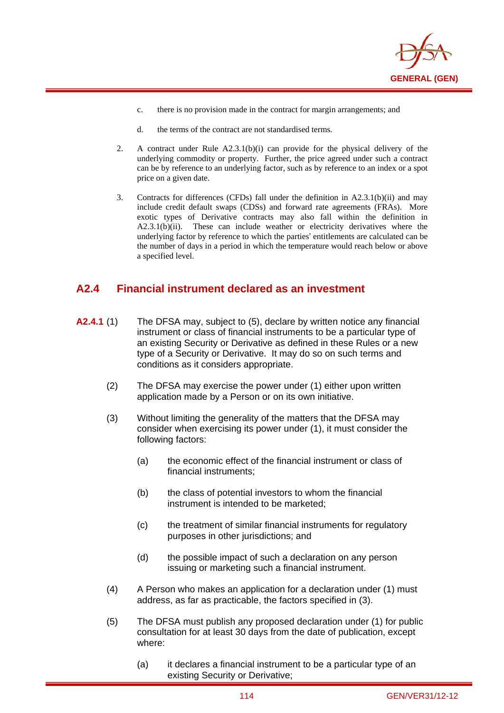

- c. there is no provision made in the contract for margin arrangements; and
- d. the terms of the contract are not standardised terms.

i

- 2. A contract under Rule A2.3.1(b)(i) can provide for the physical delivery of the underlying commodity or property. Further, the price agreed under such a contract can be by reference to an underlying factor, such as by reference to an index or a spot price on a given date.
- 3. Contracts for differences (CFDs) fall under the definition in A2.3.1(b)(ii) and may include credit default swaps (CDSs) and forward rate agreements (FRAs). More exotic types of Derivative contracts may also fall within the definition in A2.3.1(b)(ii). These can include weather or electricity derivatives where the underlying factor by reference to which the parties' entitlements are calculated can be the number of days in a period in which the temperature would reach below or above a specified level.

# **A2.4 Financial instrument declared as an investment**

- **A2.4.1** (1) The DFSA may, subject to (5), declare by written notice any financial instrument or class of financial instruments to be a particular type of an existing Security or Derivative as defined in these Rules or a new type of a Security or Derivative. It may do so on such terms and conditions as it considers appropriate.
	- (2) The DFSA may exercise the power under (1) either upon written application made by a Person or on its own initiative.
	- (3) Without limiting the generality of the matters that the DFSA may consider when exercising its power under (1), it must consider the following factors:
		- (a) the economic effect of the financial instrument or class of financial instruments;
		- (b) the class of potential investors to whom the financial instrument is intended to be marketed;
		- (c) the treatment of similar financial instruments for regulatory purposes in other jurisdictions; and
		- (d) the possible impact of such a declaration on any person issuing or marketing such a financial instrument.
	- (4) A Person who makes an application for a declaration under (1) must address, as far as practicable, the factors specified in (3).
	- (5) The DFSA must publish any proposed declaration under (1) for public consultation for at least 30 days from the date of publication, except where:
		- (a) it declares a financial instrument to be a particular type of an existing Security or Derivative;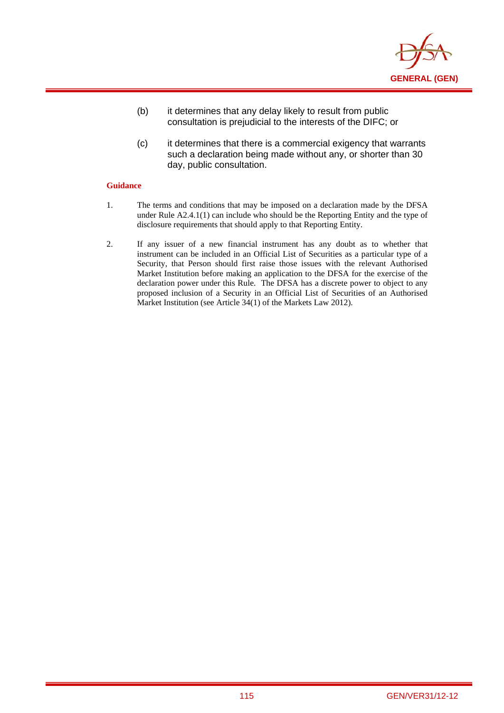

- (b) it determines that any delay likely to result from public consultation is prejudicial to the interests of the DIFC; or
- (c) it determines that there is a commercial exigency that warrants such a declaration being made without any, or shorter than 30 day, public consultation.

- 1. The terms and conditions that may be imposed on a declaration made by the DFSA under Rule A2.4.1(1) can include who should be the Reporting Entity and the type of disclosure requirements that should apply to that Reporting Entity.
- 2. If any issuer of a new financial instrument has any doubt as to whether that instrument can be included in an Official List of Securities as a particular type of a Security, that Person should first raise those issues with the relevant Authorised Market Institution before making an application to the DFSA for the exercise of the declaration power under this Rule. The DFSA has a discrete power to object to any proposed inclusion of a Security in an Official List of Securities of an Authorised Market Institution (see Article 34(1) of the Markets Law 2012).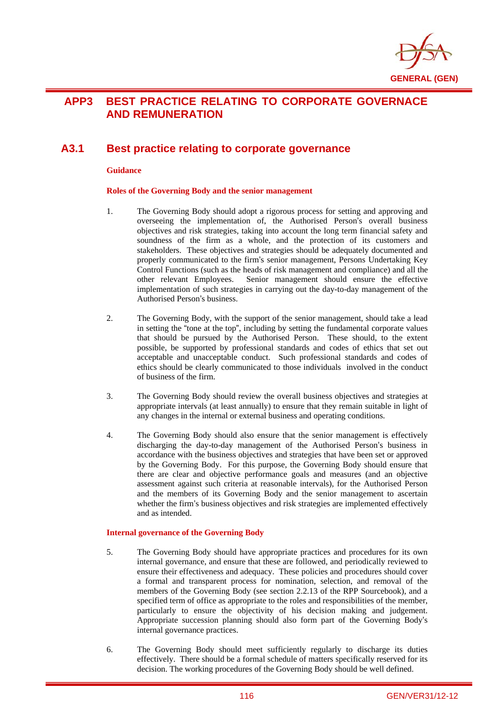

# **APP3 BEST PRACTICE RELATING TO CORPORATE GOVERNACE AND REMUNERATION**

# **A3.1 Best practice relating to corporate governance**

#### **Guidance**

i

### **Roles of the Governing Body and the senior management**

- 1. The Governing Body should adopt a rigorous process for setting and approving and overseeing the implementation of, the Authorised Person's overall business objectives and risk strategies, taking into account the long term financial safety and soundness of the firm as a whole, and the protection of its customers and stakeholders. These objectives and strategies should be adequately documented and properly communicated to the firm's senior management, Persons Undertaking Key Control Functions (such as the heads of risk management and compliance) and all the other relevant Employees. Senior management should ensure the effective implementation of such strategies in carrying out the day-to-day management of the Authorised Person's business.
- 2. The Governing Body, with the support of the senior management, should take a lead in setting the "tone at the top", including by setting the fundamental corporate values that should be pursued by the Authorised Person. These should, to the extent possible, be supported by professional standards and codes of ethics that set out acceptable and unacceptable conduct. Such professional standards and codes of ethics should be clearly communicated to those individuals involved in the conduct of business of the firm.
- 3. The Governing Body should review the overall business objectives and strategies at appropriate intervals (at least annually) to ensure that they remain suitable in light of any changes in the internal or external business and operating conditions.
- 4. The Governing Body should also ensure that the senior management is effectively discharging the day-to-day management of the Authorised Person's business in accordance with the business objectives and strategies that have been set or approved by the Governing Body. For this purpose, the Governing Body should ensure that there are clear and objective performance goals and measures (and an objective assessment against such criteria at reasonable intervals), for the Authorised Person and the members of its Governing Body and the senior management to ascertain whether the firm's business objectives and risk strategies are implemented effectively and as intended.

#### **Internal governance of the Governing Body**

- 5. The Governing Body should have appropriate practices and procedures for its own internal governance, and ensure that these are followed, and periodically reviewed to ensure their effectiveness and adequacy. These policies and procedures should cover a formal and transparent process for nomination, selection, and removal of the members of the Governing Body (see section 2.2.13 of the RPP Sourcebook), and a specified term of office as appropriate to the roles and responsibilities of the member, particularly to ensure the objectivity of his decision making and judgement. Appropriate succession planning should also form part of the Governing Body's internal governance practices.
- 6. The Governing Body should meet sufficiently regularly to discharge its duties effectively. There should be a formal schedule of matters specifically reserved for its decision. The working procedures of the Governing Body should be well defined.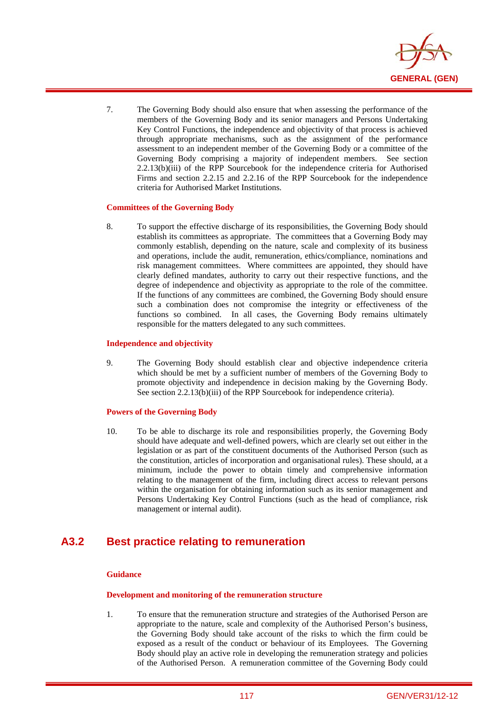

7. The Governing Body should also ensure that when assessing the performance of the members of the Governing Body and its senior managers and Persons Undertaking Key Control Functions, the independence and objectivity of that process is achieved through appropriate mechanisms, such as the assignment of the performance assessment to an independent member of the Governing Body or a committee of the Governing Body comprising a majority of independent members. See section 2.2.13(b)(iii) of the RPP Sourcebook for the independence criteria for Authorised Firms and section 2.2.15 and 2.2.16 of the RPP Sourcebook for the independence criteria for Authorised Market Institutions.

#### **Committees of the Governing Body**

i

8. To support the effective discharge of its responsibilities, the Governing Body should establish its committees as appropriate. The committees that a Governing Body may commonly establish, depending on the nature, scale and complexity of its business and operations, include the audit, remuneration, ethics/compliance, nominations and risk management committees. Where committees are appointed, they should have clearly defined mandates, authority to carry out their respective functions, and the degree of independence and objectivity as appropriate to the role of the committee. If the functions of any committees are combined, the Governing Body should ensure such a combination does not compromise the integrity or effectiveness of the functions so combined. In all cases, the Governing Body remains ultimately responsible for the matters delegated to any such committees.

#### **Independence and objectivity**

9. The Governing Body should establish clear and objective independence criteria which should be met by a sufficient number of members of the Governing Body to promote objectivity and independence in decision making by the Governing Body. See section 2.2.13(b)(iii) of the RPP Sourcebook for independence criteria).

#### **Powers of the Governing Body**

10. To be able to discharge its role and responsibilities properly, the Governing Body should have adequate and well-defined powers, which are clearly set out either in the legislation or as part of the constituent documents of the Authorised Person (such as the constitution, articles of incorporation and organisational rules). These should, at a minimum, include the power to obtain timely and comprehensive information relating to the management of the firm, including direct access to relevant persons within the organisation for obtaining information such as its senior management and Persons Undertaking Key Control Functions (such as the head of compliance, risk management or internal audit).

# **A3.2 Best practice relating to remuneration**

### **Guidance**

### **Development and monitoring of the remuneration structure**

1. To ensure that the remuneration structure and strategies of the Authorised Person are appropriate to the nature, scale and complexity of the Authorised Person's business, the Governing Body should take account of the risks to which the firm could be exposed as a result of the conduct or behaviour of its Employees. The Governing Body should play an active role in developing the remuneration strategy and policies of the Authorised Person. A remuneration committee of the Governing Body could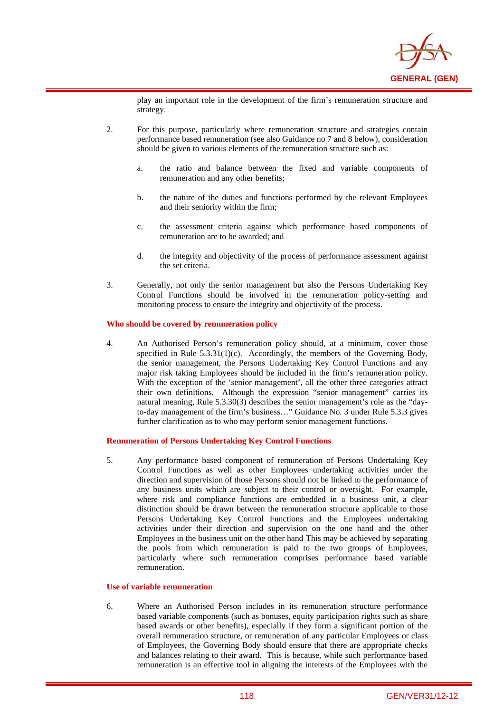

play an important role in the development of the firm's remuneration structure and strategy.

- 2. For this purpose, particularly where remuneration structure and strategies contain performance based remuneration (see also Guidance no 7 and 8 below), consideration should be given to various elements of the remuneration structure such as:
	- a. the ratio and balance between the fixed and variable components of remuneration and any other benefits;
	- b. the nature of the duties and functions performed by the relevant Employees and their seniority within the firm;
	- c. the assessment criteria against which performance based components of remuneration are to be awarded; and
	- d. the integrity and objectivity of the process of performance assessment against the set criteria.
- 3. Generally, not only the senior management but also the Persons Undertaking Key Control Functions should be involved in the remuneration policy-setting and monitoring process to ensure the integrity and objectivity of the process.

#### **Who should be covered by remuneration policy**

i

4. An Authorised Person's remuneration policy should, at a minimum, cover those specified in Rule 5.3.31(1)(c). Accordingly, the members of the Governing Body, the senior management, the Persons Undertaking Key Control Functions and any major risk taking Employees should be included in the firm's remuneration policy. With the exception of the 'senior management', all the other three categories attract their own definitions. Although the expression "senior management" carries its natural meaning, Rule 5.3.30(3) describes the senior management's role as the "dayto-day management of the firm's business…" Guidance No. 3 under Rule 5.3.3 gives further clarification as to who may perform senior management functions.

#### **Remuneration of Persons Undertaking Key Control Functions**

5. Any performance based component of remuneration of Persons Undertaking Key Control Functions as well as other Employees undertaking activities under the direction and supervision of those Persons should not be linked to the performance of any business units which are subject to their control or oversight. For example, where risk and compliance functions are embedded in a business unit, a clear distinction should be drawn between the remuneration structure applicable to those Persons Undertaking Key Control Functions and the Employees undertaking activities under their direction and supervision on the one hand and the other Employees in the business unit on the other hand This may be achieved by separating the pools from which remuneration is paid to the two groups of Employees, particularly where such remuneration comprises performance based variable remuneration.

#### **Use of variable remuneration**

6. Where an Authorised Person includes in its remuneration structure performance based variable components (such as bonuses, equity participation rights such as share based awards or other benefits), especially if they form a significant portion of the overall remuneration structure, or remuneration of any particular Employees or class of Employees, the Governing Body should ensure that there are appropriate checks and balances relating to their award. This is because, while such performance based remuneration is an effective tool in aligning the interests of the Employees with the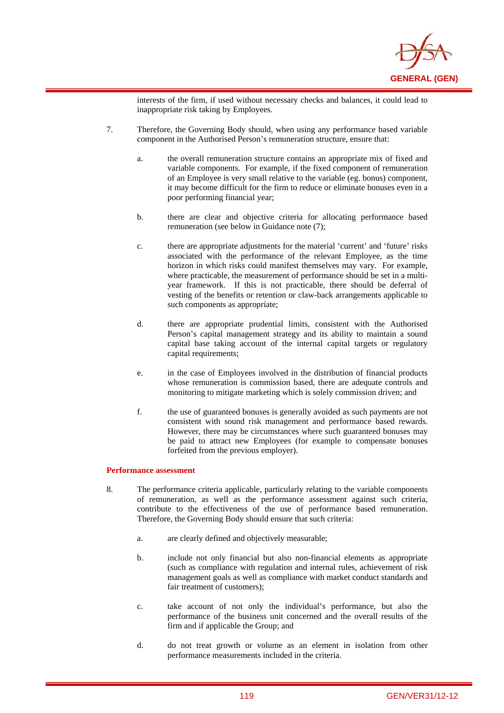

interests of the firm, if used without necessary checks and balances, it could lead to inappropriate risk taking by Employees.

- 7. Therefore, the Governing Body should, when using any performance based variable component in the Authorised Person's remuneration structure, ensure that:
	- a. the overall remuneration structure contains an appropriate mix of fixed and variable components. For example, if the fixed component of remuneration of an Employee is very small relative to the variable (eg. bonus) component, it may become difficult for the firm to reduce or eliminate bonuses even in a poor performing financial year;
	- b. there are clear and objective criteria for allocating performance based remuneration (see below in Guidance note (7);
	- c. there are appropriate adjustments for the material 'current' and 'future' risks associated with the performance of the relevant Employee, as the time horizon in which risks could manifest themselves may vary. For example, where practicable, the measurement of performance should be set in a multiyear framework. If this is not practicable, there should be deferral of vesting of the benefits or retention or claw-back arrangements applicable to such components as appropriate;
	- d. there are appropriate prudential limits, consistent with the Authorised Person's capital management strategy and its ability to maintain a sound capital base taking account of the internal capital targets or regulatory capital requirements;
	- e. in the case of Employees involved in the distribution of financial products whose remuneration is commission based, there are adequate controls and monitoring to mitigate marketing which is solely commission driven; and
	- f. the use of guaranteed bonuses is generally avoided as such payments are not consistent with sound risk management and performance based rewards. However, there may be circumstances where such guaranteed bonuses may be paid to attract new Employees (for example to compensate bonuses forfeited from the previous employer).

#### **Performance assessment**

- 8. The performance criteria applicable, particularly relating to the variable components of remuneration, as well as the performance assessment against such criteria, contribute to the effectiveness of the use of performance based remuneration. Therefore, the Governing Body should ensure that such criteria:
	- a. are clearly defined and objectively measurable;
	- b. include not only financial but also non-financial elements as appropriate (such as compliance with regulation and internal rules, achievement of risk management goals as well as compliance with market conduct standards and fair treatment of customers);
	- c. take account of not only the individual's performance, but also the performance of the business unit concerned and the overall results of the firm and if applicable the Group; and
	- d. do not treat growth or volume as an element in isolation from other performance measurements included in the criteria.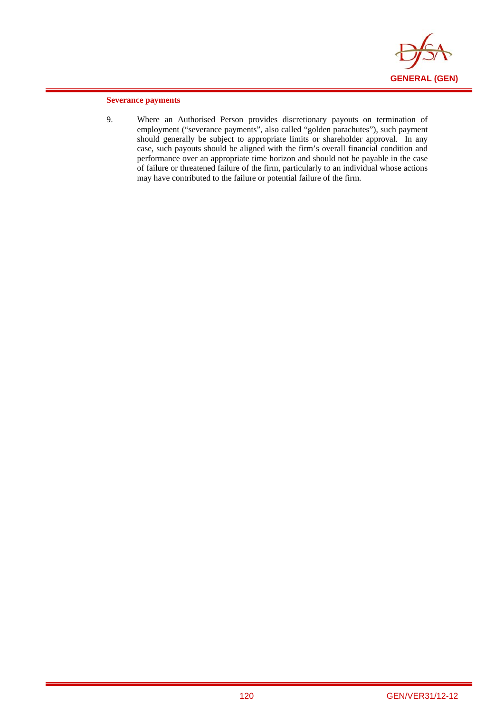

### **Severance payments**

i

9. Where an Authorised Person provides discretionary payouts on termination of employment ("severance payments", also called "golden parachutes"), such payment should generally be subject to appropriate limits or shareholder approval. In any case, such payouts should be aligned with the firm's overall financial condition and performance over an appropriate time horizon and should not be payable in the case of failure or threatened failure of the firm, particularly to an individual whose actions may have contributed to the failure or potential failure of the firm.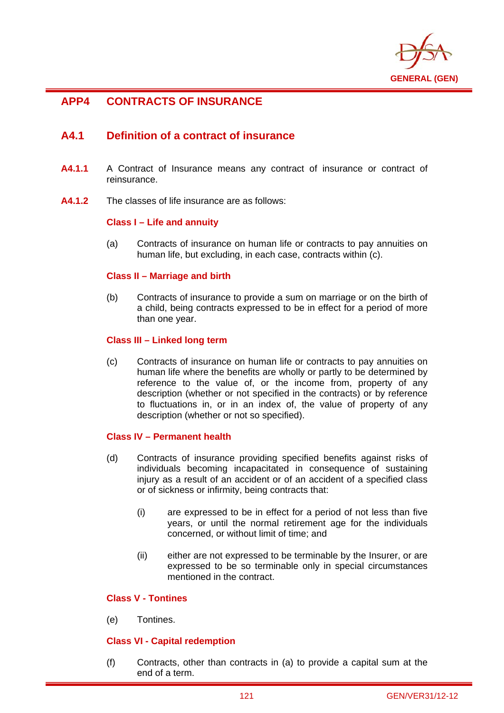

# **APP4 CONTRACTS OF INSURANCE**

i

# **A4.1 Definition of a contract of insurance**

- **A4.1.1** A Contract of Insurance means any contract of insurance or contract of reinsurance.
- **A4.1.2** The classes of life insurance are as follows:

## **Class I – Life and annuity**

(a) Contracts of insurance on human life or contracts to pay annuities on human life, but excluding, in each case, contracts within (c).

## **Class II – Marriage and birth**

(b) Contracts of insurance to provide a sum on marriage or on the birth of a child, being contracts expressed to be in effect for a period of more than one year.

## **Class III – Linked long term**

(c) Contracts of insurance on human life or contracts to pay annuities on human life where the benefits are wholly or partly to be determined by reference to the value of, or the income from, property of any description (whether or not specified in the contracts) or by reference to fluctuations in, or in an index of, the value of property of any description (whether or not so specified).

## **Class IV – Permanent health**

- (d) Contracts of insurance providing specified benefits against risks of individuals becoming incapacitated in consequence of sustaining injury as a result of an accident or of an accident of a specified class or of sickness or infirmity, being contracts that:
	- (i) are expressed to be in effect for a period of not less than five years, or until the normal retirement age for the individuals concerned, or without limit of time; and
	- (ii) either are not expressed to be terminable by the Insurer, or are expressed to be so terminable only in special circumstances mentioned in the contract.

## **Class V - Tontines**

(e) Tontines.

## **Class VI - Capital redemption**

(f) Contracts, other than contracts in (a) to provide a capital sum at the end of a term.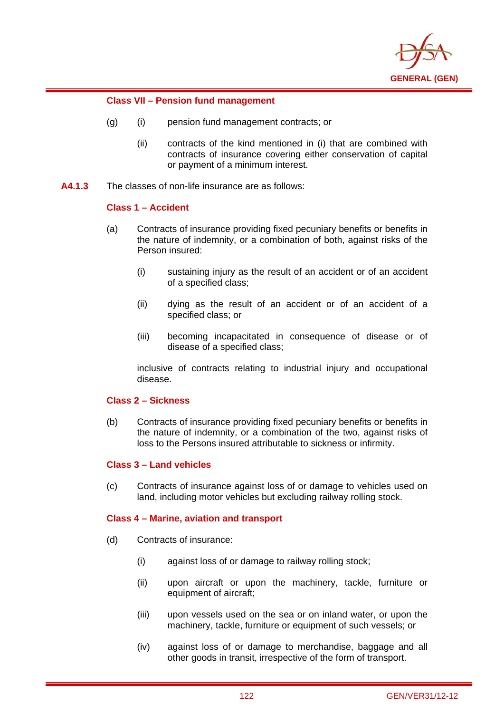

## **Class VII – Pension fund management**

- (g) (i) pension fund management contracts; or
	- (ii) contracts of the kind mentioned in (i) that are combined with contracts of insurance covering either conservation of capital or payment of a minimum interest.
- **A4.1.3** The classes of non-life insurance are as follows:

## **Class 1 – Accident**

i

- (a) Contracts of insurance providing fixed pecuniary benefits or benefits in the nature of indemnity, or a combination of both, against risks of the Person insured:
	- (i) sustaining injury as the result of an accident or of an accident of a specified class;
	- (ii) dying as the result of an accident or of an accident of a specified class; or
	- (iii) becoming incapacitated in consequence of disease or of disease of a specified class;

inclusive of contracts relating to industrial injury and occupational disease.

## **Class 2 – Sickness**

(b) Contracts of insurance providing fixed pecuniary benefits or benefits in the nature of indemnity, or a combination of the two, against risks of loss to the Persons insured attributable to sickness or infirmity.

## **Class 3 – Land vehicles**

(c) Contracts of insurance against loss of or damage to vehicles used on land, including motor vehicles but excluding railway rolling stock.

## **Class 4 – Marine, aviation and transport**

- (d) Contracts of insurance:
	- (i) against loss of or damage to railway rolling stock;
	- (ii) upon aircraft or upon the machinery, tackle, furniture or equipment of aircraft;
	- (iii) upon vessels used on the sea or on inland water, or upon the machinery, tackle, furniture or equipment of such vessels; or
	- (iv) against loss of or damage to merchandise, baggage and all other goods in transit, irrespective of the form of transport.